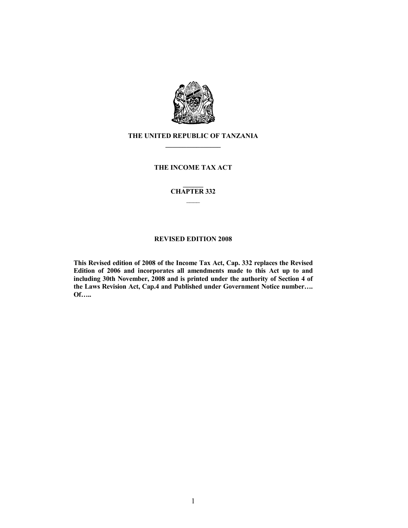

# THE UNITED REPUBLIC OF TANZANIA  $\frac{1}{2}$  ,  $\frac{1}{2}$  ,  $\frac{1}{2}$  ,  $\frac{1}{2}$  ,  $\frac{1}{2}$  ,  $\frac{1}{2}$  ,  $\frac{1}{2}$

# THE INCOME TAX ACT

## $\overline{\phantom{a}}$ CHAPTER 332  $\overline{\phantom{a}}$

# REVISED EDITION 2008

This Revised edition of 2008 of the Income Tax Act, Cap. 332 replaces the Revised Edition of 2006 and incorporates all amendments made to this Act up to and including 30th November, 2008 and is printed under the authority of Section 4 of the Laws Revision Act, Cap.4 and Published under Government Notice number…. Of…..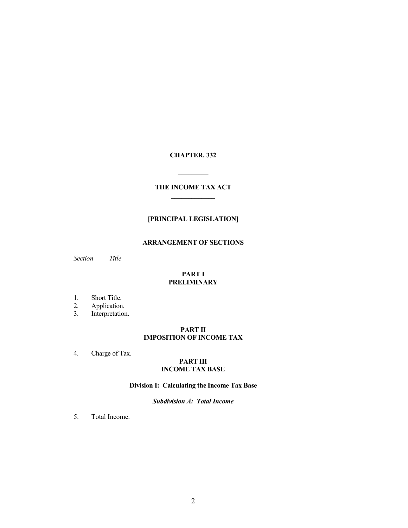# CHAPTER. 332

# THE INCOME TAX ACT  $\overline{\phantom{a}}$  ,  $\overline{\phantom{a}}$  ,  $\overline{\phantom{a}}$  ,  $\overline{\phantom{a}}$  ,  $\overline{\phantom{a}}$  ,  $\overline{\phantom{a}}$  ,  $\overline{\phantom{a}}$  ,  $\overline{\phantom{a}}$  ,  $\overline{\phantom{a}}$  ,  $\overline{\phantom{a}}$  ,  $\overline{\phantom{a}}$  ,  $\overline{\phantom{a}}$  ,  $\overline{\phantom{a}}$  ,  $\overline{\phantom{a}}$  ,  $\overline{\phantom{a}}$  ,  $\overline{\phantom{a}}$

 $\overline{\phantom{a}}$ 

# [PRINCIPAL LEGISLATION]

# ARRANGEMENT OF SECTIONS

Section Title

# PART I **PRELIMINARY**

- 
- 1. Short Title.<br>2. Application.
- 2. Application.<br>3. Interpretation Interpretation.

# PART II IMPOSITION OF INCOME TAX

4. Charge of Tax.

## PART III INCOME TAX BASE

# Division I: Calculating the Income Tax Base

# Subdivision A: Total Income

5. Total Income.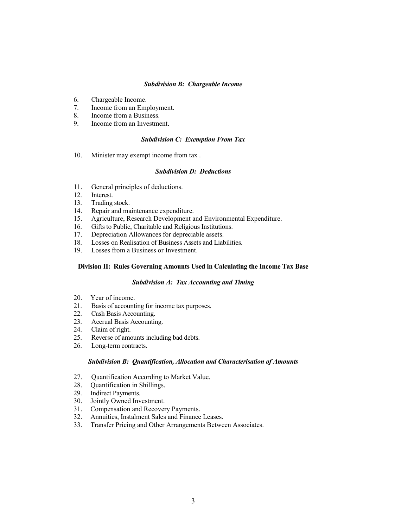## Subdivision B: Chargeable Income

- 6. Chargeable Income.
- 7. Income from an Employment.<br>8. Income from a Business.
- Income from a Business.
- 9. Income from an Investment.

## Subdivision C: Exemption From Tax

10. Minister may exempt income from tax .

### Subdivision D: Deductions

- 11. General principles of deductions.<br>12. Interest.
- Interest.
- 13. Trading stock.
- 14. Repair and maintenance expenditure.
- 15. Agriculture, Research Development and Environmental Expenditure.
- 16. Gifts to Public, Charitable and Religious Institutions.
- 17. Depreciation Allowances for depreciable assets.<br>18. Losses on Realisation of Business Assets and Liable
- Losses on Realisation of Business Assets and Liabilities.
- 19. Losses from a Business or Investment.

# Division II: Rules Governing Amounts Used in Calculating the Income Tax Base

### Subdivision A: Tax Accounting and Timing

- 20. Year of income.<br>21. Basis of account
- Basis of accounting for income tax purposes.
- 22. Cash Basis Accounting.
- 23. Accrual Basis Accounting.<br>24. Claim of right.
- 24. Claim of right.<br>25. Reverse of amo
- Reverse of amounts including bad debts.
- 26. Long-term contracts.

## Subdivision B: Quantification, Allocation and Characterisation of Amounts

- 27. Quantification According to Market Value.<br>28. Quantification in Shillings.
- 28. Quantification in Shillings.<br>29. Indirect Payments.
- 29. Indirect Payments.<br>30. Jointly Owned Inv
- 30. Jointly Owned Investment.
- 31. Compensation and Recovery Payments.
- 32. Annuities, Instalment Sales and Finance Leases.
- 33. Transfer Pricing and Other Arrangements Between Associates.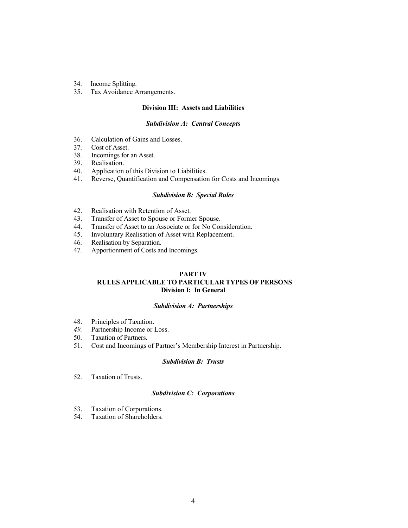- 34. Income Splitting.
- 35. Tax Avoidance Arrangements.

### Division III: Assets and Liabilities

#### Subdivision A: Central Concepts

- 36. Calculation of Gains and Losses.<br>37. Cost of Asset.
- Cost of Asset.
- 38. Incomings for an Asset.
- 39. Realisation.
- 40. Application of this Division to Liabilities.
- 41. Reverse, Quantification and Compensation for Costs and Incomings.

### Subdivision B: Special Rules

- 42. Realisation with Retention of Asset.
- 43. Transfer of Asset to Spouse or Former Spouse.
- 44. Transfer of Asset to an Associate or for No Consideration.
- 45. Involuntary Realisation of Asset with Replacement.<br>46. Realisation by Separation.
- Realisation by Separation.
- 47. Apportionment of Costs and Incomings.

# PART IV RULES APPLICABLE TO PARTICULAR TYPES OF PERSONS Division I: In General

#### Subdivision A: Partnerships

- 48. Principles of Taxation.<br>49. Partnership Income or l
- 49. Partnership Income or Loss.<br>50. Taxation of Partners.
- Taxation of Partners.
- 51. Cost and Incomings of Partner's Membership Interest in Partnership.

### Subdivision B: Trusts

52. Taxation of Trusts.

## Subdivision C: Corporations

- 53. Taxation of Corporations.<br>54. Taxation of Shareholders.
- Taxation of Shareholders.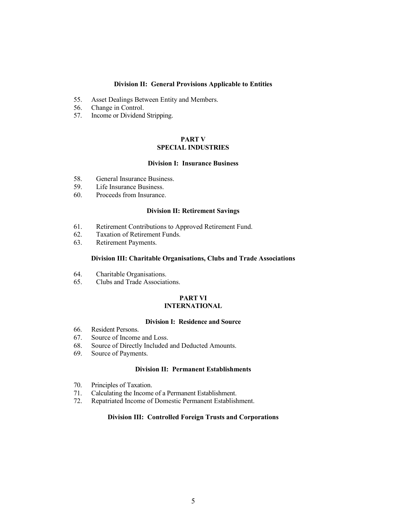## Division II: General Provisions Applicable to Entities

- 55. Asset Dealings Between Entity and Members.
- 56. Change in Control.<br>57. Income or Dividend
- Income or Dividend Stripping.

# PART V SPECIAL INDUSTRIES

# Division I: Insurance Business

- 58. General Insurance Business.
- 59. Life Insurance Business.<br>60. Proceeds from Insurance
- Proceeds from Insurance.

### Division II: Retirement Savings

- 61. Retirement Contributions to Approved Retirement Fund.
- 62. Taxation of Retirement Funds.<br>63. Retirement Payments.
- Retirement Payments.

### Division III: Charitable Organisations, Clubs and Trade Associations

- 64. Charitable Organisations.<br>65. Clubs and Trade Associat
- 65. Clubs and Trade Associations.

### PART VI INTERNATIONAL

#### Division I: Residence and Source

- 66. Resident Persons.
- 67. Source of Income and Loss.
- 68. Source of Directly Included and Deducted Amounts.
- 69. Source of Payments.

## Division II: Permanent Establishments

- 70. Principles of Taxation.
- 71. Calculating the Income of a Permanent Establishment.
- Repatriated Income of Domestic Permanent Establishment.

## Division III: Controlled Foreign Trusts and Corporations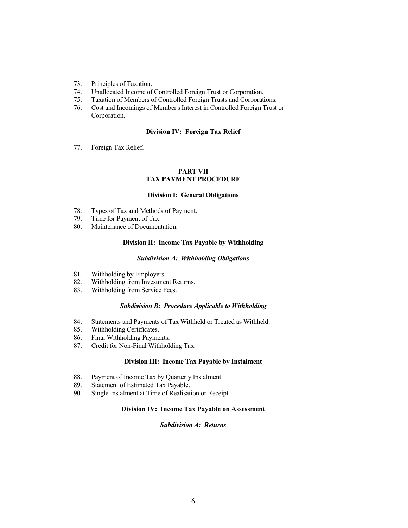- 73. Principles of Taxation.
- 74. Unallocated Income of Controlled Foreign Trust or Corporation.
- 75. Taxation of Members of Controlled Foreign Trusts and Corporations.
- 76. Cost and Incomings of Member's Interest in Controlled Foreign Trust or Corporation.

# Division IV: Foreign Tax Relief

77. Foreign Tax Relief.

### PART VII TAX PAYMENT PROCEDURE

## Division I: General Obligations

- 78. Types of Tax and Methods of Payment.
- 79. Time for Payment of Tax.
- 80. Maintenance of Documentation.

## Division II: Income Tax Payable by Withholding

### Subdivision A: Withholding Obligations

- 
- 81. Withholding by Employers.<br>82. Withholding from Investment 82. Withholding from Investment Returns.<br>83. Withholding from Service Fees.
- Withholding from Service Fees.

### Subdivision B: Procedure Applicable to Withholding

- 84. Statements and Payments of Tax Withheld or Treated as Withheld.<br>85. Withholding Certificates.
- Withholding Certificates.
- 86. Final Withholding Payments.
- 87. Credit for Non-Final Withholding Tax.

## Division III: Income Tax Payable by Instalment

- 88. Payment of Income Tax by Quarterly Instalment.<br>89. Statement of Estimated Tax Payable.
- 89. Statement of Estimated Tax Payable.<br>90. Single Instalment at Time of Realisati
- Single Instalment at Time of Realisation or Receipt.

## Division IV: Income Tax Payable on Assessment

#### Subdivision A: Returns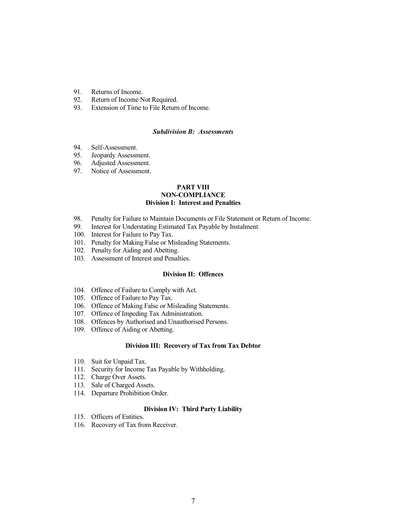- 91. Returns of Income.<br>92. Return of Income N
- 92. Return of Income Not Required.<br>93. Extension of Time to File Return
- Extension of Time to File Return of Income.

## Subdivision B: Assessments

- 94. Self-Assessment.
- 95. Jeopardy Assessment.
- 96. Adjusted Assessment.
- 97. Notice of Assessment.

### PART VIII NON-COMPLIANCE Division I: Interest and Penalties

- 98. Penalty for Failure to Maintain Documents or File Statement or Return of Income.
- 99. Interest for Understating Estimated Tax Payable by Instalment.
- 100. Interest for Failure to Pay Tax.
- 101. Penalty for Making False or Misleading Statements.
- 102. Penalty for Aiding and Abetting.
- 103. Assessment of Interest and Penalties.

# Division II: Offences

- 104. Offence of Failure to Comply with Act.
- 105. Offence of Failure to Pay Tax.
- 106. Offence of Making False or Misleading Statements.
- 107. Offence of Impeding Tax Administration.
- 108. Offences by Authorised and Unauthorised Persons.
- 109. Offence of Aiding or Abetting.

#### Division III: Recovery of Tax from Tax Debtor

- 110. Suit for Unpaid Tax.
- 111. Security for Income Tax Payable by Withholding.
- 112. Charge Over Assets.
- 113. Sale of Charged Assets.
- 114. Departure Prohibition Order.

#### Division IV: Third Party Liability

- 115. Officers of Entities.
- 116. Recovery of Tax from Receiver.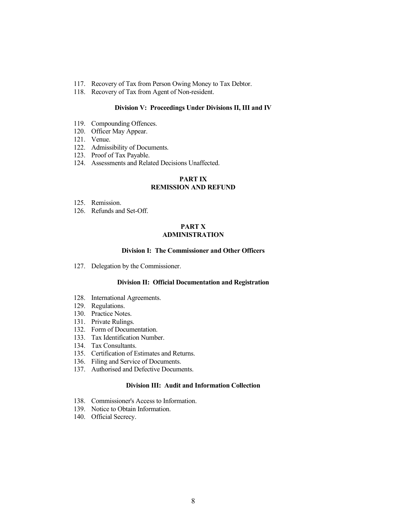- 117. Recovery of Tax from Person Owing Money to Tax Debtor.
- 118. Recovery of Tax from Agent of Non-resident.

### Division V: Proceedings Under Divisions II, III and IV

- 119. Compounding Offences.
- 120. Officer May Appear.
- 121. Venue.
- 122. Admissibility of Documents.
- 123. Proof of Tax Payable.
- 124. Assessments and Related Decisions Unaffected.

# PART IX REMISSION AND REFUND

- 125. Remission.
- 126. Refunds and Set-Off.

# PART X ADMINISTRATION

# Division I: The Commissioner and Other Officers

127. Delegation by the Commissioner.

# Division II: Official Documentation and Registration

- 128. International Agreements.
- 129. Regulations.
- 130. Practice Notes.
- 131. Private Rulings.
- 132. Form of Documentation.
- 133. Tax Identification Number.
- 134. Tax Consultants.
- 135. Certification of Estimates and Returns.
- 136. Filing and Service of Documents.
- 137. Authorised and Defective Documents.

# Division III: Audit and Information Collection

- 138. Commissioner's Access to Information.
- 139. Notice to Obtain Information.
- 140. Official Secrecy.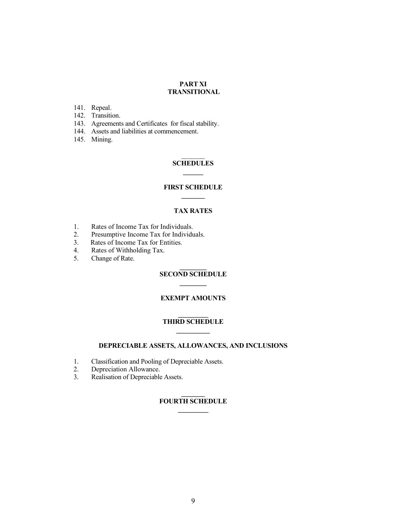## PART XI TRANSITIONAL

- 141. Repeal.
- 142. Transition.
- 143. Agreements and Certificates for fiscal stability.
- 144. Assets and liabilities at commencement.
- 145. Mining.

# $\frac{1}{2}$ **SCHEDULES**  $\overline{\phantom{a}}$

# FIRST SCHEDULE  $\overline{\phantom{a}}$

# TAX RATES

- 1. Rates of Income Tax for Individuals.
- 2. Presumptive Income Tax for Individuals.<br>3. Rates of Income Tax for Entities.
- 3. Rates of Income Tax for Entities.<br>4. Rates of Withholding Tax.
- 4. Rates of Withholding Tax.<br>5. Change of Rate.
- Change of Rate.

## $\mathcal{L}$ SECOND SCHEDULE  $\mathcal{L}$

# EXEMPT AMOUNTS

## $\frac{1}{2}$ THIRD SCHEDULE  $\frac{1}{2}$

# DEPRECIABLE ASSETS, ALLOWANCES, AND INCLUSIONS

- 1. Classification and Pooling of Depreciable Assets.<br>2. Depreciation Allowance.
- Depreciation Allowance.
- 3. Realisation of Depreciable Assets.

## $\overline{\phantom{a}}$ FOURTH SCHEDULE  $\frac{1}{2}$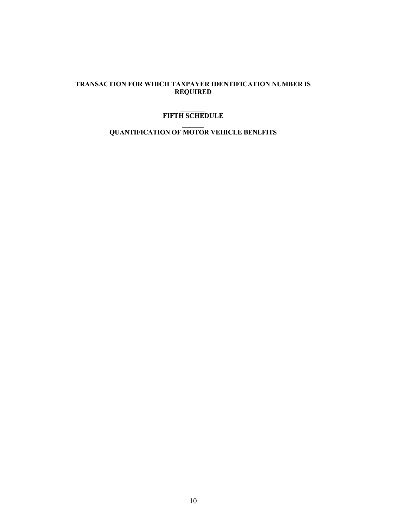# TRANSACTION FOR WHICH TAXPAYER IDENTIFICATION NUMBER IS REQUIRED

### $\mathcal{L}$ FIFTH SCHEDULE

# $\overline{\phantom{a}}$ QUANTIFICATION OF MOTOR VEHICLE BENEFITS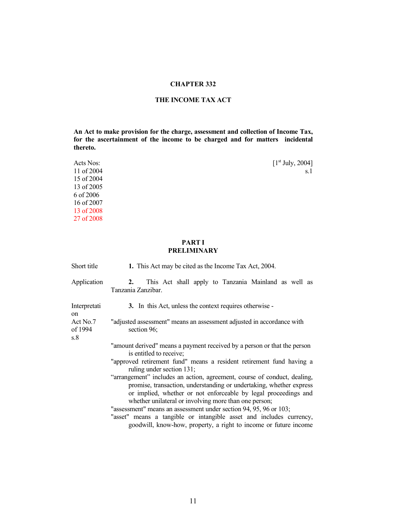# CHAPTER 332

# THE INCOME TAX ACT

An Act to make provision for the charge, assessment and collection of Income Tax, for the ascertainment of the income to be charged and for matters incidental thereto.

| Acts Nos:  | [1 <sup>st</sup> July, 2004] |
|------------|------------------------------|
| 11 of 2004 | s.1                          |
| 15 of 2004 |                              |
| 13 of 2005 |                              |
| 6 of 2006  |                              |
| 16 of 2007 |                              |
| 13 of 2008 |                              |
| 27 of 2008 |                              |

# PART I PRELIMINARY

| Short title                | 1. This Act may be cited as the Income Tax Act, 2004.                                                                                                                                                                                                                       |
|----------------------------|-----------------------------------------------------------------------------------------------------------------------------------------------------------------------------------------------------------------------------------------------------------------------------|
| Application                | This Act shall apply to Tanzania Mainland as well as<br>2.<br>Tanzania Zanzibar.                                                                                                                                                                                            |
| Interpretati<br>on         | 3. In this Act, unless the context requires otherwise -                                                                                                                                                                                                                     |
| Act No.7<br>of 1994<br>s.8 | "adjusted assessment" means an assessment adjusted in accordance with<br>section 96;                                                                                                                                                                                        |
|                            | "amount derived" means a payment received by a person or that the person<br>is entitled to receive;                                                                                                                                                                         |
|                            | "approved retirement fund" means a resident retirement fund having a<br>ruling under section 131;                                                                                                                                                                           |
|                            | "arrangement" includes an action, agreement, course of conduct, dealing,<br>promise, transaction, understanding or undertaking, whether express<br>or implied, whether or not enforceable by legal proceedings and<br>whether unilateral or involving more than one person; |
|                            | "assessment" means an assessment under section 94, 95, 96 or 103;<br>"asset" means a tangible or intangible asset and includes currency,<br>goodwill, know-how, property, a right to income or future income                                                                |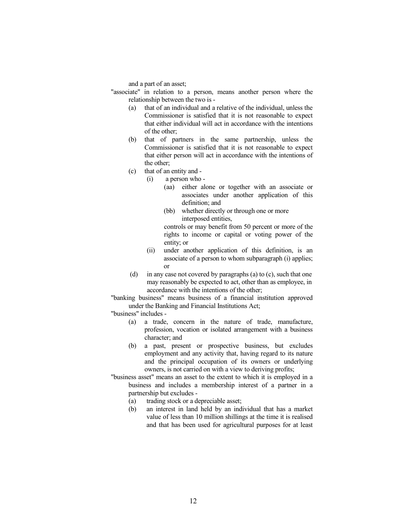and a part of an asset;

"associate" in relation to a person, means another person where the relationship between the two is -

- (a) that of an individual and a relative of the individual, unless the Commissioner is satisfied that it is not reasonable to expect that either individual will act in accordance with the intentions of the other;
- (b) that of partners in the same partnership, unless the Commissioner is satisfied that it is not reasonable to expect that either person will act in accordance with the intentions of the other;
- (c) that of an entity and
	- (i) a person who
		- (aa) either alone or together with an associate or associates under another application of this definition; and
		- (bb) whether directly or through one or more interposed entities,

controls or may benefit from 50 percent or more of the rights to income or capital or voting power of the entity; or

- (ii) under another application of this definition, is an associate of a person to whom subparagraph (i) applies; or
- (d) in any case not covered by paragraphs (a) to (c), such that one may reasonably be expected to act, other than as employee, in accordance with the intentions of the other;

 "banking business" means business of a financial institution approved under the Banking and Financial Institutions Act;

"business" includes -

- (a) a trade, concern in the nature of trade, manufacture, profession, vocation or isolated arrangement with a business character; and
- (b) a past, present or prospective business, but excludes employment and any activity that, having regard to its nature and the principal occupation of its owners or underlying owners, is not carried on with a view to deriving profits;
- "business asset" means an asset to the extent to which it is employed in a business and includes a membership interest of a partner in a partnership but excludes -
	- (a) trading stock or a depreciable asset;
	- (b) an interest in land held by an individual that has a market value of less than 10 million shillings at the time it is realised and that has been used for agricultural purposes for at least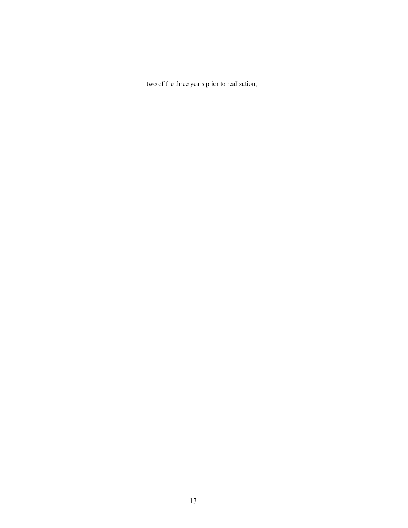two of the three years prior to realization;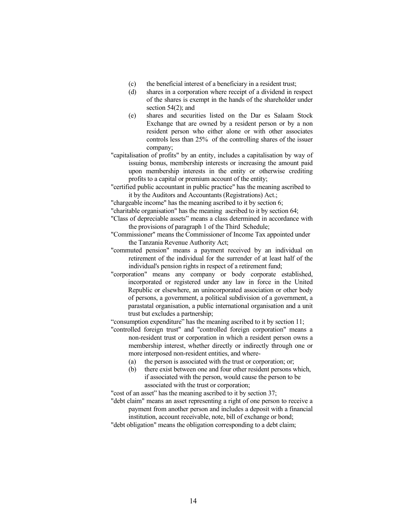- (c) the beneficial interest of a beneficiary in a resident trust;
- (d) shares in a corporation where receipt of a dividend in respect of the shares is exempt in the hands of the shareholder under section 54(2); and
- (e) shares and securities listed on the Dar es Salaam Stock Exchange that are owned by a resident person or by a non resident person who either alone or with other associates controls less than 25% of the controlling shares of the issuer company;
- "capitalisation of profits" by an entity, includes a capitalisation by way of issuing bonus, membership interests or increasing the amount paid upon membership interests in the entity or otherwise crediting profits to a capital or premium account of the entity;
- "certified public accountant in public practice" has the meaning ascribed to it by the Auditors and Accountants (Registrations) Act.;
- "chargeable income" has the meaning ascribed to it by section 6;
- "charitable organisation" has the meaning ascribed to it by section 64;
- "Class of depreciable assets" means a class determined in accordance with the provisions of paragraph 1 of the Third Schedule;
- "Commissioner" means the Commissioner of Income Tax appointed under the Tanzania Revenue Authority Act;
- "commuted pension" means a payment received by an individual on retirement of the individual for the surrender of at least half of the individual's pension rights in respect of a retirement fund;
- "corporation" means any company or body corporate established, incorporated or registered under any law in force in the United Republic or elsewhere, an unincorporated association or other body of persons, a government, a political subdivision of a government, a parastatal organisation, a public international organisation and a unit trust but excludes a partnership;
- "consumption expenditure" has the meaning ascribed to it by section 11;
- "controlled foreign trust" and "controlled foreign corporation" means a non-resident trust or corporation in which a resident person owns a membership interest, whether directly or indirectly through one or more interposed non-resident entities, and where-
	- (a) the person is associated with the trust or corporation; or;
	- (b) there exist between one and four other resident persons which, if associated with the person, would cause the person to be associated with the trust or corporation;

"cost of an asset" has the meaning ascribed to it by section 37;

- "debt claim" means an asset representing a right of one person to receive a payment from another person and includes a deposit with a financial institution, account receivable, note, bill of exchange or bond;
- "debt obligation" means the obligation corresponding to a debt claim;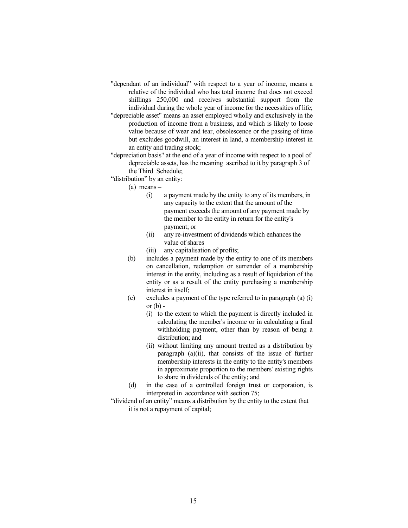- "dependant of an individual" with respect to a year of income, means a relative of the individual who has total income that does not exceed shillings 250,000 and receives substantial support from the individual during the whole year of income for the necessities of life;
- "depreciable asset" means an asset employed wholly and exclusively in the production of income from a business, and which is likely to loose value because of wear and tear, obsolescence or the passing of time but excludes goodwill, an interest in land, a membership interest in an entity and trading stock;
- "depreciation basis" at the end of a year of income with respect to a pool of depreciable assets, has the meaning ascribed to it by paragraph 3 of the Third Schedule;
- "distribution" by an entity:
	- (a) means
		- (i) a payment made by the entity to any of its members, in any capacity to the extent that the amount of the payment exceeds the amount of any payment made by the member to the entity in return for the entity's payment; or
		- (ii) any re-investment of dividends which enhances the value of shares
		- (iii) any capitalisation of profits;
	- (b) includes a payment made by the entity to one of its members on cancellation, redemption or surrender of a membership interest in the entity, including as a result of liquidation of the entity or as a result of the entity purchasing a membership interest in itself;
	- (c) excludes a payment of the type referred to in paragraph (a) (i) or  $(b)$  -
		- (i) to the extent to which the payment is directly included in calculating the member's income or in calculating a final withholding payment, other than by reason of being a distribution; and
		- (ii) without limiting any amount treated as a distribution by paragraph (a)(ii), that consists of the issue of further membership interests in the entity to the entity's members in approximate proportion to the members' existing rights to share in dividends of the entity; and
	- (d) in the case of a controlled foreign trust or corporation, is interpreted in accordance with section 75;
- "dividend of an entity" means a distribution by the entity to the extent that it is not a repayment of capital;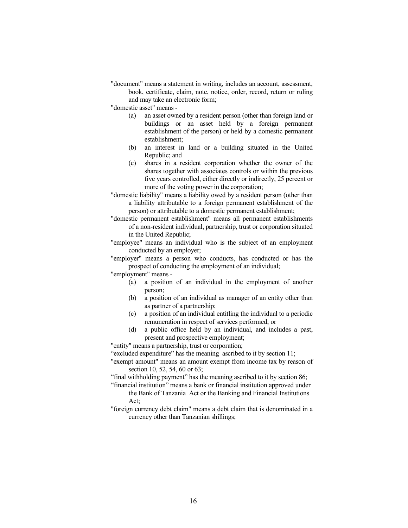"document" means a statement in writing, includes an account, assessment, book, certificate, claim, note, notice, order, record, return or ruling and may take an electronic form;

"domestic asset" means -

- (a) an asset owned by a resident person (other than foreign land or buildings or an asset held by a foreign permanent establishment of the person) or held by a domestic permanent establishment;
- (b) an interest in land or a building situated in the United Republic; and
- (c) shares in a resident corporation whether the owner of the shares together with associates controls or within the previous five years controlled, either directly or indirectly, 25 percent or more of the voting power in the corporation;
- "domestic liability" means a liability owed by a resident person (other than a liability attributable to a foreign permanent establishment of the person) or attributable to a domestic permanent establishment;
- "domestic permanent establishment" means all permanent establishments of a non-resident individual, partnership, trust or corporation situated in the United Republic;
- "employee" means an individual who is the subject of an employment conducted by an employer;
- "employer" means a person who conducts, has conducted or has the prospect of conducting the employment of an individual;

"employment" means -

- a position of an individual in the employment of another person;
- (b) a position of an individual as manager of an entity other than as partner of a partnership;
- (c) a position of an individual entitling the individual to a periodic remuneration in respect of services performed; or
- (d) a public office held by an individual, and includes a past, present and prospective employment;

"entity" means a partnership, trust or corporation;

- "excluded expenditure" has the meaning ascribed to it by section 11;
- "exempt amount" means an amount exempt from income tax by reason of section 10, 52, 54, 60 or 63;
- "final withholding payment" has the meaning ascribed to it by section 86;
- "financial institution" means a bank or financial institution approved under the Bank of Tanzania Act or the Banking and Financial Institutions  $Act^{\dagger}$
- "foreign currency debt claim" means a debt claim that is denominated in a currency other than Tanzanian shillings;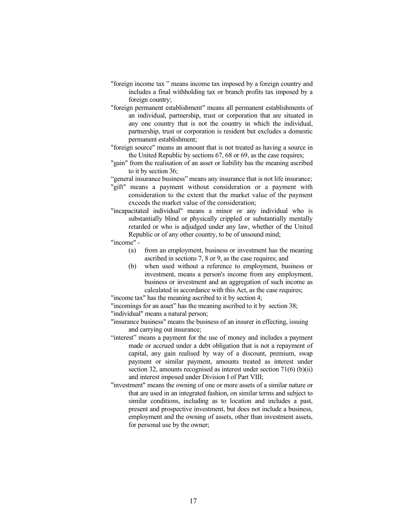- "foreign income tax " means income tax imposed by a foreign country and includes a final withholding tax or branch profits tax imposed by a foreign country;
- "foreign permanent establishment" means all permanent establishments of an individual, partnership, trust or corporation that are situated in any one country that is not the country in which the individual, partnership, trust or corporation is resident but excludes a domestic permanent establishment;
- "foreign source" means an amount that is not treated as having a source in the United Republic by sections 67, 68 or 69, as the case requires;
- "gain" from the realisation of an asset or liability has the meaning ascribed to it by section 36;
- "general insurance business" means any insurance that is not life insurance;
- "gift" means a payment without consideration or a payment with consideration to the extent that the market value of the payment exceeds the market value of the consideration;
- "incapacitated individual" means a minor or any individual who is substantially blind or physically crippled or substantially mentally retarded or who is adjudged under any law, whether of the United Republic or of any other country, to be of unsound mind;
- "income"
	- (a) from an employment, business or investment has the meaning ascribed in sections 7, 8 or 9, as the case requires; and
	- (b) when used without a reference to employment, business or investment, means a person's income from any employment, business or investment and an aggregation of such income as calculated in accordance with this Act, as the case requires;

"income tax" has the meaning ascribed to it by section 4;

"incomings for an asset" has the meaning ascribed to it by section 38; "individual" means a natural person;

"insurance business" means the business of an insurer in effecting, issuing and carrying out insurance;

- "interest" means a payment for the use of money and includes a payment made or accrued under a debt obligation that is not a repayment of capital, any gain realised by way of a discount, premium, swap payment or similar payment, amounts treated as interest under section 32, amounts recognised as interest under section 71(6) (b)(ii) and interest imposed under Division I of Part VIII;
- "investment" means the owning of one or more assets of a similar nature or that are used in an integrated fashion, on similar terms and subject to similar conditions, including as to location and includes a past, present and prospective investment, but does not include a business, employment and the owning of assets, other than investment assets, for personal use by the owner;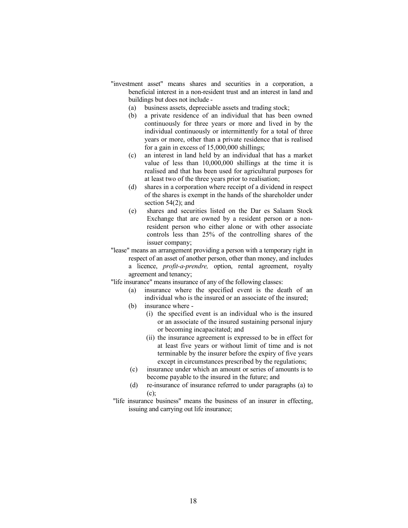- "investment asset" means shares and securities in a corporation, a beneficial interest in a non-resident trust and an interest in land and buildings but does not include -
	- (a) business assets, depreciable assets and trading stock;
	- (b) a private residence of an individual that has been owned continuously for three years or more and lived in by the individual continuously or intermittently for a total of three years or more, other than a private residence that is realised for a gain in excess of 15,000,000 shillings;
	- (c) an interest in land held by an individual that has a market value of less than 10,000,000 shillings at the time it is realised and that has been used for agricultural purposes for at least two of the three years prior to realisation;
	- (d) shares in a corporation where receipt of a dividend in respect of the shares is exempt in the hands of the shareholder under section  $54(2)$ ; and
	- (e) shares and securities listed on the Dar es Salaam Stock Exchange that are owned by a resident person or a nonresident person who either alone or with other associate controls less than 25% of the controlling shares of the issuer company;
- "lease" means an arrangement providing a person with a temporary right in respect of an asset of another person, other than money, and includes a licence, profit-a-prendre, option, rental agreement, royalty agreement and tenancy;

"life insurance" means insurance of any of the following classes:

- (a) insurance where the specified event is the death of an individual who is the insured or an associate of the insured;
- (b) insurance where
	- (i) the specified event is an individual who is the insured or an associate of the insured sustaining personal injury or becoming incapacitated; and
	- (ii) the insurance agreement is expressed to be in effect for at least five years or without limit of time and is not terminable by the insurer before the expiry of five years except in circumstances prescribed by the regulations;
- (c) insurance under which an amount or series of amounts is to become payable to the insured in the future; and
- (d) re-insurance of insurance referred to under paragraphs (a) to (c);
- "life insurance business" means the business of an insurer in effecting, issuing and carrying out life insurance;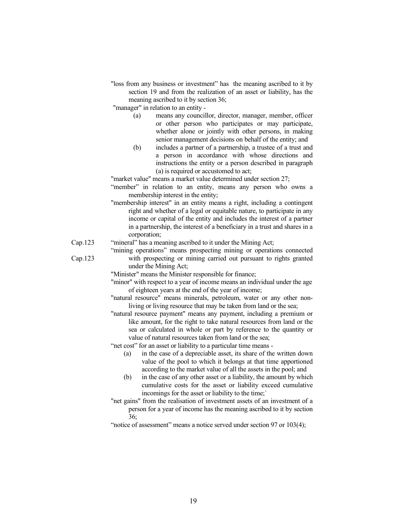"loss from any business or investment" has the meaning ascribed to it by section 19 and from the realization of an asset or liability, has the meaning ascribed to it by section 36;

"manager" in relation to an entity -

- (a) means any councillor, director, manager, member, officer or other person who participates or may participate, whether alone or jointly with other persons, in making senior management decisions on behalf of the entity; and
- (b) includes a partner of a partnership, a trustee of a trust and a person in accordance with whose directions and instructions the entity or a person described in paragraph (a) is required or accustomed to act;

"market value" means a market value determined under section 27;

- "member" in relation to an entity, means any person who owns a membership interest in the entity;
- "membership interest" in an entity means a right, including a contingent right and whether of a legal or equitable nature, to participate in any income or capital of the entity and includes the interest of a partner in a partnership, the interest of a beneficiary in a trust and shares in a corporation;
- Cap.123 "mineral" has a meaning ascribed to it under the Mining Act;
	- "mining operations" means prospecting mining or operations connected with prospecting or mining carried out pursuant to rights granted under the Mining Act;
	- "Minister" means the Minister responsible for finance;
	- "minor" with respect to a year of income means an individual under the age of eighteen years at the end of the year of income;
	- "natural resource" means minerals, petroleum, water or any other nonliving or living resource that may be taken from land or the sea;
	- "natural resource payment" means any payment, including a premium or like amount, for the right to take natural resources from land or the sea or calculated in whole or part by reference to the quantity or value of natural resources taken from land or the sea;

"net cost" for an asset or liability to a particular time means -

- (a) in the case of a depreciable asset, its share of the written down value of the pool to which it belongs at that time apportioned according to the market value of all the assets in the pool; and
- (b) in the case of any other asset or a liability, the amount by which cumulative costs for the asset or liability exceed cumulative incomings for the asset or liability to the time;`
- "net gains" from the realisation of investment assets of an investment of a person for a year of income has the meaning ascribed to it by section 36;
- "notice of assessment" means a notice served under section 97 or 103(4);

Cap.123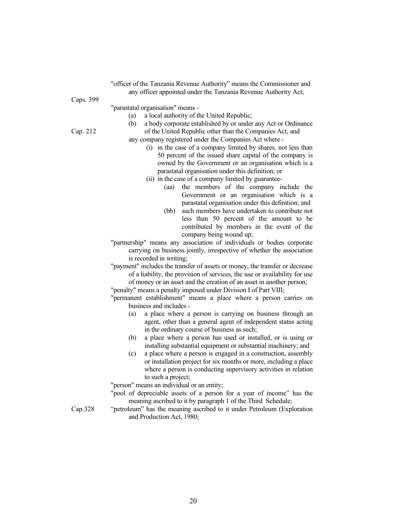|           | "officer of the Tanzania Revenue Authority" means the Commissioner and                                              |
|-----------|---------------------------------------------------------------------------------------------------------------------|
|           | any officer appointed under the Tanzania Revenue Authority Act;                                                     |
| Caps. 399 |                                                                                                                     |
|           | "parastatal organisation" means -                                                                                   |
|           | a local authority of the United Republic;<br>(a)                                                                    |
|           | a body corporate established by or under any Act or Ordinance<br>(b)                                                |
| Cap. 212  | of the United Republic other than the Companies Act, and                                                            |
|           | any company registered under the Companies Act where -                                                              |
|           | (i) in the case of a company limited by shares, not less than                                                       |
|           | 50 percent of the issued share capital of the company is                                                            |
|           | owned by the Government or an organisation which is a<br>parastatal organisation under this definition; or          |
|           | (ii) in the case of a company limited by guarantee-                                                                 |
|           | the members of the company include the<br>(aa)                                                                      |
|           | Government or an organisation which is a                                                                            |
|           | parastatal organisation under this definition; and                                                                  |
|           | such members have undertaken to contribute not<br>(bb)                                                              |
|           | less than 50 percent of the amount to be                                                                            |
|           | contributed by members in the event of the                                                                          |
|           | company being wound up;                                                                                             |
|           | "partnership" means any association of individuals or bodies corporate                                              |
|           | carrying on business jointly, irrespective of whether the association                                               |
|           | is recorded in writing;                                                                                             |
|           | "payment" includes the transfer of assets or money, the transfer or decrease                                        |
|           | of a liability, the provision of services, the use or availability for use                                          |
|           | of money or an asset and the creation of an asset in another person;                                                |
|           | "penalty" means a penalty imposed under Division I of Part VIII;                                                    |
|           | "permanent establishment" means a place where a person carries on                                                   |
|           | business and includes -                                                                                             |
|           | (a)<br>a place where a person is carrying on business through an                                                    |
|           | agent, other than a general agent of independent status acting                                                      |
|           | in the ordinary course of business as such;                                                                         |
|           | a place where a person has used or installed, or is using or<br>(b)                                                 |
|           | installing substantial equipment or substantial machinery; and                                                      |
|           | a place where a person is engaged in a construction, assembly<br>(c)                                                |
|           | or installation project for six months or more, including a place                                                   |
|           | where a person is conducting supervisory activities in relation                                                     |
|           | to such a project;                                                                                                  |
|           | "person" means an individual or an entity;<br>"pool of depreciable assets of a person for a year of income" has the |
|           | meaning ascribed to it by paragraph 1 of the Third Schedule;                                                        |

Cap.328 "petroleum" has the meaning ascribed to it under Petroleum (Exploration and Production Act, 1980;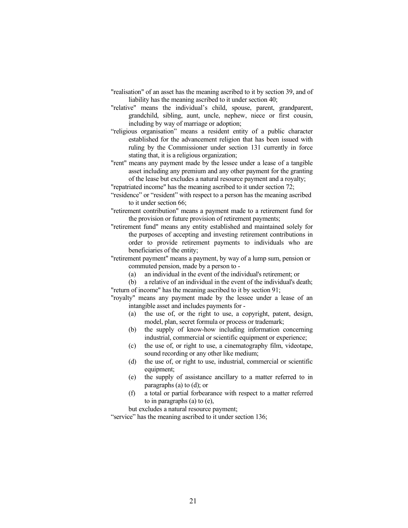- "realisation" of an asset has the meaning ascribed to it by section 39, and of liability has the meaning ascribed to it under section 40;
- "relative" means the individual's child, spouse, parent, grandparent, grandchild, sibling, aunt, uncle, nephew, niece or first cousin, including by way of marriage or adoption;
- "religious organisation" means a resident entity of a public character established for the advancement religion that has been issued with ruling by the Commissioner under section 131 currently in force stating that, it is a religious organization;
- "rent" means any payment made by the lessee under a lease of a tangible asset including any premium and any other payment for the granting of the lease but excludes a natural resource payment and a royalty;
- "repatriated income" has the meaning ascribed to it under section 72;
- "residence" or "resident" with respect to a person has the meaning ascribed to it under section 66;
- "retirement contribution" means a payment made to a retirement fund for the provision or future provision of retirement payments;
- "retirement fund" means any entity established and maintained solely for the purposes of accepting and investing retirement contributions in order to provide retirement payments to individuals who are beneficiaries of the entity;
- "retirement payment" means a payment, by way of a lump sum, pension or commuted pension, made by a person to -
	- (a) an individual in the event of the individual's retirement; or

(b) a relative of an individual in the event of the individual's death; "return of income" has the meaning ascribed to it by section 91;

"royalty" means any payment made by the lessee under a lease of an intangible asset and includes payments for -

- (a) the use of, or the right to use, a copyright, patent, design, model, plan, secret formula or process or trademark;
- (b) the supply of know-how including information concerning industrial, commercial or scientific equipment or experience;
- (c) the use of, or right to use, a cinematography film, videotape, sound recording or any other like medium;
- (d) the use of, or right to use, industrial, commercial or scientific equipment;
- (e) the supply of assistance ancillary to a matter referred to in paragraphs (a) to (d); or
- (f) a total or partial forbearance with respect to a matter referred to in paragraphs (a) to (e),

but excludes a natural resource payment;

"service" has the meaning ascribed to it under section 136;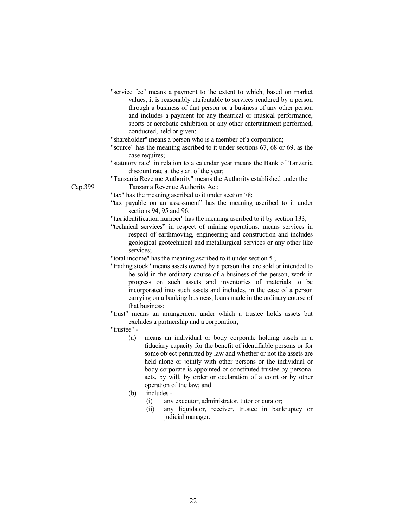"service fee" means a payment to the extent to which, based on market values, it is reasonably attributable to services rendered by a person through a business of that person or a business of any other person and includes a payment for any theatrical or musical performance, sports or acrobatic exhibition or any other entertainment performed, conducted, held or given;

"shareholder" means a person who is a member of a corporation;

- "source" has the meaning ascribed to it under sections 67, 68 or 69, as the case requires;
- "statutory rate" in relation to a calendar year means the Bank of Tanzania discount rate at the start of the year;
- "Tanzania Revenue Authority" means the Authority established under the Tanzania Revenue Authority Act;
- "tax" has the meaning ascribed to it under section 78;
- "tax payable on an assessment" has the meaning ascribed to it under sections 94, 95 and 96;

"tax identification number" has the meaning ascribed to it by section 133;

- "technical services" in respect of mining operations, means services in respect of earthmoving, engineering and construction and includes geological geotechnical and metallurgical services or any other like services;
- "total income" has the meaning ascribed to it under section 5 ;
- "trading stock" means assets owned by a person that are sold or intended to be sold in the ordinary course of a business of the person, work in progress on such assets and inventories of materials to be incorporated into such assets and includes, in the case of a person carrying on a banking business, loans made in the ordinary course of that business;

"trust" means an arrangement under which a trustee holds assets but excludes a partnership and a corporation;

# "trustee" -

- (a) means an individual or body corporate holding assets in a fiduciary capacity for the benefit of identifiable persons or for some object permitted by law and whether or not the assets are held alone or jointly with other persons or the individual or body corporate is appointed or constituted trustee by personal acts, by will, by order or declaration of a court or by other operation of the law; and
- (b) includes
	- (i) any executor, administrator, tutor or curator;
	- (ii) any liquidator, receiver, trustee in bankruptcy or judicial manager;

Cap.399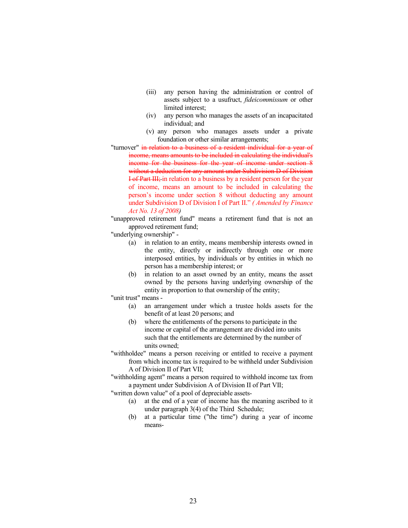- (iii) any person having the administration or control of assets subject to a usufruct, fideicommissum or other limited interest;
- (iv) any person who manages the assets of an incapacitated individual; and
- (v) any person who manages assets under a private foundation or other similar arrangements;
- "turnover" in relation to a business of a resident individual for a vear of income, means amounts to be included in calculating the individual's income for the business for the year of income under section 8 without a deduction for any amount under Subdivision D of Division I of Part III; in relation to a business by a resident person for the year of income, means an amount to be included in calculating the person's income under section 8 without deducting any amount under Subdivision D of Division I of Part II." ( Amended by Finance Act No. 13 of 2008)

"unapproved retirement fund" means a retirement fund that is not an approved retirement fund;

"underlying ownership" -

- (a) in relation to an entity, means membership interests owned in the entity, directly or indirectly through one or more interposed entities, by individuals or by entities in which no person has a membership interest; or
- (b) in relation to an asset owned by an entity, means the asset owned by the persons having underlying ownership of the entity in proportion to that ownership of the entity;

"unit trust" means -

- (a) an arrangement under which a trustee holds assets for the benefit of at least 20 persons; and
- (b) where the entitlements of the persons to participate in the income or capital of the arrangement are divided into units such that the entitlements are determined by the number of units owned;
- "withholdee" means a person receiving or entitled to receive a payment from which income tax is required to be withheld under Subdivision A of Division II of Part VII;

"withholding agent" means a person required to withhold income tax from a payment under Subdivision A of Division II of Part VII;

"written down value" of a pool of depreciable assets-

- (a) at the end of a year of income has the meaning ascribed to it under paragraph 3(4) of the Third Schedule;
- (b) at a particular time ("the time") during a year of income means-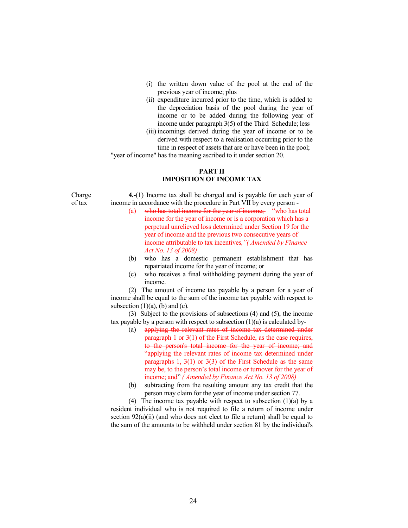- (i) the written down value of the pool at the end of the previous year of income; plus
- (ii) expenditure incurred prior to the time, which is added to the depreciation basis of the pool during the year of income or to be added during the following year of income under paragraph 3(5) of the Third Schedule; less
- (iii) incomings derived during the year of income or to be derived with respect to a realisation occurring prior to the time in respect of assets that are or have been in the pool;

"year of income" has the meaning ascribed to it under section 20.

# PART II IMPOSITION OF INCOME TAX

Charge of tax

 4.-(1) Income tax shall be charged and is payable for each year of income in accordance with the procedure in Part VII by every person -

- (a) who has total income for the year of income; "who has total income for the year of income or is a corporation which has a perpetual unrelieved loss determined under Section 19 for the year of income and the previous two consecutive years of income attributable to tax incentives,"( Amended by Finance Act No. 13 of 2008)
- (b) who has a domestic permanent establishment that has repatriated income for the year of income; or
- (c) who receives a final withholding payment during the year of income.

 (2) The amount of income tax payable by a person for a year of income shall be equal to the sum of the income tax payable with respect to subsection  $(1)(a)$ ,  $(b)$  and  $(c)$ .

 (3) Subject to the provisions of subsections (4) and (5), the income tax payable by a person with respect to subsection (1)(a) is calculated by-

- (a) applying the relevant rates of income tax determined under paragraph 1 or 3(1) of the First Schedule, as the case requires, to the person's total income for the year of income; and "applying the relevant rates of income tax determined under paragraphs 1, 3(1) or 3(3) of the First Schedule as the same may be, to the person's total income or turnover for the year of income; and" ( Amended by Finance Act No. 13 of 2008)
- (b) subtracting from the resulting amount any tax credit that the person may claim for the year of income under section 77.

 (4) The income tax payable with respect to subsection (1)(a) by a resident individual who is not required to file a return of income under section 92(a)(ii) (and who does not elect to file a return) shall be equal to the sum of the amounts to be withheld under section 81 by the individual's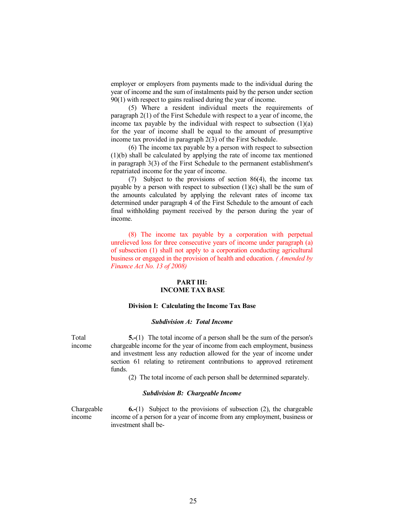employer or employers from payments made to the individual during the year of income and the sum of instalments paid by the person under section 90(1) with respect to gains realised during the year of income.

(5) Where a resident individual meets the requirements of paragraph 2(1) of the First Schedule with respect to a year of income, the income tax payable by the individual with respect to subsection  $(1)(a)$ for the year of income shall be equal to the amount of presumptive income tax provided in paragraph 2(3) of the First Schedule.

 (6) The income tax payable by a person with respect to subsection (1)(b) shall be calculated by applying the rate of income tax mentioned in paragraph 3(3) of the First Schedule to the permanent establishment's repatriated income for the year of income.

(7) Subject to the provisions of section 86(4), the income tax payable by a person with respect to subsection  $(1)(c)$  shall be the sum of the amounts calculated by applying the relevant rates of income tax determined under paragraph 4 of the First Schedule to the amount of each final withholding payment received by the person during the year of income.

(8) The income tax payable by a corporation with perpetual unrelieved loss for three consecutive years of income under paragraph (a) of subsection (1) shall not apply to a corporation conducting agricultural business or engaged in the provision of health and education. ( Amended by Finance Act No. 13 of 2008)

# PART III: INCOME TAX BASE

#### Division I: Calculating the Income Tax Base

#### Subdivision A: Total Income

Total income

5.-(1) The total income of a person shall be the sum of the person's chargeable income for the year of income from each employment, business and investment less any reduction allowed for the year of income under section 61 relating to retirement contributions to approved retirement funds.

(2) The total income of each person shall be determined separately.

### Subdivision B: Chargeable Income

Chargeable income 6.-(1) Subject to the provisions of subsection (2), the chargeable income of a person for a year of income from any employment, business or investment shall be-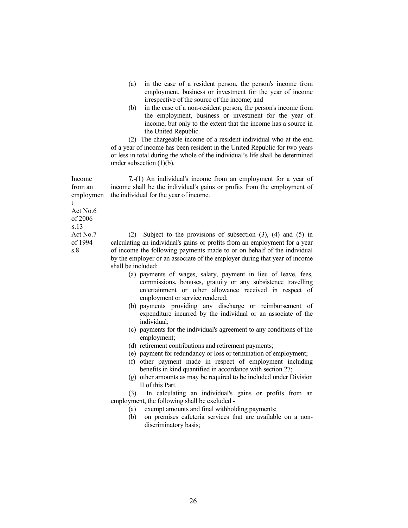- (a) in the case of a resident person, the person's income from employment, business or investment for the year of income irrespective of the source of the income; and
- (b) in the case of a non-resident person, the person's income from the employment, business or investment for the year of income, but only to the extent that the income has a source in the United Republic.

 (2) The chargeable income of a resident individual who at the end of a year of income has been resident in the United Republic for two years or less in total during the whole of the individual's life shall be determined under subsection (1)(b).

7.-(1) An individual's income from an employment for a year of income shall be the individual's gains or profits from the employment of the individual for the year of income.

(2) Subject to the provisions of subsection (3), (4) and (5) in calculating an individual's gains or profits from an employment for a year of income the following payments made to or on behalf of the individual by the employer or an associate of the employer during that year of income shall be included:

- (a) payments of wages, salary, payment in lieu of leave, fees, commissions, bonuses, gratuity or any subsistence travelling entertainment or other allowance received in respect of employment or service rendered;
- (b) payments providing any discharge or reimbursement of expenditure incurred by the individual or an associate of the individual;
- (c) payments for the individual's agreement to any conditions of the employment;
- (d) retirement contributions and retirement payments;
- (e) payment for redundancy or loss or termination of employment;
- (f) other payment made in respect of employment including benefits in kind quantified in accordance with section 27;
- (g) other amounts as may be required to be included under Division II of this Part.

 (3) In calculating an individual's gains or profits from an employment, the following shall be excluded -

- (a) exempt amounts and final withholding payments;
- (b) on premises cafeteria services that are available on a nondiscriminatory basis;

from an employmen t Act No.6 of 2006 S.13 Act No.7 of 1994

s.8

Income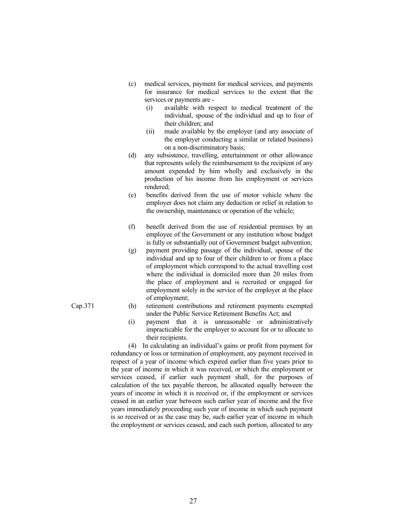- (c) medical services, payment for medical services, and payments for insurance for medical services to the extent that the services or payments are -
	- (i) available with respect to medical treatment of the individual, spouse of the individual and up to four of their children; and
	- (ii) made available by the employer (and any associate of the employer conducting a similar or related business) on a non-discriminatory basis;
- (d) any subsistence, travelling, entertainment or other allowance that represents solely the reimbursement to the recipient of any amount expended by him wholly and exclusively in the production of his income from his employment or services rendered;
- (e) benefits derived from the use of motor vehicle where the employer does not claim any deduction or relief in relation to the ownership, maintenance or operation of the vehicle;
- (f) benefit derived from the use of residential premises by an employee of the Government or any institution whose budget is fully or substantially out of Government budget subvention;
- (g) payment providing passage of the individual, spouse of the individual and up to four of their children to or from a place of employment which correspond to the actual travelling cost where the individual is domiciled more than 20 miles from the place of employment and is recruited or engaged for employment solely in the service of the employer at the place of employment;
- Cap.371 (h) retirement contributions and retirement payments exempted under the Public Service Retirement Benefits Act; and
	- (i) payment that it is unreasonable or administratively impracticable for the employer to account for or to allocate to their recipients.

 (4) In calculating an individual's gains or profit from payment for redundancy or loss or termination of employment, any payment received in respect of a year of income which expired earlier than five years prior to the year of income in which it was received, or which the employment or services ceased, if earlier such payment shall, for the purposes of calculation of the tax payable thereon, be allocated equally between the years of income in which it is received or, if the employment or services ceased in an earlier year between such earlier year of income and the five years immediately proceeding such year of income in which such payment is so received or as the case may be, such earlier year of income in which the employment or services ceased, and each such portion, allocated to any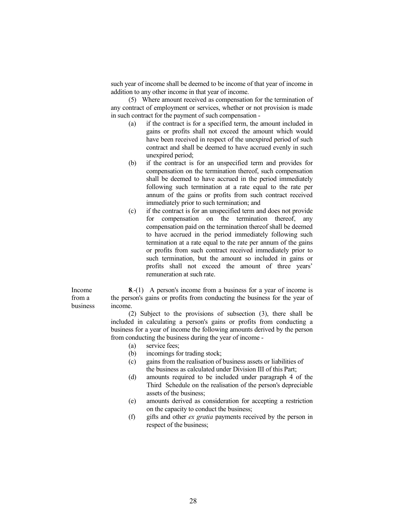such year of income shall be deemed to be income of that year of income in addition to any other income in that year of income.

 (5) Where amount received as compensation for the termination of any contract of employment or services, whether or not provision is made in such contract for the payment of such compensation -

- (a) if the contract is for a specified term, the amount included in gains or profits shall not exceed the amount which would have been received in respect of the unexpired period of such contract and shall be deemed to have accrued evenly in such unexpired period;
- (b) if the contract is for an unspecified term and provides for compensation on the termination thereof, such compensation shall be deemed to have accrued in the period immediately following such termination at a rate equal to the rate per annum of the gains or profits from such contract received immediately prior to such termination; and
- (c) if the contract is for an unspecified term and does not provide for compensation on the termination thereof, any compensation paid on the termination thereof shall be deemed to have accrued in the period immediately following such termination at a rate equal to the rate per annum of the gains or profits from such contract received immediately prior to such termination, but the amount so included in gains or profits shall not exceed the amount of three years' remuneration at such rate.

Income from a business 8.-(1) A person's income from a business for a year of income is the person's gains or profits from conducting the business for the year of income.

> (2) Subject to the provisions of subsection (3), there shall be included in calculating a person's gains or profits from conducting a business for a year of income the following amounts derived by the person from conducting the business during the year of income -

- (a) service fees;
- (b) incomings for trading stock;
- (c) gains from the realisation of business assets or liabilities of the business as calculated under Division III of this Part;
- (d) amounts required to be included under paragraph 4 of the Third Schedule on the realisation of the person's depreciable assets of the business;
- (e) amounts derived as consideration for accepting a restriction on the capacity to conduct the business;
- (f) gifts and other ex gratia payments received by the person in respect of the business;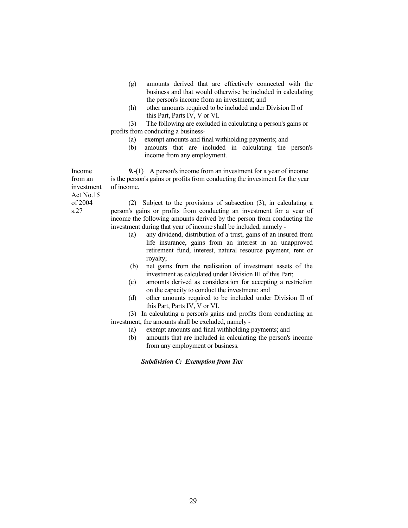- (g) amounts derived that are effectively connected with the business and that would otherwise be included in calculating the person's income from an investment; and
- (h) other amounts required to be included under Division II of this Part, Parts IV, V or VI.

 (3) The following are excluded in calculating a person's gains or profits from conducting a business-

- (a) exempt amounts and final withholding payments; and
- (b) amounts that are included in calculating the person's income from any employment.

9.-(1) A person's income from an investment for a year of income is the person's gains or profits from conducting the investment for the year of income.

Act No.15 of 2004

Income from an investment

s.27

(2) Subject to the provisions of subsection (3), in calculating a person's gains or profits from conducting an investment for a year of income the following amounts derived by the person from conducting the investment during that year of income shall be included, namely -

- (a) any dividend, distribution of a trust, gains of an insured from life insurance, gains from an interest in an unapproved retirement fund, interest, natural resource payment, rent or royalty;
- (b) net gains from the realisation of investment assets of the investment as calculated under Division III of this Part;
- (c) amounts derived as consideration for accepting a restriction on the capacity to conduct the investment; and
- (d) other amounts required to be included under Division II of this Part, Parts IV, V or VI.

(3) In calculating a person's gains and profits from conducting an investment, the amounts shall be excluded, namely -

- (a) exempt amounts and final withholding payments; and
- (b) amounts that are included in calculating the person's income from any employment or business.

Subdivision C: Exemption from Tax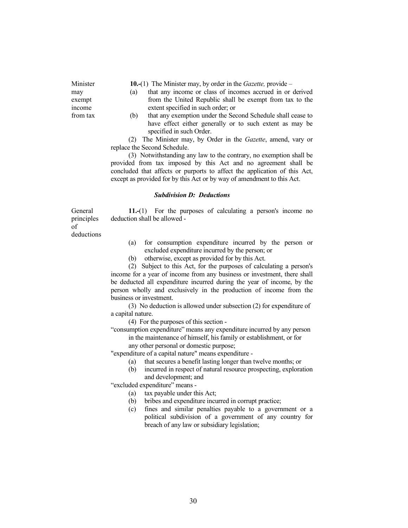10.-(1) The Minister may, by order in the *Gazette*, provide –

- (a) that any income or class of incomes accrued in or derived from the United Republic shall be exempt from tax to the extent specified in such order; or
- (b) that any exemption under the Second Schedule shall cease to have effect either generally or to such extent as may be specified in such Order.

(2) The Minister may, by Order in the Gazette, amend, vary or replace the Second Schedule.

 (3) Notwithstanding any law to the contrary, no exemption shall be provided from tax imposed by this Act and no agreement shall be concluded that affects or purports to affect the application of this Act, except as provided for by this Act or by way of amendment to this Act.

#### Subdivision D: Deductions

General principles of deductions

Minister may exempt income from tax

> 11.-(1) For the purposes of calculating a person's income no deduction shall be allowed -

- (a) for consumption expenditure incurred by the person or excluded expenditure incurred by the person; or
- (b) otherwise, except as provided for by this Act.

 (2) Subject to this Act, for the purposes of calculating a person's income for a year of income from any business or investment, there shall be deducted all expenditure incurred during the year of income, by the person wholly and exclusively in the production of income from the business or investment.

(3) No deduction is allowed under subsection (2) for expenditure of a capital nature.

(4) For the purposes of this section -

 "consumption expenditure" means any expenditure incurred by any person in the maintenance of himself, his family or establishment, or for

any other personal or domestic purpose;

"expenditure of a capital nature" means expenditure -

- (a) that secures a benefit lasting longer than twelve months; or
- (b) incurred in respect of natural resource prospecting, exploration and development; and

"excluded expenditure" means -

(a) tax payable under this Act;

- (b) bribes and expenditure incurred in corrupt practice;
- (c) fines and similar penalties payable to a government or a political subdivision of a government of any country for breach of any law or subsidiary legislation;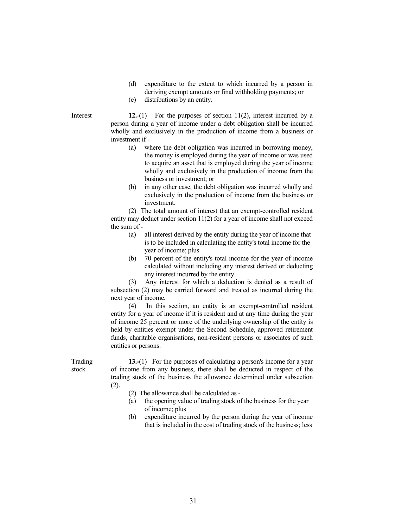- (d) expenditure to the extent to which incurred by a person in deriving exempt amounts or final withholding payments; or
- (e) distributions by an entity.

Interest 12.-(1) For the purposes of section 11(2), interest incurred by a person during a year of income under a debt obligation shall be incurred wholly and exclusively in the production of income from a business or investment if -

- (a) where the debt obligation was incurred in borrowing money, the money is employed during the year of income or was used to acquire an asset that is employed during the year of income wholly and exclusively in the production of income from the business or investment; or
- (b) in any other case, the debt obligation was incurred wholly and exclusively in the production of income from the business or investment.

 (2) The total amount of interest that an exempt-controlled resident entity may deduct under section 11(2) for a year of income shall not exceed the sum of -

- (a) all interest derived by the entity during the year of income that is to be included in calculating the entity's total income for the year of income; plus
- (b) 70 percent of the entity's total income for the year of income calculated without including any interest derived or deducting any interest incurred by the entity.

 (3) Any interest for which a deduction is denied as a result of subsection (2) may be carried forward and treated as incurred during the next year of income.

 (4) In this section, an entity is an exempt-controlled resident entity for a year of income if it is resident and at any time during the year of income 25 percent or more of the underlying ownership of the entity is held by entities exempt under the Second Schedule, approved retirement funds, charitable organisations, non-resident persons or associates of such entities or persons.

Trading stock

13.-(1) For the purposes of calculating a person's income for a year of income from any business, there shall be deducted in respect of the trading stock of the business the allowance determined under subsection (2).

- (2) The allowance shall be calculated as -
- (a) the opening value of trading stock of the business for the year of income; plus
- (b) expenditure incurred by the person during the year of income that is included in the cost of trading stock of the business; less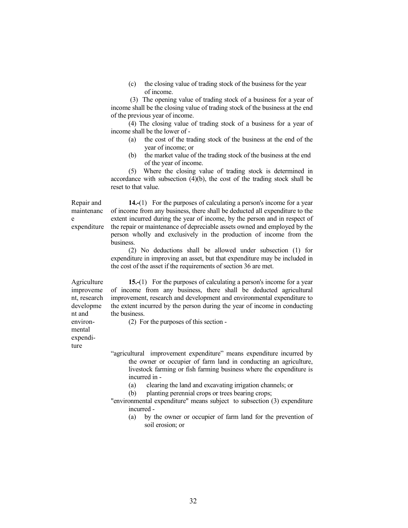(c) the closing value of trading stock of the business for the year of income.

 (3) The opening value of trading stock of a business for a year of income shall be the closing value of trading stock of the business at the end of the previous year of income.

 (4) The closing value of trading stock of a business for a year of income shall be the lower of -

- (a) the cost of the trading stock of the business at the end of the year of income; or
- (b) the market value of the trading stock of the business at the end of the year of income.

 (5) Where the closing value of trading stock is determined in accordance with subsection  $(4)(b)$ , the cost of the trading stock shall be reset to that value.

Repair and maintenanc e expenditure

14.-(1) For the purposes of calculating a person's income for a year of income from any business, there shall be deducted all expenditure to the extent incurred during the year of income, by the person and in respect of the repair or maintenance of depreciable assets owned and employed by the person wholly and exclusively in the production of income from the business.

 (2) No deductions shall be allowed under subsection (1) for expenditure in improving an asset, but that expenditure may be included in the cost of the asset if the requirements of section 36 are met.

Agriculture improveme nt, research developme nt and environmental expenditure

 15.-(1) For the purposes of calculating a person's income for a year of income from any business, there shall be deducted agricultural improvement, research and development and environmental expenditure to the extent incurred by the person during the year of income in conducting the business.

(2) For the purposes of this section -

 "agricultural improvement expenditure" means expenditure incurred by the owner or occupier of farm land in conducting an agriculture, livestock farming or fish farming business where the expenditure is incurred in -

(a) clearing the land and excavating irrigation channels; or

(b) planting perennial crops or trees bearing crops;

 "environmental expenditure" means subject to subsection (3) expenditure incurred -

 (a) by the owner or occupier of farm land for the prevention of soil erosion; or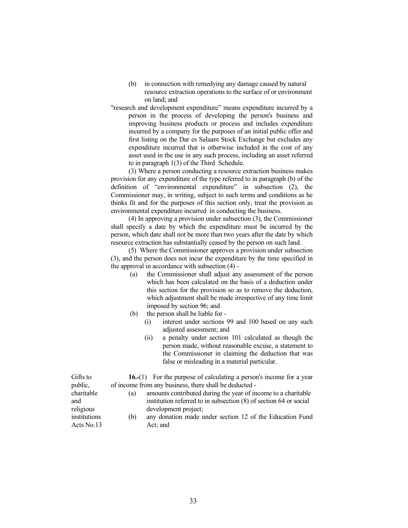- (b) in connection with remedying any damage caused by natural resource extraction operations to the surface of or environment on land; and
- "research and development expenditure" means expenditure incurred by a person in the process of developing the person's business and improving business products or process and includes expenditure incurred by a company for the purposes of an initial public offer and first listing on the Dar es Salaam Stock Exchange but excludes any expenditure incurred that is otherwise included in the cost of any asset used in the use in any such process, including an asset referred to in paragraph 1(3) of the Third Schedule.

 (3) Where a person conducting a resource extraction business makes provision for any expenditure of the type referred to in paragraph (b) of the definition of "environmental expenditure" in subsection (2), the Commissioner may, in writing, subject to such terms and conditions as he thinks fit and for the purposes of this section only, treat the provision as environmental expenditure incurred in conducting the business.

 (4) In approving a provision under subsection (3), the Commissioner shall specify a date by which the expenditure must be incurred by the person, which date shall not be more than two years after the date by which resource extraction has substantially ceased by the person on such land.

 (5) Where the Commissioner approves a provision under subsection (3), and the person does not incur the expenditure by the time specified in the approval in accordance with subsection (4) -

- (a) the Commissioner shall adjust any assessment of the person which has been calculated on the basis of a deduction under this section for the provision so as to remove the deduction, which adjustment shall be made irrespective of any time limit imposed by section 96; and
- (b) the person shall be liable for
	- (i) interest under sections 99 and 100 based on any such adjusted assessment; and
	- (ii) a penalty under section 101 calculated as though the person made, without reasonable excuse, a statement to the Commissioner in claiming the deduction that was false or misleading in a material particular.

16.-(1) For the purpose of calculating a person's income for a year of income from any business, there shall be deducted -

- (a) amounts contributed during the year of income to a charitable institution referred to in subsection (8) of section 64 or social development project;
- (b) any donation made under section 12 of the Education Fund Act; and

Gifts to public, charitable and religious institutions Acts No.13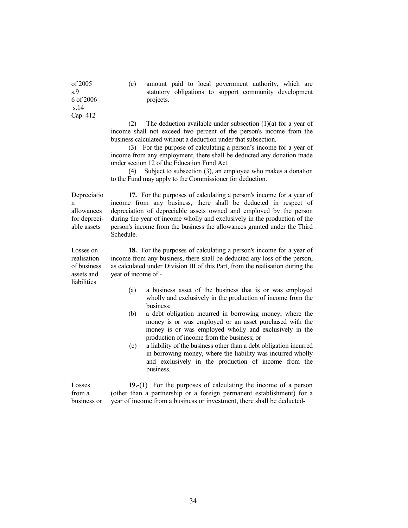of 2005 s.9 6 of 2006 s.14 Cap. 412

(c) amount paid to local government authority, which are statutory obligations to support community development projects.

 (2) The deduction available under subsection (1)(a) for a year of income shall not exceed two percent of the person's income from the business calculated without a deduction under that subsection.

 (3) For the purpose of calculating a person's income for a year of income from any employment, there shall be deducted any donation made under section 12 of the Education Fund Act.

 (4) Subject to subsection (3), an employee who makes a donation to the Fund may apply to the Commissioner for deduction.

Depreciatio n allowances for depreciable assets

Losses on realisation of business assets and liabilities

17. For the purposes of calculating a person's income for a year of income from any business, there shall be deducted in respect of depreciation of depreciable assets owned and employed by the person during the year of income wholly and exclusively in the production of the person's income from the business the allowances granted under the Third Schedule.

 18. For the purposes of calculating a person's income for a year of income from any business, there shall be deducted any loss of the person, as calculated under Division III of this Part, from the realisation during the year of income of -

- (a) a business asset of the business that is or was employed wholly and exclusively in the production of income from the business;
- (b) a debt obligation incurred in borrowing money, where the money is or was employed or an asset purchased with the money is or was employed wholly and exclusively in the production of income from the business; or
- (c) a liability of the business other than a debt obligation incurred in borrowing money, where the liability was incurred wholly and exclusively in the production of income from the business.

Losses from a business or 19.-(1) For the purposes of calculating the income of a person (other than a partnership or a foreign permanent establishment) for a year of income from a business or investment, there shall be deducted-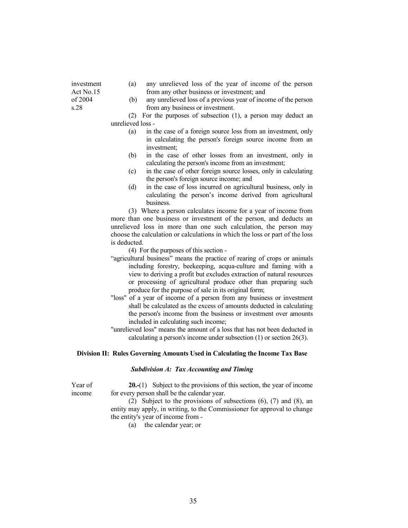- investment Act No.15 of 2004 s.28
- (a) any unrelieved loss of the year of income of the person from any other business or investment; and
- (b) any unrelieved loss of a previous year of income of the person from any business or investment.

 (2) For the purposes of subsection (1), a person may deduct an unrelieved loss -

- (a) in the case of a foreign source loss from an investment, only in calculating the person's foreign source income from an investment;
- (b) in the case of other losses from an investment, only in calculating the person's income from an investment;
- (c) in the case of other foreign source losses, only in calculating the person's foreign source income; and
- (d) in the case of loss incurred on agricultural business, only in calculating the person's income derived from agricultural business.

 (3) Where a person calculates income for a year of income from more than one business or investment of the person, and deducts an unrelieved loss in more than one such calculation, the person may choose the calculation or calculations in which the loss or part of the loss is deducted.

(4) For the purposes of this section -

- "agricultural business" means the practice of rearing of crops or animals including forestry, beekeeping, acqua-culture and faming with a view to deriving a profit but excludes extraction of natural resources or processing of agricultural produce other than preparing such produce for the purpose of sale in its original form;
- "loss" of a year of income of a person from any business or investment shall be calculated as the excess of amounts deducted in calculating the person's income from the business or investment over amounts included in calculating such income;
- "unrelieved loss" means the amount of a loss that has not been deducted in calculating a person's income under subsection (1) or section 26(3).

#### Division II: Rules Governing Amounts Used in Calculating the Income Tax Base

#### Subdivision A: Tax Accounting and Timing

Year of income

20.-(1) Subject to the provisions of this section, the year of income for every person shall be the calendar year.

 (2) Subject to the provisions of subsections (6), (7) and (8), an entity may apply, in writing, to the Commissioner for approval to change the entity's year of income from -

(a) the calendar year; or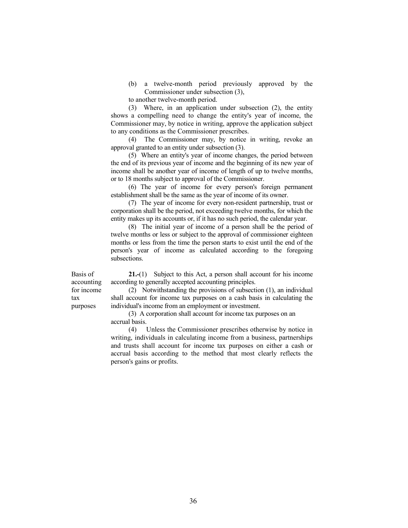(b) a twelve-month period previously approved by the Commissioner under subsection (3),

to another twelve-month period.

 (3) Where, in an application under subsection (2), the entity shows a compelling need to change the entity's year of income, the Commissioner may, by notice in writing, approve the application subject to any conditions as the Commissioner prescribes.

 (4) The Commissioner may, by notice in writing, revoke an approval granted to an entity under subsection (3).

 (5) Where an entity's year of income changes, the period between the end of its previous year of income and the beginning of its new year of income shall be another year of income of length of up to twelve months, or to 18 months subject to approval of the Commissioner.

 (6) The year of income for every person's foreign permanent establishment shall be the same as the year of income of its owner.

 (7) The year of income for every non-resident partnership, trust or corporation shall be the period, not exceeding twelve months, for which the entity makes up its accounts or, if it has no such period, the calendar year.

 (8) The initial year of income of a person shall be the period of twelve months or less or subject to the approval of commissioner eighteen months or less from the time the person starts to exist until the end of the person's year of income as calculated according to the foregoing subsections.

Basis of accounting for income tax purposes

 21.-(1) Subject to this Act, a person shall account for his income according to generally accepted accounting principles.

 (2) Notwithstanding the provisions of subsection (1), an individual shall account for income tax purposes on a cash basis in calculating the individual's income from an employment or investment.

 (3) A corporation shall account for income tax purposes on an accrual basis.

 (4) Unless the Commissioner prescribes otherwise by notice in writing, individuals in calculating income from a business, partnerships and trusts shall account for income tax purposes on either a cash or accrual basis according to the method that most clearly reflects the person's gains or profits.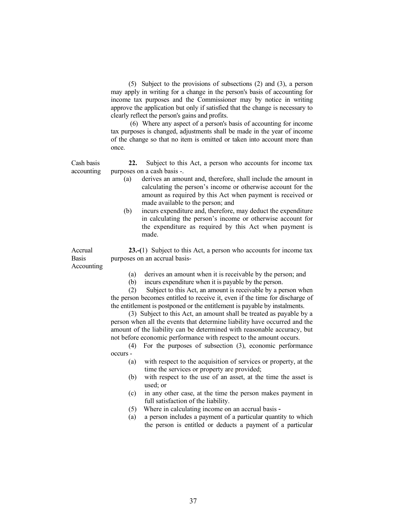(5) Subject to the provisions of subsections (2) and (3), a person may apply in writing for a change in the person's basis of accounting for income tax purposes and the Commissioner may by notice in writing approve the application but only if satisfied that the change is necessary to clearly reflect the person's gains and profits.

 (6) Where any aspect of a person's basis of accounting for income tax purposes is changed, adjustments shall be made in the year of income of the change so that no item is omitted or taken into account more than once.

Cash basis accounting

22. Subject to this Act, a person who accounts for income tax purposes on a cash basis -.

- (a) derives an amount and, therefore, shall include the amount in calculating the person's income or otherwise account for the amount as required by this Act when payment is received or made available to the person; and
- (b) incurs expenditure and, therefore, may deduct the expenditure in calculating the person's income or otherwise account for the expenditure as required by this Act when payment is made.

23.-(1) Subject to this Act, a person who accounts for income tax purposes on an accrual basis-

Accounting

Accrual **Basis** 

- (a) derives an amount when it is receivable by the person; and
- (b) incurs expenditure when it is payable by the person.

 (2) Subject to this Act, an amount is receivable by a person when the person becomes entitled to receive it, even if the time for discharge of the entitlement is postponed or the entitlement is payable by instalments.

 (3) Subject to this Act, an amount shall be treated as payable by a person when all the events that determine liability have occurred and the amount of the liability can be determined with reasonable accuracy, but not before economic performance with respect to the amount occurs.

 (4) For the purposes of subsection (3), economic performance occurs -

- (a) with respect to the acquisition of services or property, at the time the services or property are provided;
- (b) with respect to the use of an asset, at the time the asset is used; or
- (c) in any other case, at the time the person makes payment in full satisfaction of the liability.
- (5) Where in calculating income on an accrual basis -
- (a) a person includes a payment of a particular quantity to which the person is entitled or deducts a payment of a particular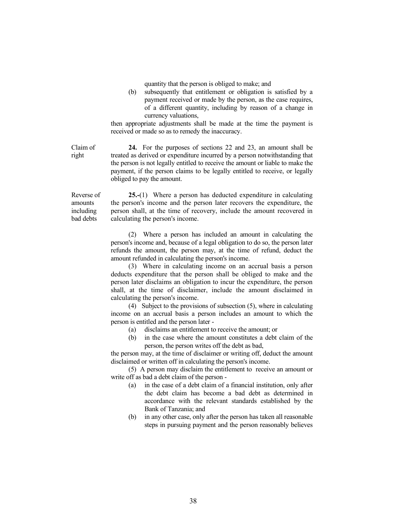quantity that the person is obliged to make; and

 (b) subsequently that entitlement or obligation is satisfied by a payment received or made by the person, as the case requires, of a different quantity, including by reason of a change in currency valuations,

 then appropriate adjustments shall be made at the time the payment is received or made so as to remedy the inaccuracy.

Claim of right 24. For the purposes of sections 22 and 23, an amount shall be treated as derived or expenditure incurred by a person notwithstanding that the person is not legally entitled to receive the amount or liable to make the payment, if the person claims to be legally entitled to receive, or legally obliged to pay the amount.

Reverse of amounts including bad debts

25.-(1) Where a person has deducted expenditure in calculating the person's income and the person later recovers the expenditure, the person shall, at the time of recovery, include the amount recovered in calculating the person's income.

 (2) Where a person has included an amount in calculating the person's income and, because of a legal obligation to do so, the person later refunds the amount, the person may, at the time of refund, deduct the amount refunded in calculating the person's income.

 (3) Where in calculating income on an accrual basis a person deducts expenditure that the person shall be obliged to make and the person later disclaims an obligation to incur the expenditure, the person shall, at the time of disclaimer, include the amount disclaimed in calculating the person's income.

 (4) Subject to the provisions of subsection (5), where in calculating income on an accrual basis a person includes an amount to which the person is entitled and the person later -

- (a) disclaims an entitlement to receive the amount; or
- (b) in the case where the amount constitutes a debt claim of the person, the person writes off the debt as bad,

 the person may, at the time of disclaimer or writing off, deduct the amount disclaimed or written off in calculating the person's income.

 (5) A person may disclaim the entitlement to receive an amount or write off as bad a debt claim of the person -

- (a) in the case of a debt claim of a financial institution, only after the debt claim has become a bad debt as determined in accordance with the relevant standards established by the Bank of Tanzania; and
- (b) in any other case, only after the person has taken all reasonable steps in pursuing payment and the person reasonably believes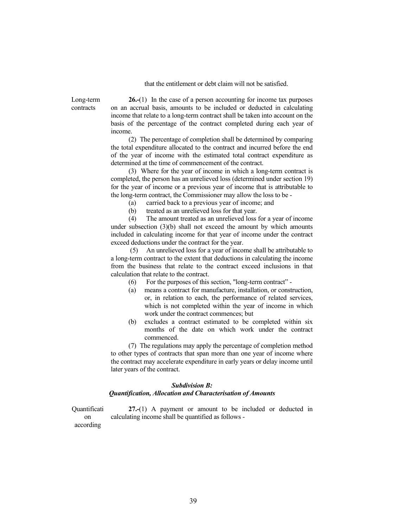that the entitlement or debt claim will not be satisfied.

Long-term contracts

26.-(1) In the case of a person accounting for income tax purposes on an accrual basis, amounts to be included or deducted in calculating income that relate to a long-term contract shall be taken into account on the basis of the percentage of the contract completed during each year of income.

 (2) The percentage of completion shall be determined by comparing the total expenditure allocated to the contract and incurred before the end of the year of income with the estimated total contract expenditure as determined at the time of commencement of the contract.

 (3) Where for the year of income in which a long-term contract is completed, the person has an unrelieved loss (determined under section 19) for the year of income or a previous year of income that is attributable to the long-term contract, the Commissioner may allow the loss to be -

(a) carried back to a previous year of income; and

(b) treated as an unrelieved loss for that year.

 (4) The amount treated as an unrelieved loss for a year of income under subsection (3)(b) shall not exceed the amount by which amounts included in calculating income for that year of income under the contract exceed deductions under the contract for the year.

 (5) An unrelieved loss for a year of income shall be attributable to a long-term contract to the extent that deductions in calculating the income from the business that relate to the contract exceed inclusions in that calculation that relate to the contract.

(6) For the purposes of this section, "long-term contract" -

- (a) means a contract for manufacture, installation, or construction, or, in relation to each, the performance of related services, which is not completed within the year of income in which work under the contract commences; but
- (b) excludes a contract estimated to be completed within six months of the date on which work under the contract commenced.

 (7) The regulations may apply the percentage of completion method to other types of contracts that span more than one year of income where the contract may accelerate expenditure in early years or delay income until later years of the contract.

# Subdivision B: Quantification, Allocation and Characterisation of Amounts

**Quantificati** on

 27.-(1) A payment or amount to be included or deducted in calculating income shall be quantified as follows -

according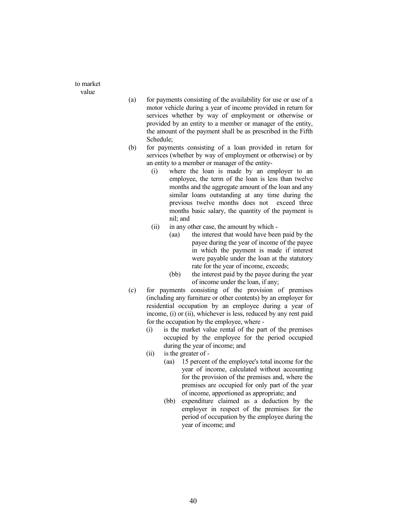to market value

- (a) for payments consisting of the availability for use or use of a motor vehicle during a year of income provided in return for services whether by way of employment or otherwise or provided by an entity to a member or manager of the entity, the amount of the payment shall be as prescribed in the Fifth Schedule;
- (b) for payments consisting of a loan provided in return for services (whether by way of employment or otherwise) or by an entity to a member or manager of the entity-
	- (i) where the loan is made by an employer to an employee, the term of the loan is less than twelve months and the aggregate amount of the loan and any similar loans outstanding at any time during the previous twelve months does not exceed three months basic salary, the quantity of the payment is nil; and
	- (ii) in any other case, the amount by which
		- (aa) the interest that would have been paid by the payee during the year of income of the payee in which the payment is made if interest were payable under the loan at the statutory rate for the year of income, exceeds;
		- (bb) the interest paid by the payee during the year of income under the loan, if any;
- (c) for payments consisting of the provision of premises (including any furniture or other contents) by an employer for residential occupation by an employee during a year of income, (i) or (ii), whichever is less, reduced by any rent paid for the occupation by the employee, where -
	- (i) is the market value rental of the part of the premises occupied by the employee for the period occupied during the year of income; and
	- (ii) is the greater of
		- (aa) 15 percent of the employee's total income for the year of income, calculated without accounting for the provision of the premises and, where the premises are occupied for only part of the year of income, apportioned as appropriate; and
		- (bb) expenditure claimed as a deduction by the employer in respect of the premises for the period of occupation by the employee during the year of income; and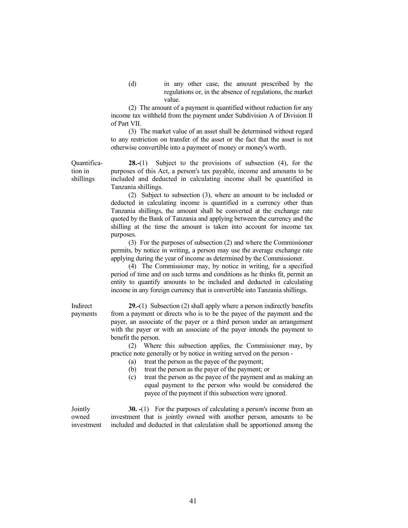(d) in any other case, the amount prescribed by the regulations or, in the absence of regulations, the market value.

 (2) The amount of a payment is quantified without reduction for any income tax withheld from the payment under Subdivision A of Division II of Part VII.

 (3) The market value of an asset shall be determined without regard to any restriction on transfer of the asset or the fact that the asset is not otherwise convertible into a payment of money or money's worth.

 28.-(1) Subject to the provisions of subsection (4), for the purposes of this Act, a person's tax payable, income and amounts to be included and deducted in calculating income shall be quantified in Tanzania shillings.

 (2) Subject to subsection (3), where an amount to be included or deducted in calculating income is quantified in a currency other than Tanzania shillings, the amount shall be converted at the exchange rate quoted by the Bank of Tanzania and applying between the currency and the shilling at the time the amount is taken into account for income tax purposes.

 (3) For the purposes of subsection (2) and where the Commissioner permits, by notice in writing, a person may use the average exchange rate applying during the year of income as determined by the Commissioner.

 (4) The Commissioner may, by notice in writing, for a specified period of time and on such terms and conditions as he thinks fit, permit an entity to quantify amounts to be included and deducted in calculating income in any foreign currency that is convertible into Tanzania shillings.

 29.-(1) Subsection (2) shall apply where a person indirectly benefits from a payment or directs who is to be the payee of the payment and the payer, an associate of the payer or a third person under an arrangement with the payer or with an associate of the payer intends the payment to benefit the person.

 (2) Where this subsection applies, the Commissioner may, by practice note generally or by notice in writing served on the person -

(a) treat the person as the payee of the payment;

- (b) treat the person as the payer of the payment; or
- (c) treat the person as the payee of the payment and as making an equal payment to the person who would be considered the payee of the payment if this subsection were ignored.

Jointly owned investment 30. -(1) For the purposes of calculating a person's income from an investment that is jointly owned with another person, amounts to be included and deducted in that calculation shall be apportioned among the

Quantification in shillings

Indirect

payments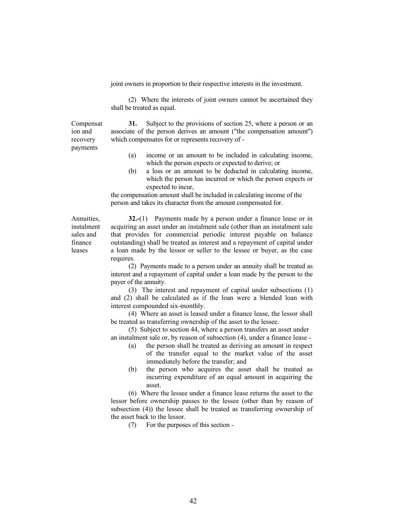joint owners in proportion to their respective interests in the investment.

 (2) Where the interests of joint owners cannot be ascertained they shall be treated as equal.

Compensat ion and recovery payments

31. Subject to the provisions of section 25, where a person or an associate of the person derives an amount ("the compensation amount") which compensates for or represents recovery of -

- (a) income or an amount to be included in calculating income, which the person expects or expected to derive; or
- (b) a loss or an amount to be deducted in calculating income, which the person has incurred or which the person expects or expected to incur,

 the compensation amount shall be included in calculating income of the person and takes its character from the amount compensated for.

Annuities, instalment sales and finance leases

32.-(1) Payments made by a person under a finance lease or in acquiring an asset under an instalment sale (other than an instalment sale that provides for commercial periodic interest payable on balance outstanding) shall be treated as interest and a repayment of capital under a loan made by the lessor or seller to the lessee or buyer, as the case requires.

 (2) Payments made to a person under an annuity shall be treated as interest and a repayment of capital under a loan made by the person to the payer of the annuity.

 (3) The interest and repayment of capital under subsections (1) and (2) shall be calculated as if the loan were a blended loan with interest compounded six-monthly.

 (4) Where an asset is leased under a finance lease, the lessor shall be treated as transferring ownership of the asset to the lessee.

 (5) Subject to section 44, where a person transfers an asset under an instalment sale or, by reason of subsection (4), under a finance lease -

- (a) the person shall be treated as deriving an amount in respect of the transfer equal to the market value of the asset immediately before the transfer; and
- (b) the person who acquires the asset shall be treated as incurring expenditure of an equal amount in acquiring the asset.

 (6) Where the lessee under a finance lease returns the asset to the lessor before ownership passes to the lessee (other than by reason of subsection (4)) the lessee shall be treated as transferring ownership of the asset back to the lessor.

(7) For the purposes of this section -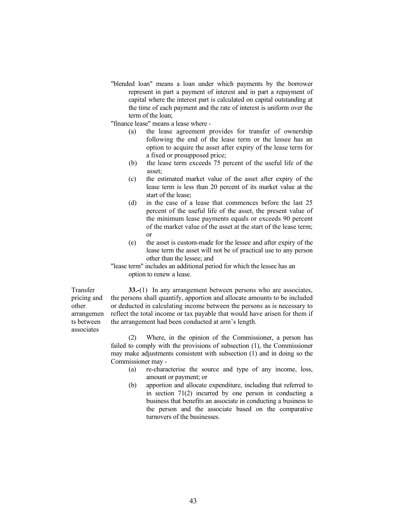"blended loan" means a loan under which payments by the borrower represent in part a payment of interest and in part a repayment of capital where the interest part is calculated on capital outstanding at the time of each payment and the rate of interest is uniform over the term of the loan;

"finance lease" means a lease where -

- (a) the lease agreement provides for transfer of ownership following the end of the lease term or the lessee has an option to acquire the asset after expiry of the lease term for a fixed or presupposed price;
- (b) the lease term exceeds 75 percent of the useful life of the asset;
- (c) the estimated market value of the asset after expiry of the lease term is less than 20 percent of its market value at the start of the lease;
- (d) in the case of a lease that commences before the last 25 percent of the useful life of the asset, the present value of the minimum lease payments equals or exceeds 90 percent of the market value of the asset at the start of the lease term; or
- (e) the asset is custom-made for the lessee and after expiry of the lease term the asset will not be of practical use to any person other than the lessee; and

 "lease term" includes an additional period for which the lessee has an option to renew a lease.

Transfer pricing and other arrangemen ts between associates

33.-(1) In any arrangement between persons who are associates, the persons shall quantify, apportion and allocate amounts to be included or deducted in calculating income between the persons as is necessary to reflect the total income or tax payable that would have arisen for them if the arrangement had been conducted at arm's length.

 (2) Where, in the opinion of the Commissioner, a person has failed to comply with the provisions of subsection (1), the Commissioner may make adjustments consistent with subsection (1) and in doing so the Commissioner may -

- (a) re-characterise the source and type of any income, loss, amount or payment; or
- (b) apportion and allocate expenditure, including that referred to in section 71(2) incurred by one person in conducting a business that benefits an associate in conducting a business to the person and the associate based on the comparative turnovers of the businesses.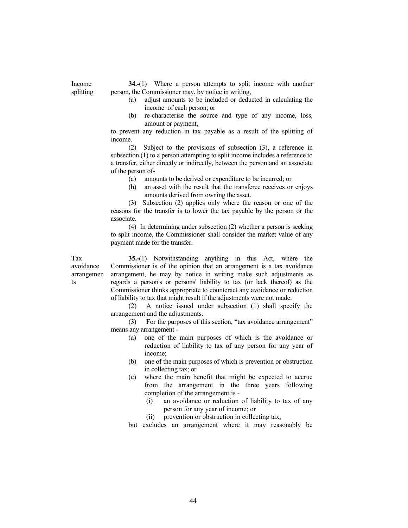34.-(1) Where a person attempts to split income with another person, the Commissioner may, by notice in writing,

- (a) adjust amounts to be included or deducted in calculating the income of each person; or
- (b) re-characterise the source and type of any income, loss, amount or payment,

 to prevent any reduction in tax payable as a result of the splitting of income.

 (2) Subject to the provisions of subsection (3), a reference in subsection (1) to a person attempting to split income includes a reference to a transfer, either directly or indirectly, between the person and an associate of the person of-

(a) amounts to be derived or expenditure to be incurred; or

 (b) an asset with the result that the transferee receives or enjoys amounts derived from owning the asset.

 (3) Subsection (2) applies only where the reason or one of the reasons for the transfer is to lower the tax payable by the person or the associate.

 (4) In determining under subsection (2) whether a person is seeking to split income, the Commissioner shall consider the market value of any payment made for the transfer.

Tax avoidance arrangemen ts

Income splitting

> 35.-(1) Notwithstanding anything in this Act, where the Commissioner is of the opinion that an arrangement is a tax avoidance arrangement, he may by notice in writing make such adjustments as regards a person's or persons' liability to tax (or lack thereof) as the Commissioner thinks appropriate to counteract any avoidance or reduction of liability to tax that might result if the adjustments were not made.

> (2) A notice issued under subsection (1) shall specify the arrangement and the adjustments.

> (3) For the purposes of this section, "tax avoidance arrangement" means any arrangement -

- (a) one of the main purposes of which is the avoidance or reduction of liability to tax of any person for any year of income;
- (b) one of the main purposes of which is prevention or obstruction in collecting tax; or
- (c) where the main benefit that might be expected to accrue from the arrangement in the three years following completion of the arrangement is -
	- (i) an avoidance or reduction of liability to tax of any person for any year of income; or
	- (ii) prevention or obstruction in collecting tax,

but excludes an arrangement where it may reasonably be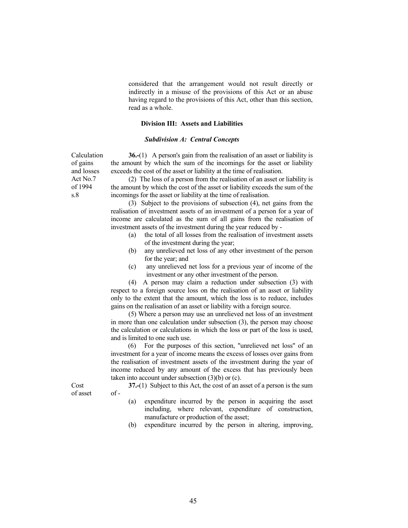considered that the arrangement would not result directly or indirectly in a misuse of the provisions of this Act or an abuse having regard to the provisions of this Act, other than this section, read as a whole.

#### Division III: Assets and Liabilities

## Subdivision A: Central Concepts

 36.-(1) A person's gain from the realisation of an asset or liability is the amount by which the sum of the incomings for the asset or liability exceeds the cost of the asset or liability at the time of realisation.

 (2) The loss of a person from the realisation of an asset or liability is the amount by which the cost of the asset or liability exceeds the sum of the incomings for the asset or liability at the time of realisation.

 (3) Subject to the provisions of subsection (4), net gains from the realisation of investment assets of an investment of a person for a year of income are calculated as the sum of all gains from the realisation of investment assets of the investment during the year reduced by -

- (a) the total of all losses from the realisation of investment assets of the investment during the year;
- (b) any unrelieved net loss of any other investment of the person for the year; and
- (c) any unrelieved net loss for a previous year of income of the investment or any other investment of the person.

 (4) A person may claim a reduction under subsection (3) with respect to a foreign source loss on the realisation of an asset or liability only to the extent that the amount, which the loss is to reduce, includes gains on the realisation of an asset or liability with a foreign source.

 (5) Where a person may use an unrelieved net loss of an investment in more than one calculation under subsection (3), the person may choose the calculation or calculations in which the loss or part of the loss is used, and is limited to one such use.

 (6) For the purposes of this section, "unrelieved net loss" of an investment for a year of income means the excess of losses over gains from the realisation of investment assets of the investment during the year of income reduced by any amount of the excess that has previously been taken into account under subsection (3)(b) or (c).

37.-(1) Subject to this Act, the cost of an asset of a person is the sum  $of -$ 

- (a) expenditure incurred by the person in acquiring the asset including, where relevant, expenditure of construction, manufacture or production of the asset;
- (b) expenditure incurred by the person in altering, improving,

Calculation of gains and losses Act No.7 of 1994 s.8

Cost of asset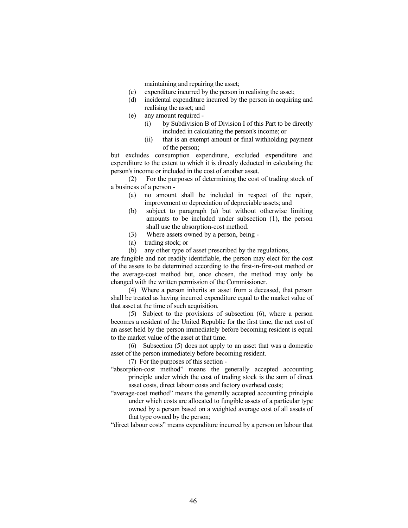maintaining and repairing the asset;

- (c) expenditure incurred by the person in realising the asset;
- (d) incidental expenditure incurred by the person in acquiring and realising the asset; and
- (e) any amount required
	- (i) by Subdivision B of Division I of this Part to be directly included in calculating the person's income; or
	- (ii) that is an exempt amount or final withholding payment of the person;

 but excludes consumption expenditure, excluded expenditure and expenditure to the extent to which it is directly deducted in calculating the person's income or included in the cost of another asset.

 (2) For the purposes of determining the cost of trading stock of a business of a person -

- (a) no amount shall be included in respect of the repair, improvement or depreciation of depreciable assets; and
- (b) subject to paragraph (a) but without otherwise limiting amounts to be included under subsection (1), the person shall use the absorption-cost method.
- (3) Where assets owned by a person, being -
- (a) trading stock; or
- (b) any other type of asset prescribed by the regulations,

 are fungible and not readily identifiable, the person may elect for the cost of the assets to be determined according to the first-in-first-out method or the average-cost method but, once chosen, the method may only be changed with the written permission of the Commissioner.

 (4) Where a person inherits an asset from a deceased, that person shall be treated as having incurred expenditure equal to the market value of that asset at the time of such acquisition.

 (5) Subject to the provisions of subsection (6), where a person becomes a resident of the United Republic for the first time, the net cost of an asset held by the person immediately before becoming resident is equal to the market value of the asset at that time.

 (6) Subsection (5) does not apply to an asset that was a domestic asset of the person immediately before becoming resident.

(7) For the purposes of this section -

- "absorption-cost method" means the generally accepted accounting principle under which the cost of trading stock is the sum of direct asset costs, direct labour costs and factory overhead costs;
- "average-cost method" means the generally accepted accounting principle under which costs are allocated to fungible assets of a particular type owned by a person based on a weighted average cost of all assets of that type owned by the person;

"direct labour costs" means expenditure incurred by a person on labour that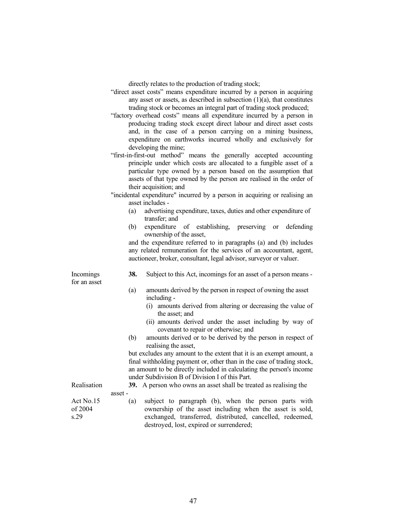directly relates to the production of trading stock;

|                              | "direct asset costs" means expenditure incurred by a person in acquiring<br>any asset or assets, as described in subsection $(1)(a)$ , that constitutes<br>trading stock or becomes an integral part of trading stock produced;<br>"factory overhead costs" means all expenditure incurred by a person in<br>producing trading stock except direct labour and direct asset costs<br>and, in the case of a person carrying on a mining business,<br>expenditure on earthworks incurred wholly and exclusively for<br>developing the mine;<br>"first-in-first-out method" means the generally accepted accounting<br>principle under which costs are allocated to a fungible asset of a<br>particular type owned by a person based on the assumption that<br>assets of that type owned by the person are realised in the order of |  |  |
|------------------------------|---------------------------------------------------------------------------------------------------------------------------------------------------------------------------------------------------------------------------------------------------------------------------------------------------------------------------------------------------------------------------------------------------------------------------------------------------------------------------------------------------------------------------------------------------------------------------------------------------------------------------------------------------------------------------------------------------------------------------------------------------------------------------------------------------------------------------------|--|--|
|                              | their acquisition; and<br>"incidental expenditure" incurred by a person in acquiring or realising an                                                                                                                                                                                                                                                                                                                                                                                                                                                                                                                                                                                                                                                                                                                            |  |  |
|                              | asset includes -                                                                                                                                                                                                                                                                                                                                                                                                                                                                                                                                                                                                                                                                                                                                                                                                                |  |  |
|                              | advertising expenditure, taxes, duties and other expenditure of<br>(a)<br>transfer; and                                                                                                                                                                                                                                                                                                                                                                                                                                                                                                                                                                                                                                                                                                                                         |  |  |
|                              | of establishing,<br>(b)<br>expenditure<br>preserving<br>defending<br>or<br>ownership of the asset,                                                                                                                                                                                                                                                                                                                                                                                                                                                                                                                                                                                                                                                                                                                              |  |  |
|                              | and the expenditure referred to in paragraphs (a) and (b) includes                                                                                                                                                                                                                                                                                                                                                                                                                                                                                                                                                                                                                                                                                                                                                              |  |  |
|                              | any related remuneration for the services of an accountant, agent,<br>auctioneer, broker, consultant, legal advisor, surveyor or valuer.                                                                                                                                                                                                                                                                                                                                                                                                                                                                                                                                                                                                                                                                                        |  |  |
| Incomings<br>for an asset    | 38.<br>Subject to this Act, incomings for an asset of a person means -                                                                                                                                                                                                                                                                                                                                                                                                                                                                                                                                                                                                                                                                                                                                                          |  |  |
|                              | (a)<br>amounts derived by the person in respect of owning the asset<br>including -                                                                                                                                                                                                                                                                                                                                                                                                                                                                                                                                                                                                                                                                                                                                              |  |  |
|                              | (i) amounts derived from altering or decreasing the value of<br>the asset; and                                                                                                                                                                                                                                                                                                                                                                                                                                                                                                                                                                                                                                                                                                                                                  |  |  |
|                              | (ii) amounts derived under the asset including by way of<br>covenant to repair or otherwise; and                                                                                                                                                                                                                                                                                                                                                                                                                                                                                                                                                                                                                                                                                                                                |  |  |
|                              | amounts derived or to be derived by the person in respect of<br>(b)<br>realising the asset,                                                                                                                                                                                                                                                                                                                                                                                                                                                                                                                                                                                                                                                                                                                                     |  |  |
|                              | but excludes any amount to the extent that it is an exempt amount, a                                                                                                                                                                                                                                                                                                                                                                                                                                                                                                                                                                                                                                                                                                                                                            |  |  |
|                              | final withholding payment or, other than in the case of trading stock,                                                                                                                                                                                                                                                                                                                                                                                                                                                                                                                                                                                                                                                                                                                                                          |  |  |
|                              | an amount to be directly included in calculating the person's income<br>under Subdivision B of Division I of this Part.                                                                                                                                                                                                                                                                                                                                                                                                                                                                                                                                                                                                                                                                                                         |  |  |
| Realisation                  | 39. A person who owns an asset shall be treated as realising the                                                                                                                                                                                                                                                                                                                                                                                                                                                                                                                                                                                                                                                                                                                                                                |  |  |
|                              | asset -                                                                                                                                                                                                                                                                                                                                                                                                                                                                                                                                                                                                                                                                                                                                                                                                                         |  |  |
| Act No.15<br>of 2004<br>s.29 | subject to paragraph (b), when the person parts with<br>(a)<br>ownership of the asset including when the asset is sold,<br>exchanged, transferred, distributed, cancelled, redeemed,<br>destroyed, lost, expired or surrendered;                                                                                                                                                                                                                                                                                                                                                                                                                                                                                                                                                                                                |  |  |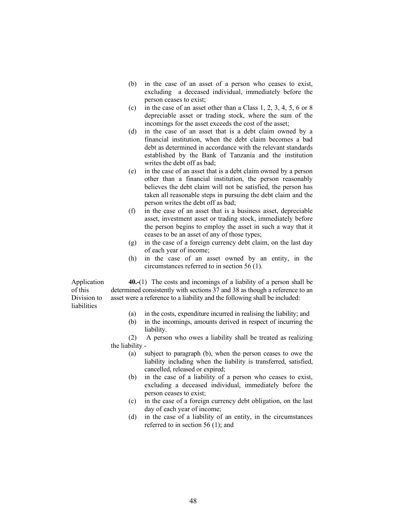- (b) in the case of an asset of a person who ceases to exist, excluding a deceased individual, immediately before the person ceases to exist;
- (c) in the case of an asset other than a Class 1, 2, 3, 4, 5, 6 or 8 depreciable asset or trading stock, where the sum of the incomings for the asset exceeds the cost of the asset;
- (d) in the case of an asset that is a debt claim owned by a financial institution, when the debt claim becomes a bad debt as determined in accordance with the relevant standards established by the Bank of Tanzania and the institution writes the debt off as bad;
- (e) in the case of an asset that is a debt claim owned by a person other than a financial institution, the person reasonably believes the debt claim will not be satisfied, the person has taken all reasonable steps in pursuing the debt claim and the person writes the debt off as bad;
- (f) in the case of an asset that is a business asset, depreciable asset, investment asset or trading stock, immediately before the person begins to employ the asset in such a way that it ceases to be an asset of any of those types;
- (g) in the case of a foreign currency debt claim, on the last day of each year of income;
- (h) in the case of an asset owned by an entity, in the circumstances referred to in section 56 (1).

Application of this Division to **liabilities** 40.-(1) The costs and incomings of a liability of a person shall be determined consistently with sections 37 and 38 as though a reference to an asset were a reference to a liability and the following shall be included:

- (a) in the costs, expenditure incurred in realising the liability; and
- (b) in the incomings, amounts derived in respect of incurring the liability.

(2) A person who owes a liability shall be treated as realizing the liability -

- (a) subject to paragraph (b), when the person ceases to owe the liability including when the liability is transferred, satisfied, cancelled, released or expired;
- (b) in the case of a liability of a person who ceases to exist, excluding a deceased individual, immediately before the person ceases to exist;
- (c) in the case of a foreign currency debt obligation, on the last day of each year of income;
- (d) in the case of a liability of an entity, in the circumstances referred to in section 56 (1); and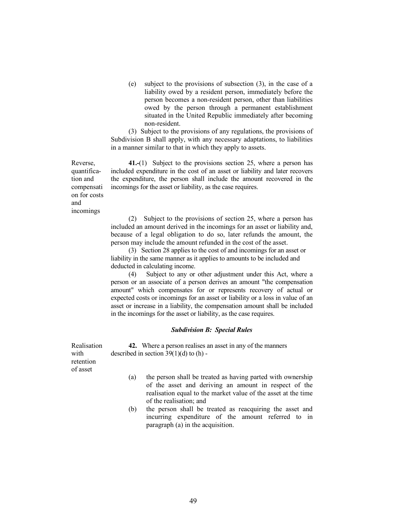(e) subject to the provisions of subsection (3), in the case of a liability owed by a resident person, immediately before the person becomes a non-resident person, other than liabilities owed by the person through a permanent establishment situated in the United Republic immediately after becoming non-resident.

 (3) Subject to the provisions of any regulations, the provisions of Subdivision B shall apply, with any necessary adaptations, to liabilities in a manner similar to that in which they apply to assets.

 41.-(1) Subject to the provisions section 25, where a person has included expenditure in the cost of an asset or liability and later recovers the expenditure, the person shall include the amount recovered in the incomings for the asset or liability, as the case requires.

Reverse, quantification and compensati on for costs and incomings

> (2) Subject to the provisions of section 25, where a person has included an amount derived in the incomings for an asset or liability and, because of a legal obligation to do so, later refunds the amount, the person may include the amount refunded in the cost of the asset.

 (3) Section 28 applies to the cost of and incomings for an asset or liability in the same manner as it applies to amounts to be included and deducted in calculating income.

 (4) Subject to any or other adjustment under this Act, where a person or an associate of a person derives an amount "the compensation amount" which compensates for or represents recovery of actual or expected costs or incomings for an asset or liability or a loss in value of an asset or increase in a liability, the compensation amount shall be included in the incomings for the asset or liability, as the case requires.

#### Subdivision B: Special Rules

Realisation with retention of asset 42. Where a person realises an asset in any of the manners described in section  $39(1)(d)$  to (h) -

- (a) the person shall be treated as having parted with ownership of the asset and deriving an amount in respect of the realisation equal to the market value of the asset at the time of the realisation; and
- (b) the person shall be treated as reacquiring the asset and incurring expenditure of the amount referred to in paragraph (a) in the acquisition.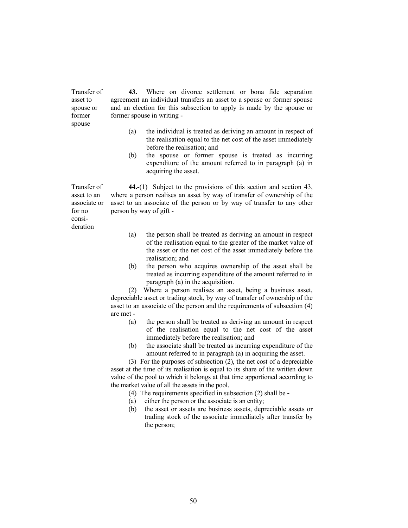Transfer of asset to spouse or former spouse 43. Where on divorce settlement or bona fide separation agreement an individual transfers an asset to a spouse or former spouse and an election for this subsection to apply is made by the spouse or former spouse in writing -

- (a) the individual is treated as deriving an amount in respect of the realisation equal to the net cost of the asset immediately before the realisation; and
- (b) the spouse or former spouse is treated as incurring expenditure of the amount referred to in paragraph (a) in acquiring the asset.

Transfer of 44.-(1) Subject to the provisions of this section and section 43, where a person realises an asset by way of transfer of ownership of the asset to an associate of the person or by way of transfer to any other person by way of gift -

- (a) the person shall be treated as deriving an amount in respect of the realisation equal to the greater of the market value of the asset or the net cost of the asset immediately before the realisation; and
- (b) the person who acquires ownership of the asset shall be treated as incurring expenditure of the amount referred to in paragraph (a) in the acquisition.

 (2) Where a person realises an asset, being a business asset, depreciable asset or trading stock, by way of transfer of ownership of the asset to an associate of the person and the requirements of subsection (4) are met -

- (a) the person shall be treated as deriving an amount in respect of the realisation equal to the net cost of the asset immediately before the realisation; and
- (b) the associate shall be treated as incurring expenditure of the amount referred to in paragraph (a) in acquiring the asset.

 (3) For the purposes of subsection (2), the net cost of a depreciable asset at the time of its realisation is equal to its share of the written down value of the pool to which it belongs at that time apportioned according to the market value of all the assets in the pool.

- (4) The requirements specified in subsection (2) shall be -
- (a) either the person or the associate is an entity;
- (b) the asset or assets are business assets, depreciable assets or trading stock of the associate immediately after transfer by the person;

asset to an associate or for no consideration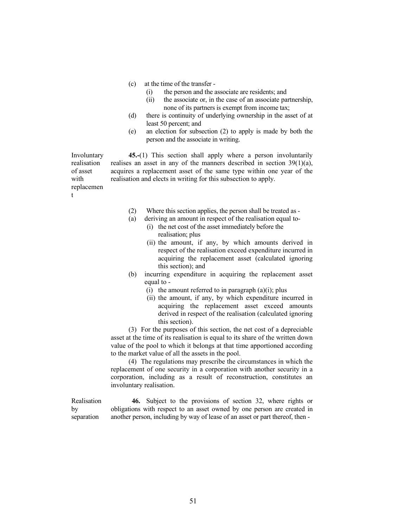(c) at the time of the transfer -

t

- (i) the person and the associate are residents; and
- (ii) the associate or, in the case of an associate partnership, none of its partners is exempt from income tax;
- (d) there is continuity of underlying ownership in the asset of at least 50 percent; and
- (e) an election for subsection (2) to apply is made by both the person and the associate in writing.

Involuntary realisation of asset with replacemen 45.-(1) This section shall apply where a person involuntarily realises an asset in any of the manners described in section 39(1)(a), acquires a replacement asset of the same type within one year of the realisation and elects in writing for this subsection to apply.

- (2) Where this section applies, the person shall be treated as -
- (a) deriving an amount in respect of the realisation equal to-
	- (i) the net cost of the asset immediately before the realisation; plus
		- (ii) the amount, if any, by which amounts derived in respect of the realisation exceed expenditure incurred in acquiring the replacement asset (calculated ignoring this section); and
- (b) incurring expenditure in acquiring the replacement asset equal to -
	- (i) the amount referred to in paragraph  $(a)(i)$ ; plus
	- (ii) the amount, if any, by which expenditure incurred in acquiring the replacement asset exceed amounts derived in respect of the realisation (calculated ignoring this section).

(3) For the purposes of this section, the net cost of a depreciable asset at the time of its realisation is equal to its share of the written down value of the pool to which it belongs at that time apportioned according to the market value of all the assets in the pool.

(4) The regulations may prescribe the circumstances in which the replacement of one security in a corporation with another security in a corporation, including as a result of reconstruction, constitutes an involuntary realisation.

Realisation by separation 46. Subject to the provisions of section 32, where rights or obligations with respect to an asset owned by one person are created in another person, including by way of lease of an asset or part thereof, then -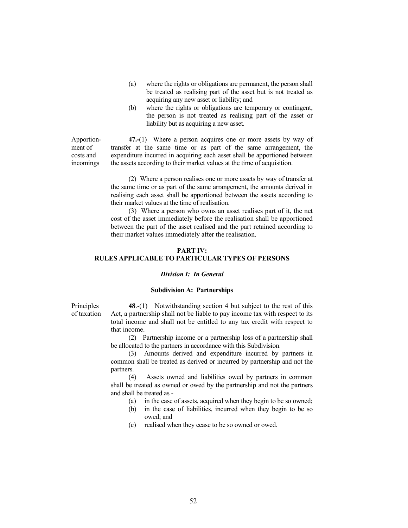- (a) where the rights or obligations are permanent, the person shall be treated as realising part of the asset but is not treated as acquiring any new asset or liability; and
- (b) where the rights or obligations are temporary or contingent, the person is not treated as realising part of the asset or liability but as acquiring a new asset.

Apportionment of costs and incomings

 47.-(1) Where a person acquires one or more assets by way of transfer at the same time or as part of the same arrangement, the expenditure incurred in acquiring each asset shall be apportioned between the assets according to their market values at the time of acquisition.

 (2) Where a person realises one or more assets by way of transfer at the same time or as part of the same arrangement, the amounts derived in realising each asset shall be apportioned between the assets according to their market values at the time of realisation.

 (3) Where a person who owns an asset realises part of it, the net cost of the asset immediately before the realisation shall be apportioned between the part of the asset realised and the part retained according to their market values immediately after the realisation.

# PART IV: RULES APPLICABLE TO PARTICULAR TYPES OF PERSONS

## Division I: In General

#### Subdivision A: Partnerships

**Principles** of taxation

 48.-(1) Notwithstanding section 4 but subject to the rest of this Act, a partnership shall not be liable to pay income tax with respect to its total income and shall not be entitled to any tax credit with respect to that income.

 (2) Partnership income or a partnership loss of a partnership shall be allocated to the partners in accordance with this Subdivision.

 (3) Amounts derived and expenditure incurred by partners in common shall be treated as derived or incurred by partnership and not the partners.

 (4) Assets owned and liabilities owed by partners in common shall be treated as owned or owed by the partnership and not the partners and shall be treated as -

- (a) in the case of assets, acquired when they begin to be so owned;
- (b) in the case of liabilities, incurred when they begin to be so owed; and
- (c) realised when they cease to be so owned or owed.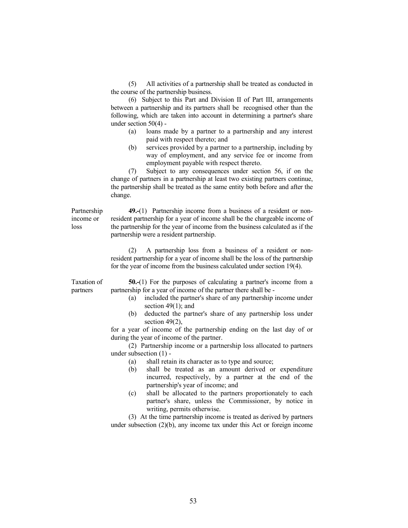(5) All activities of a partnership shall be treated as conducted in the course of the partnership business.

 (6) Subject to this Part and Division II of Part III, arrangements between a partnership and its partners shall be recognised other than the following, which are taken into account in determining a partner's share under section 50(4) -

- (a) loans made by a partner to a partnership and any interest paid with respect thereto; and
- (b) services provided by a partner to a partnership, including by way of employment, and any service fee or income from employment payable with respect thereto.

 (7) Subject to any consequences under section 56, if on the change of partners in a partnership at least two existing partners continue, the partnership shall be treated as the same entity both before and after the change.

Partnership income or loss

49.-(1) Partnership income from a business of a resident or nonresident partnership for a year of income shall be the chargeable income of the partnership for the year of income from the business calculated as if the partnership were a resident partnership.

 (2) A partnership loss from a business of a resident or nonresident partnership for a year of income shall be the loss of the partnership for the year of income from the business calculated under section 19(4).

Taxation of partners

50.-(1) For the purposes of calculating a partner's income from a partnership for a year of income of the partner there shall be -

- (a) included the partner's share of any partnership income under section  $49(1)$ ; and
- (b) deducted the partner's share of any partnership loss under section 49(2).

 for a year of income of the partnership ending on the last day of or during the year of income of the partner.

 (2) Partnership income or a partnership loss allocated to partners under subsection (1) -

- (a) shall retain its character as to type and source;
- (b) shall be treated as an amount derived or expenditure incurred, respectively, by a partner at the end of the partnership's year of income; and
- (c) shall be allocated to the partners proportionately to each partner's share, unless the Commissioner, by notice in writing, permits otherwise.

 (3) At the time partnership income is treated as derived by partners under subsection (2)(b), any income tax under this Act or foreign income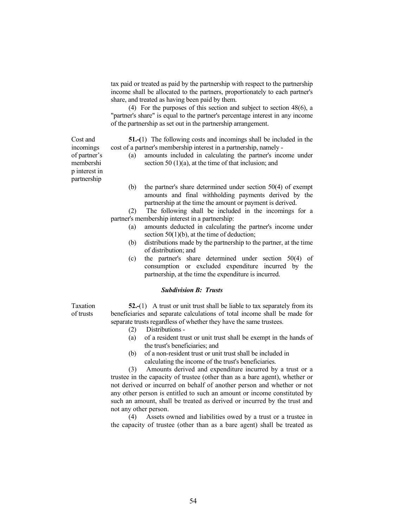tax paid or treated as paid by the partnership with respect to the partnership income shall be allocated to the partners, proportionately to each partner's share, and treated as having been paid by them.

 (4) For the purposes of this section and subject to section 48(6), a "partner's share" is equal to the partner's percentage interest in any income of the partnership as set out in the partnership arrangement.

51.-(1) The following costs and incomings shall be included in the cost of a partner's membership interest in a partnership, namely -

- (a) amounts included in calculating the partner's income under section 50  $(1)(a)$ , at the time of that inclusion; and
- (b) the partner's share determined under section 50(4) of exempt amounts and final withholding payments derived by the partnership at the time the amount or payment is derived.

 (2) The following shall be included in the incomings for a partner's membership interest in a partnership:

- (a) amounts deducted in calculating the partner's income under section 50(1)(b), at the time of deduction;
- (b) distributions made by the partnership to the partner, at the time of distribution; and
- (c) the partner's share determined under section 50(4) of consumption or excluded expenditure incurred by the partnership, at the time the expenditure is incurred.

# Subdivision B: Trusts

Taxation of trusts

52.-(1) A trust or unit trust shall be liable to tax separately from its beneficiaries and separate calculations of total income shall be made for separate trusts regardless of whether they have the same trustees.

- (2) Distributions -
- (a) of a resident trust or unit trust shall be exempt in the hands of the trust's beneficiaries; and
- (b) of a non-resident trust or unit trust shall be included in calculating the income of the trust's beneficiaries.

 (3) Amounts derived and expenditure incurred by a trust or a trustee in the capacity of trustee (other than as a bare agent), whether or not derived or incurred on behalf of another person and whether or not any other person is entitled to such an amount or income constituted by such an amount, shall be treated as derived or incurred by the trust and not any other person.

 (4) Assets owned and liabilities owed by a trust or a trustee in the capacity of trustee (other than as a bare agent) shall be treated as

incomings of partner's membershi p interest in partnership

Cost and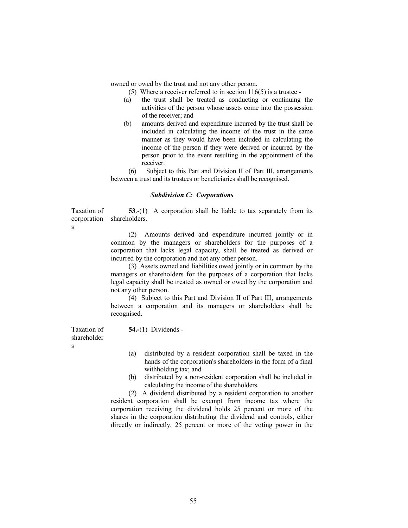owned or owed by the trust and not any other person.

- (5) Where a receiver referred to in section 116(5) is a trustee -
- (a) the trust shall be treated as conducting or continuing the activities of the person whose assets come into the possession of the receiver; and
- (b) amounts derived and expenditure incurred by the trust shall be included in calculating the income of the trust in the same manner as they would have been included in calculating the income of the person if they were derived or incurred by the person prior to the event resulting in the appointment of the receiver.

 (6) Subject to this Part and Division II of Part III, arrangements between a trust and its trustees or beneficiaries shall be recognised.

#### Subdivision C: Corporations

Taxation of corporation 53.-(1) A corporation shall be liable to tax separately from its shareholders.

54.-(1) Dividends -

 (2) Amounts derived and expenditure incurred jointly or in common by the managers or shareholders for the purposes of a corporation that lacks legal capacity, shall be treated as derived or incurred by the corporation and not any other person.

 (3) Assets owned and liabilities owed jointly or in common by the managers or shareholders for the purposes of a corporation that lacks legal capacity shall be treated as owned or owed by the corporation and not any other person.

 (4) Subject to this Part and Division II of Part III, arrangements between a corporation and its managers or shareholders shall be recognised.

Taxation of shareholder s

s

- (a) distributed by a resident corporation shall be taxed in the hands of the corporation's shareholders in the form of a final withholding tax; and
- (b) distributed by a non-resident corporation shall be included in calculating the income of the shareholders.

 (2) A dividend distributed by a resident corporation to another resident corporation shall be exempt from income tax where the corporation receiving the dividend holds 25 percent or more of the shares in the corporation distributing the dividend and controls, either directly or indirectly, 25 percent or more of the voting power in the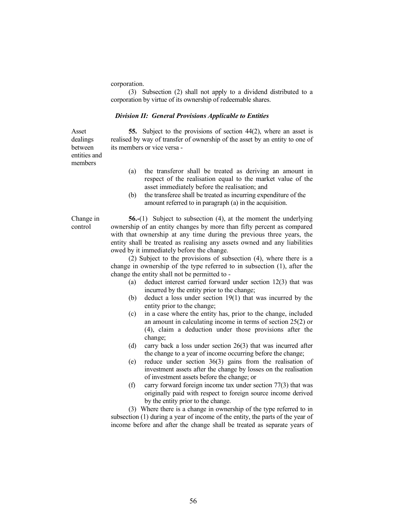corporation.

 (3) Subsection (2) shall not apply to a dividend distributed to a corporation by virtue of its ownership of redeemable shares.

#### Division II: General Provisions Applicable to Entities

55. Subject to the provisions of section 44(2), where an asset is realised by way of transfer of ownership of the asset by an entity to one of its members or vice versa -

between entities and members

Asset dealings

- (a) the transferor shall be treated as deriving an amount in respect of the realisation equal to the market value of the asset immediately before the realisation; and
- (b) the transferee shall be treated as incurring expenditure of the amount referred to in paragraph (a) in the acquisition.

Change in control

56.-(1) Subject to subsection (4), at the moment the underlying ownership of an entity changes by more than fifty percent as compared with that ownership at any time during the previous three years, the entity shall be treated as realising any assets owned and any liabilities owed by it immediately before the change.

 (2) Subject to the provisions of subsection (4), where there is a change in ownership of the type referred to in subsection (1), after the change the entity shall not be permitted to -

- (a) deduct interest carried forward under section 12(3) that was incurred by the entity prior to the change;
- (b) deduct a loss under section 19(1) that was incurred by the entity prior to the change;
- (c) in a case where the entity has, prior to the change, included an amount in calculating income in terms of section 25(2) or (4), claim a deduction under those provisions after the change;
- (d) carry back a loss under section 26(3) that was incurred after the change to a year of income occurring before the change;
- (e) reduce under section 36(3) gains from the realisation of investment assets after the change by losses on the realisation of investment assets before the change; or
- (f) carry forward foreign income tax under section 77(3) that was originally paid with respect to foreign source income derived by the entity prior to the change.

 (3) Where there is a change in ownership of the type referred to in subsection (1) during a year of income of the entity, the parts of the year of income before and after the change shall be treated as separate years of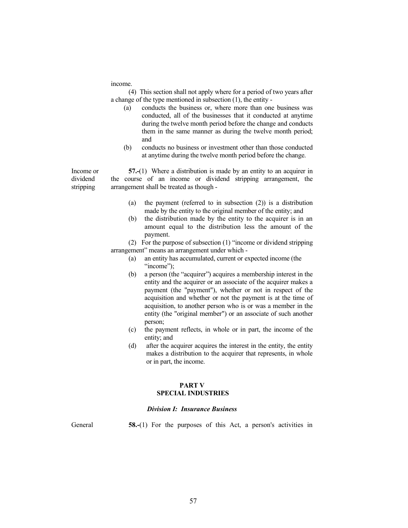income.

 (4) This section shall not apply where for a period of two years after a change of the type mentioned in subsection (1), the entity -

- (a) conducts the business or, where more than one business was conducted, all of the businesses that it conducted at anytime during the twelve month period before the change and conducts them in the same manner as during the twelve month period; and
- (b) conducts no business or investment other than those conducted at anytime during the twelve month period before the change.

Income or dividend stripping 57.-(1) Where a distribution is made by an entity to an acquirer in the course of an income or dividend stripping arrangement, the arrangement shall be treated as though -

- (a) the payment (referred to in subsection (2)) is a distribution made by the entity to the original member of the entity; and
- (b) the distribution made by the entity to the acquirer is in an amount equal to the distribution less the amount of the payment.

 (2) For the purpose of subsection (1) "income or dividend stripping arrangement" means an arrangement under which -

- (a) an entity has accumulated, current or expected income (the "income"):
- (b) a person (the "acquirer") acquires a membership interest in the entity and the acquirer or an associate of the acquirer makes a payment (the "payment"), whether or not in respect of the acquisition and whether or not the payment is at the time of acquisition, to another person who is or was a member in the entity (the "original member") or an associate of such another person;
- (c) the payment reflects, in whole or in part, the income of the entity; and
- (d) after the acquirer acquires the interest in the entity, the entity makes a distribution to the acquirer that represents, in whole or in part, the income.

#### PART V SPECIAL INDUSTRIES

#### Division I: Insurance Business

General 58.-(1) For the purposes of this Act, a person's activities in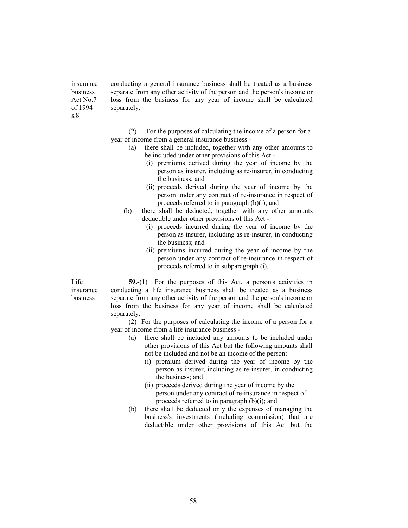insurance business Act No.7 of 1994 conducting a general insurance business shall be treated as a business separate from any other activity of the person and the person's income or loss from the business for any year of income shall be calculated separately.

> (2) For the purposes of calculating the income of a person for a year of income from a general insurance business -

- (a) there shall be included, together with any other amounts to be included under other provisions of this Act -
	- (i) premiums derived during the year of income by the person as insurer, including as re-insurer, in conducting the business; and
	- (ii) proceeds derived during the year of income by the person under any contract of re-insurance in respect of proceeds referred to in paragraph (b)(i); and
- (b) there shall be deducted, together with any other amounts deductible under other provisions of this Act -
	- (i) proceeds incurred during the year of income by the person as insurer, including as re-insurer, in conducting the business; and
	- (ii) premiums incurred during the year of income by the person under any contract of re-insurance in respect of proceeds referred to in subparagraph (i).

Life insurance business

s.8

59.-(1) For the purposes of this Act, a person's activities in conducting a life insurance business shall be treated as a business separate from any other activity of the person and the person's income or loss from the business for any year of income shall be calculated separately.

 (2) For the purposes of calculating the income of a person for a year of income from a life insurance business -

- (a) there shall be included any amounts to be included under other provisions of this Act but the following amounts shall not be included and not be an income of the person:
	- (i) premium derived during the year of income by the person as insurer, including as re-insurer, in conducting the business; and
	- (ii) proceeds derived during the year of income by the person under any contract of re-insurance in respect of proceeds referred to in paragraph (b)(i); and
- (b) there shall be deducted only the expenses of managing the business's investments (including commission) that are deductible under other provisions of this Act but the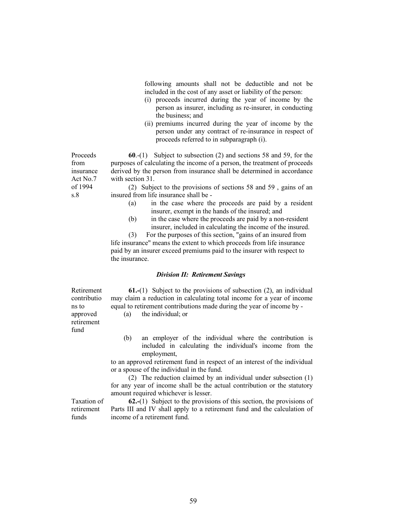following amounts shall not be deductible and not be included in the cost of any asset or liability of the person:

- (i) proceeds incurred during the year of income by the person as insurer, including as re-insurer, in conducting the business; and
- (ii) premiums incurred during the year of income by the person under any contract of re-insurance in respect of proceeds referred to in subparagraph (i).

60.-(1) Subject to subsection (2) and sections 58 and 59, for the purposes of calculating the income of a person, the treatment of proceeds derived by the person from insurance shall be determined in accordance with section 31. Proceeds insurance Act No.7

> (2) Subject to the provisions of sections 58 and 59 , gains of an insured from life insurance shall be -

- (a) in the case where the proceeds are paid by a resident insurer, exempt in the hands of the insured; and
- (b) in the case where the proceeds are paid by a non-resident insurer, included in calculating the income of the insured.

 (3) For the purposes of this section, "gains of an insured from life insurance" means the extent to which proceeds from life insurance paid by an insurer exceed premiums paid to the insurer with respect to the insurance.

## Division II: Retirement Savings

Retirement contributio ns to approved retirement fund

from

of 1994 s.8

> 61.-(1) Subject to the provisions of subsection (2), an individual may claim a reduction in calculating total income for a year of income equal to retirement contributions made during the year of income by -

(a) the individual; or

 (b) an employer of the individual where the contribution is included in calculating the individual's income from the employment,

 to an approved retirement fund in respect of an interest of the individual or a spouse of the individual in the fund.

 (2) The reduction claimed by an individual under subsection (1) for any year of income shall be the actual contribution or the statutory amount required whichever is lesser.

Taxation of retirement funds

62.-(1) Subject to the provisions of this section, the provisions of Parts III and IV shall apply to a retirement fund and the calculation of income of a retirement fund.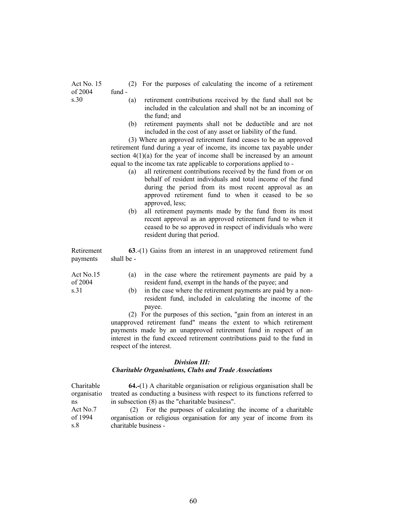- (2) For the purposes of calculating the income of a retirement fund -
- s.30 (a) retirement contributions received by the fund shall not be included in the calculation and shall not be an incoming of the fund; and
	- (b) retirement payments shall not be deductible and are not included in the cost of any asset or liability of the fund.

 (3) Where an approved retirement fund ceases to be an approved retirement fund during a year of income, its income tax payable under section  $4(1)(a)$  for the year of income shall be increased by an amount equal to the income tax rate applicable to corporations applied to -

- (a) all retirement contributions received by the fund from or on behalf of resident individuals and total income of the fund during the period from its most recent approval as an approved retirement fund to when it ceased to be so approved, less;
- (b) all retirement payments made by the fund from its most recent approval as an approved retirement fund to when it ceased to be so approved in respect of individuals who were resident during that period.

Retirement payments 63.-(1) Gains from an interest in an unapproved retirement fund shall be -

| Act No.15 | (a) in the case where the retirement payments are paid by a |
|-----------|-------------------------------------------------------------|
| of $2004$ | resident fund, exempt in the hands of the payee; and        |

s.31 (b) in the case where the retirement payments are paid by a nonresident fund, included in calculating the income of the payee.

> (2) For the purposes of this section, "gain from an interest in an unapproved retirement fund" means the extent to which retirement payments made by an unapproved retirement fund in respect of an interest in the fund exceed retirement contributions paid to the fund in respect of the interest.

#### Division III:

# Charitable Organisations, Clubs and Trade Associations

 64.-(1) A charitable organisation or religious organisation shall be treated as conducting a business with respect to its functions referred to in subsection (8) as the "charitable business". Charitable organisatio ns Act No.7 of 1994 s.8 (2) For the purposes of calculating the income of a charitable organisation or religious organisation for any year of income from its charitable business -

Act No. 15 of 2004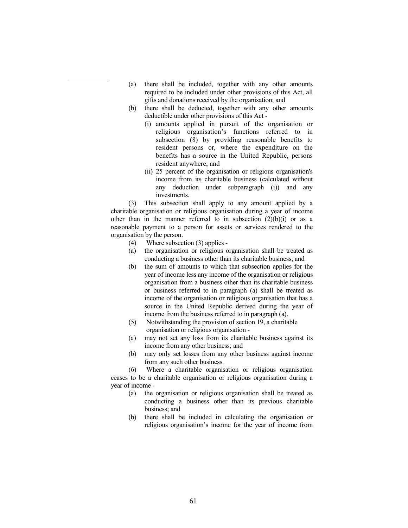- (a) there shall be included, together with any other amounts required to be included under other provisions of this Act, all gifts and donations received by the organisation; and
- (b) there shall be deducted, together with any other amounts deductible under other provisions of this Act -
	- (i) amounts applied in pursuit of the organisation or religious organisation's functions referred to in subsection (8) by providing reasonable benefits to resident persons or, where the expenditure on the benefits has a source in the United Republic, persons resident anywhere; and
	- (ii) 25 percent of the organisation or religious organisation's income from its charitable business (calculated without any deduction under subparagraph (i)) and any investments.

 (3) This subsection shall apply to any amount applied by a charitable organisation or religious organisation during a year of income other than in the manner referred to in subsection  $(2)(b)(i)$  or as a reasonable payment to a person for assets or services rendered to the organisation by the person.

- (4) Where subsection (3) applies -
- (a) the organisation or religious organisation shall be treated as conducting a business other than its charitable business; and
- (b) the sum of amounts to which that subsection applies for the year of income less any income of the organisation or religious organisation from a business other than its charitable business or business referred to in paragraph (a) shall be treated as income of the organisation or religious organisation that has a source in the United Republic derived during the year of income from the business referred to in paragraph (a).
- (5) Notwithstanding the provision of section 19, a charitable organisation or religious organisation -
- (a) may not set any loss from its charitable business against its income from any other business; and
- (b) may only set losses from any other business against income from any such other business.

 (6) Where a charitable organisation or religious organisation ceases to be a charitable organisation or religious organisation during a year of income -

- (a) the organisation or religious organisation shall be treated as conducting a business other than its previous charitable business; and
- (b) there shall be included in calculating the organisation or religious organisation's income for the year of income from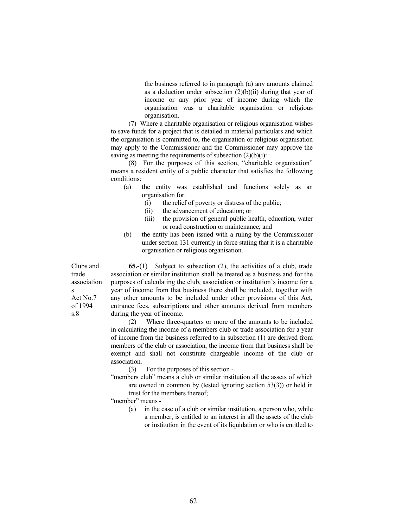the business referred to in paragraph (a) any amounts claimed as a deduction under subsection  $(2)(b)(ii)$  during that year of income or any prior year of income during which the organisation was a charitable organisation or religious organisation.

 (7) Where a charitable organisation or religious organisation wishes to save funds for a project that is detailed in material particulars and which the organisation is committed to, the organisation or religious organisation may apply to the Commissioner and the Commissioner may approve the saving as meeting the requirements of subsection  $(2)(b)(i)$ :

 (8) For the purposes of this section, "charitable organisation" means a resident entity of a public character that satisfies the following conditions:

- (a) the entity was established and functions solely as an organisation for:
	- (i) the relief of poverty or distress of the public;
	- (ii) the advancement of education; or
	- (iii) the provision of general public health, education, water or road construction or maintenance; and
- (b) the entity has been issued with a ruling by the Commissioner under section 131 currently in force stating that it is a charitable organisation or religious organisation.

Clubs and trade association s Act No.7 of 1994 s.8

65.-(1) Subject to subsection (2), the activities of a club, trade association or similar institution shall be treated as a business and for the purposes of calculating the club, association or institution's income for a year of income from that business there shall be included, together with any other amounts to be included under other provisions of this Act, entrance fees, subscriptions and other amounts derived from members during the year of income.

 (2) Where three-quarters or more of the amounts to be included in calculating the income of a members club or trade association for a year of income from the business referred to in subsection (1) are derived from members of the club or association, the income from that business shall be exempt and shall not constitute chargeable income of the club or association.

(3) For the purposes of this section -

- "members club" means a club or similar institution all the assets of which are owned in common by (tested ignoring section 53(3)) or held in trust for the members thereof;
- "member" means -
	- (a) in the case of a club or similar institution, a person who, while a member, is entitled to an interest in all the assets of the club or institution in the event of its liquidation or who is entitled to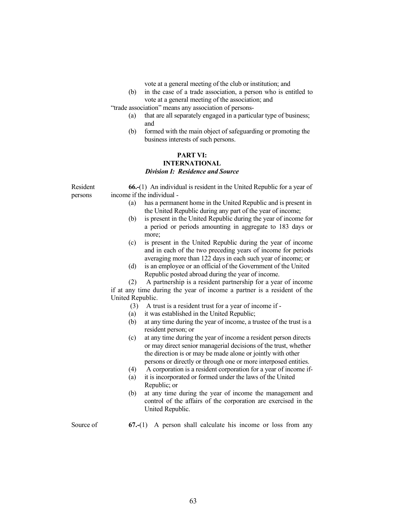vote at a general meeting of the club or institution; and

 (b) in the case of a trade association, a person who is entitled to vote at a general meeting of the association; and

"trade association" means any association of persons-

- (a) that are all separately engaged in a particular type of business; and
- (b) formed with the main object of safeguarding or promoting the business interests of such persons.

# PART VI:

#### INTERNATIONAL Division I: Residence and Source

Resident persons

66.-(1) An individual is resident in the United Republic for a year of income if the individual -

- (a) has a permanent home in the United Republic and is present in the United Republic during any part of the year of income;
- (b) is present in the United Republic during the year of income for a period or periods amounting in aggregate to 183 days or more;
- (c) is present in the United Republic during the year of income and in each of the two preceding years of income for periods averaging more than 122 days in each such year of income; or
- (d) is an employee or an official of the Government of the United Republic posted abroad during the year of income.

 (2) A partnership is a resident partnership for a year of income if at any time during the year of income a partner is a resident of the United Republic.

- (3) A trust is a resident trust for a year of income if -
- (a) it was established in the United Republic;
- (b) at any time during the year of income, a trustee of the trust is a resident person; or
- (c) at any time during the year of income a resident person directs or may direct senior managerial decisions of the trust, whether the direction is or may be made alone or jointly with other persons or directly or through one or more interposed entities.
- (4) A corporation is a resident corporation for a year of income if-
- (a) it is incorporated or formed under the laws of the United Republic; or
- (b) at any time during the year of income the management and control of the affairs of the corporation are exercised in the United Republic.

Source of  $67-(1)$  A person shall calculate his income or loss from any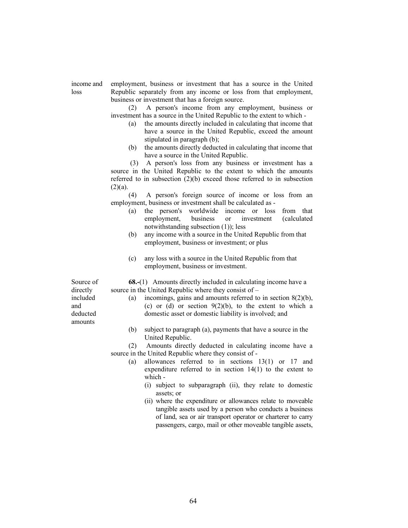income and loss

employment, business or investment that has a source in the United Republic separately from any income or loss from that employment, business or investment that has a foreign source.

 (2) A person's income from any employment, business or investment has a source in the United Republic to the extent to which -

- (a) the amounts directly included in calculating that income that have a source in the United Republic, exceed the amount stipulated in paragraph (b);
- (b) the amounts directly deducted in calculating that income that have a source in the United Republic.

 (3) A person's loss from any business or investment has a source in the United Republic to the extent to which the amounts referred to in subsection (2)(b) exceed those referred to in subsection  $(2)(a)$ .

 (4) A person's foreign source of income or loss from an employment, business or investment shall be calculated as -

- (a) the person's worldwide income or loss from that employment, business or investment (calculated notwithstanding subsection (1)); less
- (b) any income with a source in the United Republic from that employment, business or investment; or plus
- (c) any loss with a source in the United Republic from that employment, business or investment.

 68.-(1) Amounts directly included in calculating income have a source in the United Republic where they consist of – (a) incomings, gains and amounts referred to in section 8(2)(b),

- (c) or (d) or section  $9(2)(b)$ , to the extent to which a domestic asset or domestic liability is involved; and
- (b) subject to paragraph (a), payments that have a source in the United Republic.

 (2) Amounts directly deducted in calculating income have a source in the United Republic where they consist of -

- (a) allowances referred to in sections 13(1) or 17 and expenditure referred to in section 14(1) to the extent to which -
	- (i) subject to subparagraph (ii), they relate to domestic assets; or
	- (ii) where the expenditure or allowances relate to moveable tangible assets used by a person who conducts a business of land, sea or air transport operator or charterer to carry passengers, cargo, mail or other moveable tangible assets,

Source of directly included and deducted amounts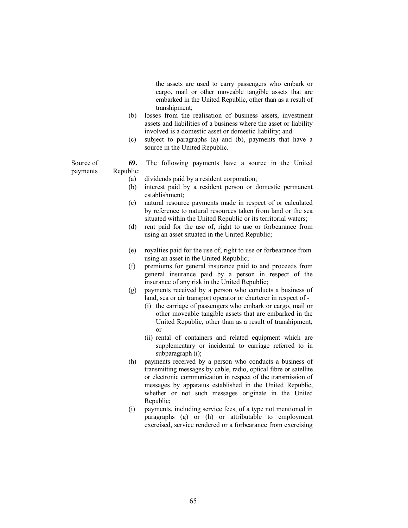the assets are used to carry passengers who embark or cargo, mail or other moveable tangible assets that are embarked in the United Republic, other than as a result of transhipment;

- (b) losses from the realisation of business assets, investment assets and liabilities of a business where the asset or liability involved is a domestic asset or domestic liability; and
- (c) subject to paragraphs (a) and (b), payments that have a source in the United Republic.

Source of payments 69. The following payments have a source in the United Republic:

- (a) dividends paid by a resident corporation;
- (b) interest paid by a resident person or domestic permanent establishment;
- (c) natural resource payments made in respect of or calculated by reference to natural resources taken from land or the sea situated within the United Republic or its territorial waters;
- (d) rent paid for the use of, right to use or forbearance from using an asset situated in the United Republic;
- (e) royalties paid for the use of, right to use or forbearance from using an asset in the United Republic;
- (f) premiums for general insurance paid to and proceeds from general insurance paid by a person in respect of the insurance of any risk in the United Republic;
- (g) payments received by a person who conducts a business of land, sea or air transport operator or charterer in respect of -
	- (i) the carriage of passengers who embark or cargo, mail or other moveable tangible assets that are embarked in the United Republic, other than as a result of transhipment; or
	- (ii) rental of containers and related equipment which are supplementary or incidental to carriage referred to in subparagraph (i);
- (h) payments received by a person who conducts a business of transmitting messages by cable, radio, optical fibre or satellite or electronic communication in respect of the transmission of messages by apparatus established in the United Republic, whether or not such messages originate in the United Republic;
- (i) payments, including service fees, of a type not mentioned in paragraphs (g) or (h) or attributable to employment exercised, service rendered or a forbearance from exercising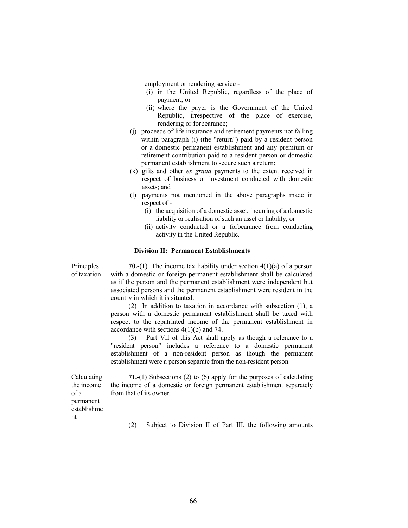employment or rendering service -

- (i) in the United Republic, regardless of the place of payment; or
- (ii) where the payer is the Government of the United Republic, irrespective of the place of exercise, rendering or forbearance;
- (j) proceeds of life insurance and retirement payments not falling within paragraph (i) (the "return") paid by a resident person or a domestic permanent establishment and any premium or retirement contribution paid to a resident person or domestic permanent establishment to secure such a return;
- (k) gifts and other ex gratia payments to the extent received in respect of business or investment conducted with domestic assets; and
- (l) payments not mentioned in the above paragraphs made in respect of -
	- (i) the acquisition of a domestic asset, incurring of a domestic liability or realisation of such an asset or liability; or
	- (ii) activity conducted or a forbearance from conducting activity in the United Republic.

#### Division II: Permanent Establishments

**Principles** of taxation

**70.-(1)** The income tax liability under section  $4(1)(a)$  of a person with a domestic or foreign permanent establishment shall be calculated as if the person and the permanent establishment were independent but associated persons and the permanent establishment were resident in the country in which it is situated.

 (2) In addition to taxation in accordance with subsection (1), a person with a domestic permanent establishment shall be taxed with respect to the repatriated income of the permanent establishment in accordance with sections 4(1)(b) and 74.

 (3) Part VII of this Act shall apply as though a reference to a "resident person" includes a reference to a domestic permanent establishment of a non-resident person as though the permanent establishment were a person separate from the non-resident person.

Calculating the income of a permanent establishme nt

71.-(1) Subsections (2) to (6) apply for the purposes of calculating the income of a domestic or foreign permanent establishment separately from that of its owner.

(2) Subject to Division II of Part III, the following amounts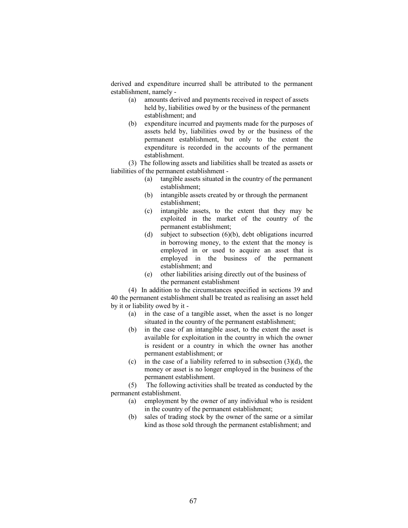derived and expenditure incurred shall be attributed to the permanent establishment, namely -

- (a) amounts derived and payments received in respect of assets held by, liabilities owed by or the business of the permanent establishment; and
- (b) expenditure incurred and payments made for the purposes of assets held by, liabilities owed by or the business of the permanent establishment, but only to the extent the expenditure is recorded in the accounts of the permanent establishment.

 (3) The following assets and liabilities shall be treated as assets or liabilities of the permanent establishment -

- (a) tangible assets situated in the country of the permanent establishment;
- (b) intangible assets created by or through the permanent establishment;
- (c) intangible assets, to the extent that they may be exploited in the market of the country of the permanent establishment;
- (d) subject to subsection (6)(b), debt obligations incurred in borrowing money, to the extent that the money is employed in or used to acquire an asset that is employed in the business of the permanent establishment; and
- (e) other liabilities arising directly out of the business of the permanent establishment

 (4) In addition to the circumstances specified in sections 39 and 40 the permanent establishment shall be treated as realising an asset held by it or liability owed by it -

- (a) in the case of a tangible asset, when the asset is no longer situated in the country of the permanent establishment;
- (b) in the case of an intangible asset, to the extent the asset is available for exploitation in the country in which the owner is resident or a country in which the owner has another permanent establishment; or
- (c) in the case of a liability referred to in subsection  $(3)(d)$ , the money or asset is no longer employed in the business of the permanent establishment.

 (5) The following activities shall be treated as conducted by the permanent establishment.

- (a) employment by the owner of any individual who is resident in the country of the permanent establishment;
- (b) sales of trading stock by the owner of the same or a similar kind as those sold through the permanent establishment; and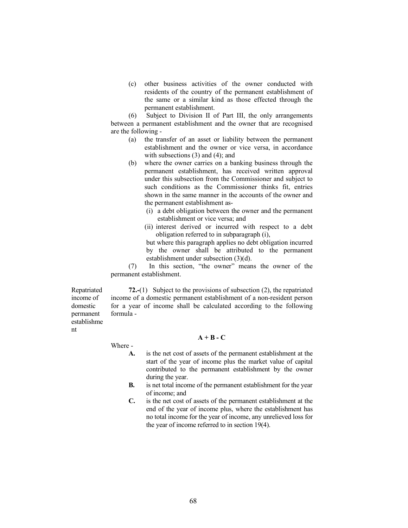(c) other business activities of the owner conducted with residents of the country of the permanent establishment of the same or a similar kind as those effected through the permanent establishment.

 (6) Subject to Division II of Part III, the only arrangements between a permanent establishment and the owner that are recognised are the following -

- (a) the transfer of an asset or liability between the permanent establishment and the owner or vice versa, in accordance with subsections (3) and (4); and
- (b) where the owner carries on a banking business through the permanent establishment, has received written approval under this subsection from the Commissioner and subject to such conditions as the Commissioner thinks fit, entries shown in the same manner in the accounts of the owner and the permanent establishment as-
	- (i) a debt obligation between the owner and the permanent establishment or vice versa; and
	- (ii) interest derived or incurred with respect to a debt obligation referred to in subparagraph (i),

 but where this paragraph applies no debt obligation incurred by the owner shall be attributed to the permanent establishment under subsection (3)(d).

 (7) In this section, "the owner" means the owner of the permanent establishment.

Repatriated income of domestic permanent establishme nt

72.-(1) Subject to the provisions of subsection (2), the repatriated income of a domestic permanent establishment of a non-resident person for a year of income shall be calculated according to the following formula -

Where -

# $A + B - C$

- A. is the net cost of assets of the permanent establishment at the start of the year of income plus the market value of capital contributed to the permanent establishment by the owner during the year.
- B. is net total income of the permanent establishment for the year of income; and
- C. is the net cost of assets of the permanent establishment at the end of the year of income plus, where the establishment has no total income for the year of income, any unrelieved loss for the year of income referred to in section 19(4).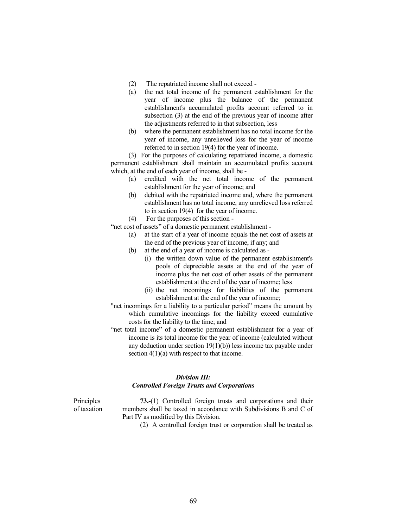- (2) The repatriated income shall not exceed -
- (a) the net total income of the permanent establishment for the year of income plus the balance of the permanent establishment's accumulated profits account referred to in subsection (3) at the end of the previous year of income after the adjustments referred to in that subsection, less
- (b) where the permanent establishment has no total income for the year of income, any unrelieved loss for the year of income referred to in section 19(4) for the year of income.

 (3) For the purposes of calculating repatriated income, a domestic permanent establishment shall maintain an accumulated profits account which, at the end of each year of income, shall be -

- (a) credited with the net total income of the permanent establishment for the year of income; and
- (b) debited with the repatriated income and, where the permanent establishment has no total income, any unrelieved loss referred to in section 19(4) for the year of income.

(4) For the purposes of this section -

"net cost of assets" of a domestic permanent establishment -

- (a) at the start of a year of income equals the net cost of assets at the end of the previous year of income, if any; and
- (b) at the end of a year of income is calculated as
	- (i) the written down value of the permanent establishment's pools of depreciable assets at the end of the year of income plus the net cost of other assets of the permanent establishment at the end of the year of income; less
	- (ii) the net incomings for liabilities of the permanent establishment at the end of the year of income;
- "net incomings for a liability to a particular period" means the amount by which cumulative incomings for the liability exceed cumulative costs for the liability to the time; and
- "net total income" of a domestic permanent establishment for a year of income is its total income for the year of income (calculated without any deduction under section 19(1)(b)) less income tax payable under section 4(1)(a) with respect to that income.

# Division III: Controlled Foreign Trusts and Corporations

**Principles** of taxation

 73.-(1) Controlled foreign trusts and corporations and their members shall be taxed in accordance with Subdivisions B and C of Part IV as modified by this Division.

(2) A controlled foreign trust or corporation shall be treated as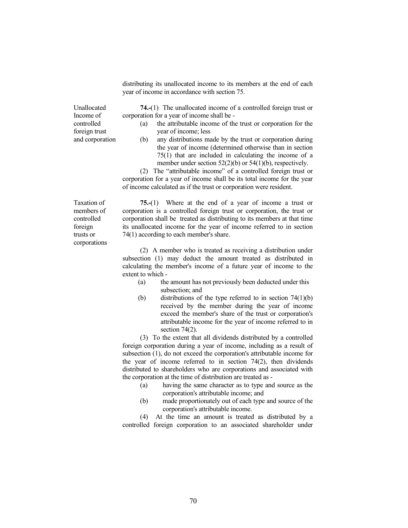distributing its unallocated income to its members at the end of each year of income in accordance with section 75.

Unallocated Income of controlled foreign trust and corporation

74.-(1) The unallocated income of a controlled foreign trust or corporation for a year of income shall be -

- (a) the attributable income of the trust or corporation for the year of income; less
- (b) any distributions made by the trust or corporation during the year of income (determined otherwise than in section 75(1) that are included in calculating the income of a member under section 52(2)(b) or 54(1)(b), respectively.

 (2) The "attributable income" of a controlled foreign trust or corporation for a year of income shall be its total income for the year of income calculated as if the trust or corporation were resident.

Taxation of members of controlled foreign trusts or corporations

 75.-(1) Where at the end of a year of income a trust or corporation is a controlled foreign trust or corporation, the trust or corporation shall be treated as distributing to its members at that time its unallocated income for the year of income referred to in section 74(1) according to each member's share.

 (2) A member who is treated as receiving a distribution under subsection (1) may deduct the amount treated as distributed in calculating the member's income of a future year of income to the extent to which -

- (a) the amount has not previously been deducted under this subsection; and
- (b) distributions of the type referred to in section 74(1)(b) received by the member during the year of income exceed the member's share of the trust or corporation's attributable income for the year of income referred to in section  $74(2)$ .

 (3) To the extent that all dividends distributed by a controlled foreign corporation during a year of income, including as a result of subsection (1), do not exceed the corporation's attributable income for the year of income referred to in section 74(2), then dividends distributed to shareholders who are corporations and associated with the corporation at the time of distribution are treated as -

- (a) having the same character as to type and source as the corporation's attributable income; and
- (b) made proportionately out of each type and source of the corporation's attributable income.

 (4) At the time an amount is treated as distributed by a controlled foreign corporation to an associated shareholder under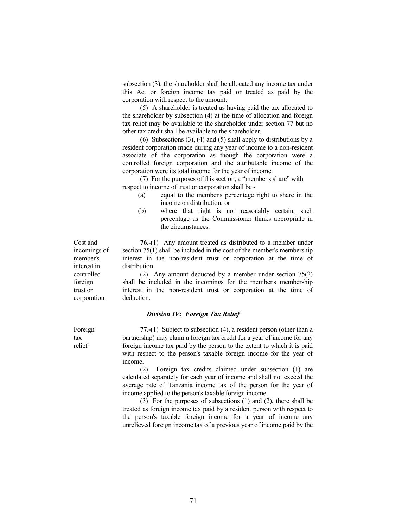subsection (3), the shareholder shall be allocated any income tax under this Act or foreign income tax paid or treated as paid by the corporation with respect to the amount.

 (5) A shareholder is treated as having paid the tax allocated to the shareholder by subsection (4) at the time of allocation and foreign tax relief may be available to the shareholder under section 77 but no other tax credit shall be available to the shareholder.

 (6) Subsections (3), (4) and (5) shall apply to distributions by a resident corporation made during any year of income to a non-resident associate of the corporation as though the corporation were a controlled foreign corporation and the attributable income of the corporation were its total income for the year of income.

 (7) For the purposes of this section, a "member's share" with respect to income of trust or corporation shall be -

- (a) equal to the member's percentage right to share in the income on distribution; or
- (b) where that right is not reasonably certain, such percentage as the Commissioner thinks appropriate in the circumstances.

 76.-(1) Any amount treated as distributed to a member under section 75(1) shall be included in the cost of the member's membership interest in the non-resident trust or corporation at the time of distribution.

 (2) Any amount deducted by a member under section 75(2) shall be included in the incomings for the member's membership interest in the non-resident trust or corporation at the time of deduction.

# Division IV: Foreign Tax Relief

 77.-(1) Subject to subsection (4), a resident person (other than a partnership) may claim a foreign tax credit for a year of income for any foreign income tax paid by the person to the extent to which it is paid with respect to the person's taxable foreign income for the year of income.

 (2) Foreign tax credits claimed under subsection (1) are calculated separately for each year of income and shall not exceed the average rate of Tanzania income tax of the person for the year of income applied to the person's taxable foreign income.

 (3) For the purposes of subsections (1) and (2), there shall be treated as foreign income tax paid by a resident person with respect to the person's taxable foreign income for a year of income any unrelieved foreign income tax of a previous year of income paid by the

incomings of member's interest in controlled foreign trust or corporation

Cost and

Foreign tax relief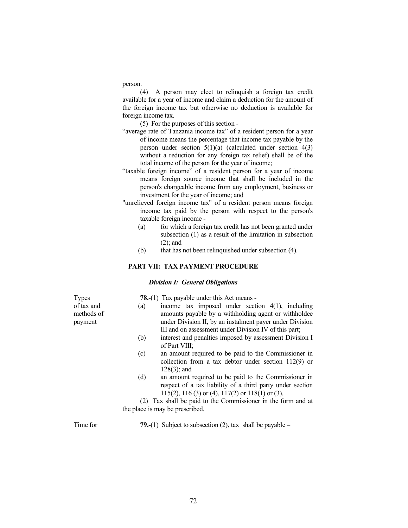person.

 (4) A person may elect to relinquish a foreign tax credit available for a year of income and claim a deduction for the amount of the foreign income tax but otherwise no deduction is available for foreign income tax.

(5) For the purposes of this section -

- "average rate of Tanzania income tax" of a resident person for a year of income means the percentage that income tax payable by the person under section 5(1)(a) (calculated under section 4(3) without a reduction for any foreign tax relief) shall be of the total income of the person for the year of income;
- "taxable foreign income" of a resident person for a year of income means foreign source income that shall be included in the person's chargeable income from any employment, business or investment for the year of income; and
- "unrelieved foreign income tax" of a resident person means foreign income tax paid by the person with respect to the person's taxable foreign income -
	- (a) for which a foreign tax credit has not been granted under subsection (1) as a result of the limitation in subsection (2); and
	- (b) that has not been relinquished under subsection (4).

# PART VII: TAX PAYMENT PROCEDURE

# Division I: General Obligations

78.-(1) Tax payable under this Act means -

**Types** of tax and methods of payment

- (a) income tax imposed under section 4(1), including amounts payable by a withholding agent or withholdee under Division II, by an instalment payer under Division III and on assessment under Division IV of this part;
- (b) interest and penalties imposed by assessment Division I of Part VIII;
- (c) an amount required to be paid to the Commissioner in collection from a tax debtor under section 112(9) or 128(3); and
- (d) an amount required to be paid to the Commissioner in respect of a tax liability of a third party under section 115(2), 116 (3) or (4), 117(2) or 118(1) or (3).

 (2) Tax shall be paid to the Commissioner in the form and at the place is may be prescribed.

Time for  $79-(1)$  Subject to subsection (2), tax shall be payable –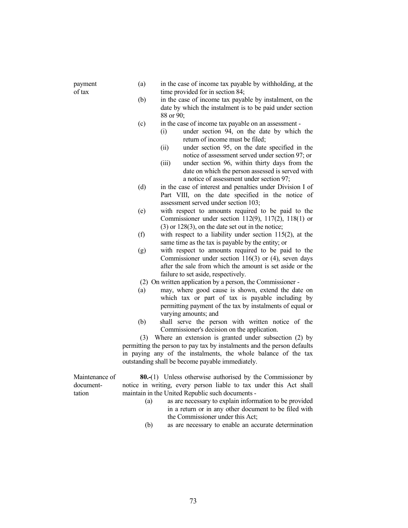| payment |  |
|---------|--|
| of tax  |  |

- (a) in the case of income tax payable by withholding, at the time provided for in section 84;
- (b) in the case of income tax payable by instalment, on the date by which the instalment is to be paid under section 88 or 90;
- (c) in the case of income tax payable on an assessment
	- (i) under section 94, on the date by which the return of income must be filed;
	- (ii) under section 95, on the date specified in the notice of assessment served under section 97; or
	- (iii) under section 96, within thirty days from the date on which the person assessed is served with a notice of assessment under section 97;
- (d) in the case of interest and penalties under Division I of Part VIII, on the date specified in the notice of assessment served under section 103;
- (e) with respect to amounts required to be paid to the Commissioner under section 112(9), 117(2), 118(1) or (3) or 128(3), on the date set out in the notice;
- (f) with respect to a liability under section 115(2), at the same time as the tax is payable by the entity; or
- (g) with respect to amounts required to be paid to the Commissioner under section 116(3) or (4), seven days after the sale from which the amount is set aside or the failure to set aside, respectively.
- (2) On written application by a person, the Commissioner -
- (a) may, where good cause is shown, extend the date on which tax or part of tax is payable including by permitting payment of the tax by instalments of equal or varying amounts; and
- (b) shall serve the person with written notice of the Commissioner's decision on the application.

 (3) Where an extension is granted under subsection (2) by permitting the person to pay tax by instalments and the person defaults in paying any of the instalments, the whole balance of the tax outstanding shall be become payable immediately.

Maintenance of documenttation

80.-(1) Unless otherwise authorised by the Commissioner by notice in writing, every person liable to tax under this Act shall maintain in the United Republic such documents -

- (a) as are necessary to explain information to be provided in a return or in any other document to be filed with the Commissioner under this Act;
- (b) as are necessary to enable an accurate determination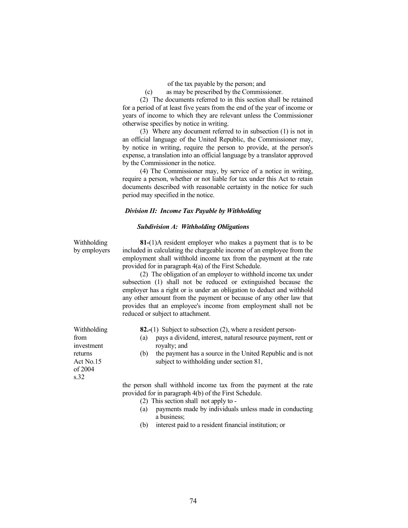of the tax payable by the person; and

(c) as may be prescribed by the Commissioner.

 (2) The documents referred to in this section shall be retained for a period of at least five years from the end of the year of income or years of income to which they are relevant unless the Commissioner otherwise specifies by notice in writing.

 (3) Where any document referred to in subsection (1) is not in an official language of the United Republic, the Commissioner may, by notice in writing, require the person to provide, at the person's expense, a translation into an official language by a translator approved by the Commissioner in the notice.

 (4) The Commissioner may, by service of a notice in writing, require a person, whether or not liable for tax under this Act to retain documents described with reasonable certainty in the notice for such period may specified in the notice.

#### Division II: Income Tax Payable by Withholding

## Subdivision A: Withholding Obligations

Withholding by employers

 81-(1)A resident employer who makes a payment that is to be included in calculating the chargeable income of an employee from the employment shall withhold income tax from the payment at the rate provided for in paragraph 4(a) of the First Schedule.

 (2) The obligation of an employer to withhold income tax under subsection (1) shall not be reduced or extinguished because the employer has a right or is under an obligation to deduct and withhold any other amount from the payment or because of any other law that provides that an employee's income from employment shall not be reduced or subject to attachment.

- 82.-(1) Subject to subsection (2), where a resident person-
- (a) pays a dividend, interest, natural resource payment, rent or royalty; and
- (b) the payment has a source in the United Republic and is not subject to withholding under section 81,

 the person shall withhold income tax from the payment at the rate provided for in paragraph 4(b) of the First Schedule.

- (2) This section shall not apply to -
- (a) payments made by individuals unless made in conducting a business;
- (b) interest paid to a resident financial institution; or

Withholding from investment returns Act No.15 of 2004 s.32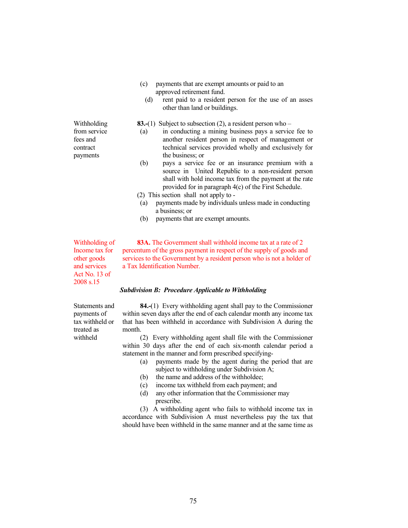- (c) payments that are exempt amounts or paid to an approved retirement fund.
	- (d) rent paid to a resident person for the use of an asses other than land or buildings.

83.-(1) Subject to subsection (2), a resident person who –

- (a) in conducting a mining business pays a service fee to another resident person in respect of management or technical services provided wholly and exclusively for the business; or
- (b) pays a service fee or an insurance premium with a source in United Republic to a non-resident person shall with hold income tax from the payment at the rate provided for in paragraph 4(c) of the First Schedule.
- (2) This section shall not apply to -
- (a) payments made by individuals unless made in conducting a business; or
- (b) payments that are exempt amounts.

Withholding of Income tax for other goods and services Act No. 13 of 2008 s.15

Statements and payments of tax withheld or treated as withheld

83A. The Government shall withhold income tax at a rate of 2 percentum of the gross payment in respect of the supply of goods and services to the Government by a resident person who is not a holder of a Tax Identification Number.

#### Subdivision B: Procedure Applicable to Withholding

 84.-(1) Every withholding agent shall pay to the Commissioner within seven days after the end of each calendar month any income tax that has been withheld in accordance with Subdivision A during the month.

 (2) Every withholding agent shall file with the Commissioner within 30 days after the end of each six-month calendar period a statement in the manner and form prescribed specifying-

- (a) payments made by the agent during the period that are subject to withholding under Subdivision A;
- (b) the name and address of the withholdee;
- (c) income tax withheld from each payment; and
- (d) any other information that the Commissioner may prescribe.

 (3) A withholding agent who fails to withhold income tax in accordance with Subdivision A must nevertheless pay the tax that should have been withheld in the same manner and at the same time as

Withholding from service fees and contract payments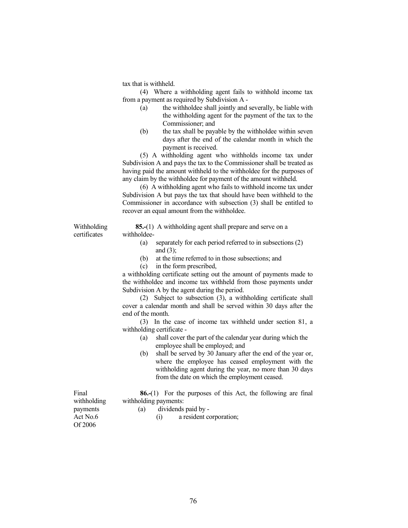tax that is withheld.

 (4) Where a withholding agent fails to withhold income tax from a payment as required by Subdivision A -

- (a) the withholdee shall jointly and severally, be liable with the withholding agent for the payment of the tax to the Commissioner; and
- (b) the tax shall be payable by the withholdee within seven days after the end of the calendar month in which the payment is received.

 (5) A withholding agent who withholds income tax under Subdivision A and pays the tax to the Commissioner shall be treated as having paid the amount withheld to the withholdee for the purposes of any claim by the withholdee for payment of the amount withheld.

 (6) A withholding agent who fails to withhold income tax under Subdivision A but pays the tax that should have been withheld to the Commissioner in accordance with subsection (3) shall be entitled to recover an equal amount from the withholdee.

Withholding certificates

 85.-(1) A withholding agent shall prepare and serve on a withholdee-

- (a) separately for each period referred to in subsections (2) and (3);
- (b) at the time referred to in those subsections; and
- (c) in the form prescribed,

 a withholding certificate setting out the amount of payments made to the withholdee and income tax withheld from those payments under Subdivision A by the agent during the period.

 (2) Subject to subsection (3), a withholding certificate shall cover a calendar month and shall be served within 30 days after the end of the month.

 (3) In the case of income tax withheld under section 81, a withholding certificate -

- (a) shall cover the part of the calendar year during which the employee shall be employed; and
- (b) shall be served by 30 January after the end of the year or, where the employee has ceased employment with the withholding agent during the year, no more than 30 days from the date on which the employment ceased.

 86.-(1) For the purposes of this Act, the following are final withholding payments:

withholding payments Act No.6 Of 2006

Final

- (a) dividends paid by
	- (i) a resident corporation;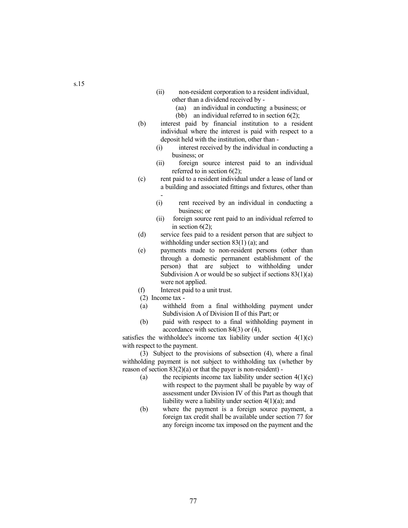- (ii) non-resident corporation to a resident individual, other than a dividend received by -
	- (aa) an individual in conducting a business; or
	- (bb) an individual referred to in section 6(2);
- (b) interest paid by financial institution to a resident individual where the interest is paid with respect to a deposit held with the institution, other than -
	- (i) interest received by the individual in conducting a business; or
	- (ii) foreign source interest paid to an individual referred to in section 6(2);
- (c) rent paid to a resident individual under a lease of land or a building and associated fittings and fixtures, other than -
	- (i) rent received by an individual in conducting a business; or
	- (ii) foreign source rent paid to an individual referred to in section  $6(2)$ ;
- (d) service fees paid to a resident person that are subject to withholding under section 83(1) (a); and
- (e) payments made to non-resident persons (other than through a domestic permanent establishment of the person) that are subject to withholding under Subdivision A or would be so subject if sections  $83(1)(a)$ were not applied.
- (f) Interest paid to a unit trust.
- (2) Income tax -
- (a) withheld from a final withholding payment under Subdivision A of Division II of this Part; or
- (b) paid with respect to a final withholding payment in accordance with section 84(3) or (4),

satisfies the withholdee's income tax liability under section  $4(1)(c)$ with respect to the payment.

 (3) Subject to the provisions of subsection (4), where a final withholding payment is not subject to withholding tax (whether by reason of section  $83(2)(a)$  or that the payer is non-resident) -

- (a) the recipients income tax liability under section  $4(1)(c)$ with respect to the payment shall be payable by way of assessment under Division IV of this Part as though that liability were a liability under section 4(1)(a); and
- (b) where the payment is a foreign source payment, a foreign tax credit shall be available under section 77 for any foreign income tax imposed on the payment and the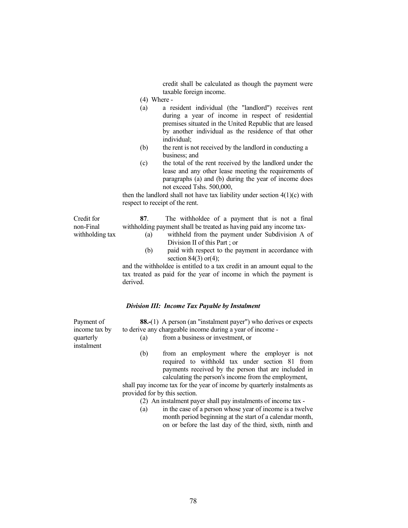credit shall be calculated as though the payment were taxable foreign income.

- (4) Where -
- (a) a resident individual (the "landlord") receives rent during a year of income in respect of residential premises situated in the United Republic that are leased by another individual as the residence of that other individual;
- (b) the rent is not received by the landlord in conducting a business; and
- (c) the total of the rent received by the landlord under the lease and any other lease meeting the requirements of paragraphs (a) and (b) during the year of income does not exceed Tshs. 500,000,

then the landlord shall not have tax liability under section  $4(1)(c)$  with respect to receipt of the rent.

Credit for non-Final withholding tax

- 87. The withholdee of a payment that is not a final withholding payment shall be treated as having paid any income tax-
	- (a) withheld from the payment under Subdivision A of Division II of this Part ; or
	- (b) paid with respect to the payment in accordance with section  $84(3)$  or(4);

 and the withholdee is entitled to a tax credit in an amount equal to the tax treated as paid for the year of income in which the payment is derived.

#### Division III: Income Tax Payable by Instalment

88.-(1) A person (an "instalment payer") who derives or expects to derive any chargeable income during a year of income -

(a) from a business or investment, or

 (b) from an employment where the employer is not required to withhold tax under section 81 from payments received by the person that are included in calculating the person's income from the employment,

 shall pay income tax for the year of income by quarterly instalments as provided for by this section.

- (2) An instalment payer shall pay instalments of income tax -
- (a) in the case of a person whose year of income is a twelve month period beginning at the start of a calendar month, on or before the last day of the third, sixth, ninth and

Payment of income tax by quarterly instalment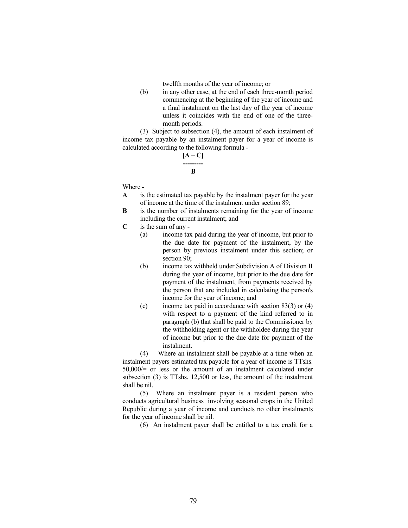twelfth months of the year of income; or

 (b) in any other case, at the end of each three-month period commencing at the beginning of the year of income and a final instalment on the last day of the year of income unless it coincides with the end of one of the threemonth periods.

 (3) Subject to subsection (4), the amount of each instalment of income tax payable by an instalment payer for a year of income is calculated according to the following formula -

# $[A - C]$

#### --------- B

Where -

- A is the estimated tax payable by the instalment payer for the year of income at the time of the instalment under section 89;
- B is the number of instalments remaining for the year of income including the current instalment; and
- $C$  is the sum of any -
	- (a) income tax paid during the year of income, but prior to the due date for payment of the instalment, by the person by previous instalment under this section; or section 90:
	- (b) income tax withheld under Subdivision A of Division II during the year of income, but prior to the due date for payment of the instalment, from payments received by the person that are included in calculating the person's income for the year of income; and
	- (c) income tax paid in accordance with section 83(3) or (4) with respect to a payment of the kind referred to in paragraph (b) that shall be paid to the Commissioner by the withholding agent or the withholdee during the year of income but prior to the due date for payment of the instalment.

 (4) Where an instalment shall be payable at a time when an instalment payers estimated tax payable for a year of income is TTshs. 50,000/= or less or the amount of an instalment calculated under subsection (3) is TTshs. 12,500 or less, the amount of the instalment shall be nil.

 (5) Where an instalment payer is a resident person who conducts agricultural business involving seasonal crops in the United Republic during a year of income and conducts no other instalments for the year of income shall be nil.

(6) An instalment payer shall be entitled to a tax credit for a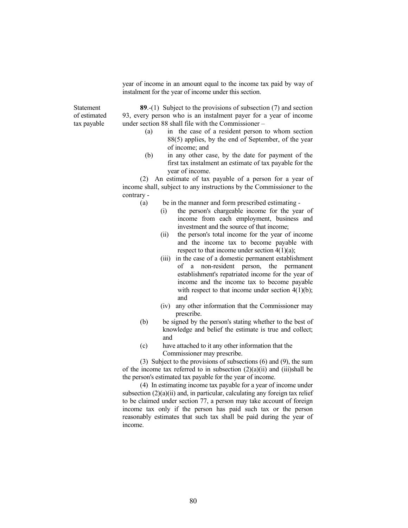year of income in an amount equal to the income tax paid by way of instalment for the year of income under this section.

Statement of estimated tax payable

89.-(1) Subject to the provisions of subsection (7) and section 93, every person who is an instalment payer for a year of income under section 88 shall file with the Commissioner –

- (a) in the case of a resident person to whom section 88(5) applies, by the end of September, of the year of income; and
- (b) in any other case, by the date for payment of the first tax instalment an estimate of tax payable for the year of income.

 (2) An estimate of tax payable of a person for a year of income shall, subject to any instructions by the Commissioner to the contrary -

- (a) be in the manner and form prescribed estimating
	- (i) the person's chargeable income for the year of income from each employment, business and investment and the source of that income;
	- (ii) the person's total income for the year of income and the income tax to become payable with respect to that income under section 4(1)(a);
	- (iii) in the case of a domestic permanent establishment of a non-resident person, the permanent establishment's repatriated income for the year of income and the income tax to become payable with respect to that income under section  $4(1)(b)$ ; and
	- (iv) any other information that the Commissioner may prescribe.
- (b) be signed by the person's stating whether to the best of knowledge and belief the estimate is true and collect; and
- (c) have attached to it any other information that the Commissioner may prescribe.

 (3) Subject to the provisions of subsections (6) and (9), the sum of the income tax referred to in subsection  $(2)(a)(ii)$  and  $(iii)$ shall be the person's estimated tax payable for the year of income.

 (4) In estimating income tax payable for a year of income under subsection  $(2)(a)(ii)$  and, in particular, calculating any foreign tax relief to be claimed under section 77, a person may take account of foreign income tax only if the person has paid such tax or the person reasonably estimates that such tax shall be paid during the year of income.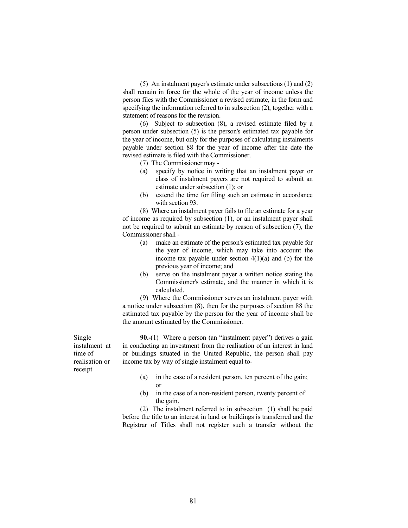(5) An instalment payer's estimate under subsections (1) and (2) shall remain in force for the whole of the year of income unless the person files with the Commissioner a revised estimate, in the form and specifying the information referred to in subsection (2), together with a statement of reasons for the revision.

 (6) Subject to subsection (8), a revised estimate filed by a person under subsection (5) is the person's estimated tax payable for the year of income, but only for the purposes of calculating instalments payable under section 88 for the year of income after the date the revised estimate is filed with the Commissioner.

- (7) The Commissioner may -
- (a) specify by notice in writing that an instalment payer or class of instalment payers are not required to submit an estimate under subsection (1); or
- (b) extend the time for filing such an estimate in accordance with section 93.

 (8) Where an instalment payer fails to file an estimate for a year of income as required by subsection (1), or an instalment payer shall not be required to submit an estimate by reason of subsection (7), the Commissioner shall -

- (a) make an estimate of the person's estimated tax payable for the year of income, which may take into account the income tax payable under section  $4(1)(a)$  and (b) for the previous year of income; and
- (b) serve on the instalment payer a written notice stating the Commissioner's estimate, and the manner in which it is calculated.

 (9) Where the Commissioner serves an instalment payer with a notice under subsection (8), then for the purposes of section 88 the estimated tax payable by the person for the year of income shall be the amount estimated by the Commissioner.

90.-(1) Where a person (an "instalment payer") derives a gain in conducting an investment from the realisation of an interest in land or buildings situated in the United Republic, the person shall pay income tax by way of single instalment equal to-

- (a) in the case of a resident person, ten percent of the gain; or
- (b) in the case of a non-resident person, twenty percent of the gain.

 (2) The instalment referred to in subsection (1) shall be paid before the title to an interest in land or buildings is transferred and the Registrar of Titles shall not register such a transfer without the

Single instalment at time of realisation or receipt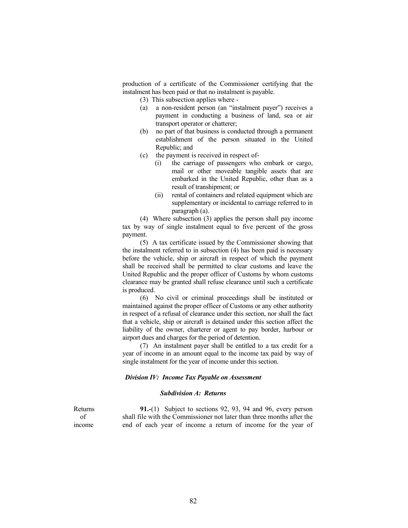production of a certificate of the Commissioner certifying that the instalment has been paid or that no instalment is payable.

- (3) This subsection applies where -
- (a) a non-resident person (an "instalment payer") receives a payment in conducting a business of land, sea or air transport operator or chatterer;
- (b) no part of that business is conducted through a permanent establishment of the person situated in the United Republic; and
- (c) the payment is received in respect of-
	- (i) the carriage of passengers who embark or cargo, mail or other moveable tangible assets that are embarked in the United Republic, other than as a result of transhipment; or
	- (ii) rental of containers and related equipment which are supplementary or incidental to carriage referred to in paragraph (a).

 (4) Where subsection (3) applies the person shall pay income tax by way of single instalment equal to five percent of the gross payment.

 (5) A tax certificate issued by the Commissioner showing that the instalment referred to in subsection (4) has been paid is necessary before the vehicle, ship or aircraft in respect of which the payment shall be received shall be permitted to clear customs and leave the United Republic and the proper officer of Customs by whom customs clearance may be granted shall refuse clearance until such a certificate is produced.

 (6) No civil or criminal proceedings shall be instituted or maintained against the proper officer of Customs or any other authority in respect of a refusal of clearance under this section, nor shall the fact that a vehicle, ship or aircraft is detained under this section affect the liability of the owner, charterer or agent to pay border, harbour or airport dues and charges for the period of detention.

 (7) An instalment payer shall be entitled to a tax credit for a year of income in an amount equal to the income tax paid by way of single instalment for the year of income under this section.

### Division IV: Income Tax Payable on Assessment

#### Subdivision A: Returns

Returns of income

91.-(1) Subject to sections 92, 93, 94 and 96, every person shall file with the Commissioner not later than three months after the end of each year of income a return of income for the year of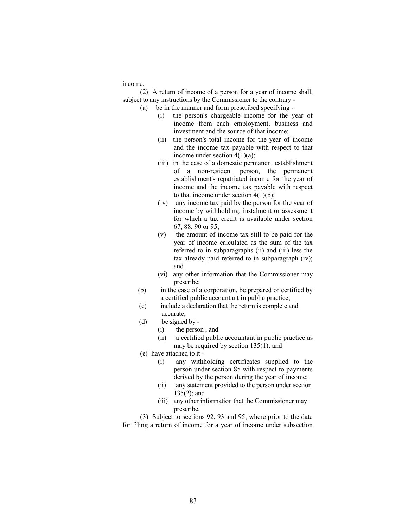income.

 (2) A return of income of a person for a year of income shall, subject to any instructions by the Commissioner to the contrary -

(a) be in the manner and form prescribed specifying -

- (i) the person's chargeable income for the year of income from each employment, business and investment and the source of that income;
- (ii) the person's total income for the year of income and the income tax payable with respect to that income under section 4(1)(a);
- (iii) in the case of a domestic permanent establishment of a non-resident person, the permanent establishment's repatriated income for the year of income and the income tax payable with respect to that income under section  $4(1)(b)$ ;
- (iv) any income tax paid by the person for the year of income by withholding, instalment or assessment for which a tax credit is available under section 67, 88, 90 or 95;
- (v) the amount of income tax still to be paid for the year of income calculated as the sum of the tax referred to in subparagraphs (ii) and (iii) less the tax already paid referred to in subparagraph (iv); and
- (vi) any other information that the Commissioner may prescribe;
- (b) in the case of a corporation, be prepared or certified by a certified public accountant in public practice;
- (c) include a declaration that the return is complete and accurate;
- (d) be signed by
	- (i) the person ; and
	- (ii) a certified public accountant in public practice as may be required by section 135(1); and
- (e) have attached to it
	- (i) any withholding certificates supplied to the person under section 85 with respect to payments derived by the person during the year of income;
	- (ii) any statement provided to the person under section 135(2); and
	- (iii) any other information that the Commissioner may prescribe.

 (3) Subject to sections 92, 93 and 95, where prior to the date for filing a return of income for a year of income under subsection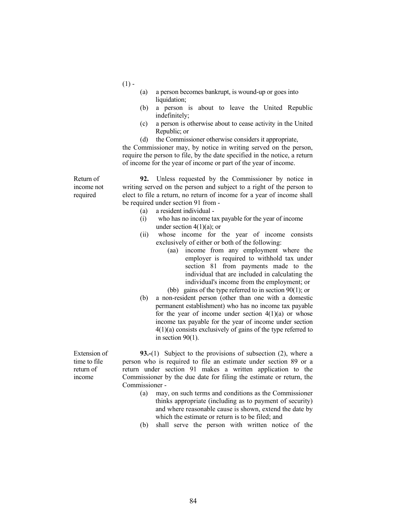$(1)$  -

- (a) a person becomes bankrupt, is wound-up or goes into liquidation;
- (b) a person is about to leave the United Republic indefinitely;
- (c) a person is otherwise about to cease activity in the United Republic; or
- (d) the Commissioner otherwise considers it appropriate,

 the Commissioner may, by notice in writing served on the person, require the person to file, by the date specified in the notice, a return of income for the year of income or part of the year of income.

Return of income not required

 92. Unless requested by the Commissioner by notice in writing served on the person and subject to a right of the person to elect to file a return, no return of income for a year of income shall be required under section 91 from -

- (a) a resident individual -
- (i) who has no income tax payable for the year of income under section  $4(1)(a)$ ; or
- (ii) whose income for the year of income consists exclusively of either or both of the following:
	- (aa) income from any employment where the employer is required to withhold tax under section 81 from payments made to the individual that are included in calculating the individual's income from the employment; or
	- (bb) gains of the type referred to in section 90(1); or
- (b) a non-resident person (other than one with a domestic permanent establishment) who has no income tax payable for the year of income under section  $4(1)(a)$  or whose income tax payable for the year of income under section 4(1)(a) consists exclusively of gains of the type referred to in section 90(1).

93.-(1) Subject to the provisions of subsection (2), where a person who is required to file an estimate under section 89 or a return under section 91 makes a written application to the Commissioner by the due date for filing the estimate or return, the Commissioner -

- (a) may, on such terms and conditions as the Commissioner thinks appropriate (including as to payment of security) and where reasonable cause is shown, extend the date by which the estimate or return is to be filed; and
- (b) shall serve the person with written notice of the

Extension of time to file return of income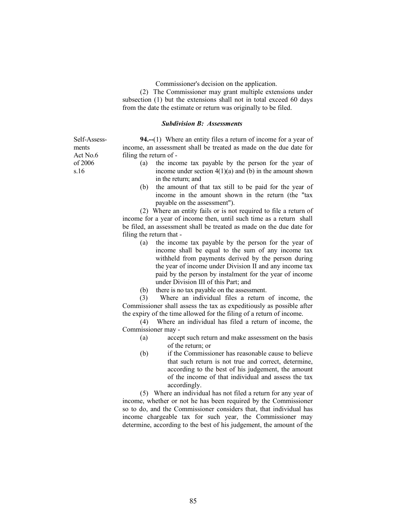Commissioner's decision on the application.

 (2) The Commissioner may grant multiple extensions under subsection (1) but the extensions shall not in total exceed 60 days from the date the estimate or return was originally to be filed.

## Subdivision B: Assessments

94.--(1) Where an entity files a return of income for a year of income, an assessment shall be treated as made on the due date for filing the return of -

- (a) the income tax payable by the person for the year of income under section  $4(1)(a)$  and (b) in the amount shown in the return; and
- (b) the amount of that tax still to be paid for the year of income in the amount shown in the return (the "tax payable on the assessment").

 (2) Where an entity fails or is not required to file a return of income for a year of income then, until such time as a return shall be filed, an assessment shall be treated as made on the due date for filing the return that -

- (a) the income tax payable by the person for the year of income shall be equal to the sum of any income tax withheld from payments derived by the person during the year of income under Division II and any income tax paid by the person by instalment for the year of income under Division III of this Part; and
- (b) there is no tax payable on the assessment.

 (3) Where an individual files a return of income, the Commissioner shall assess the tax as expeditiously as possible after the expiry of the time allowed for the filing of a return of income.

 (4) Where an individual has filed a return of income, the Commissioner may -

- (a) accept such return and make assessment on the basis of the return; or
- (b) if the Commissioner has reasonable cause to believe that such return is not true and correct, determine, according to the best of his judgement, the amount of the income of that individual and assess the tax accordingly.

 (5) Where an individual has not filed a return for any year of income, whether or not he has been required by the Commissioner so to do, and the Commissioner considers that, that individual has income chargeable tax for such year, the Commissioner may determine, according to the best of his judgement, the amount of the

Self-Assessments Act No.6 of 2006 s.16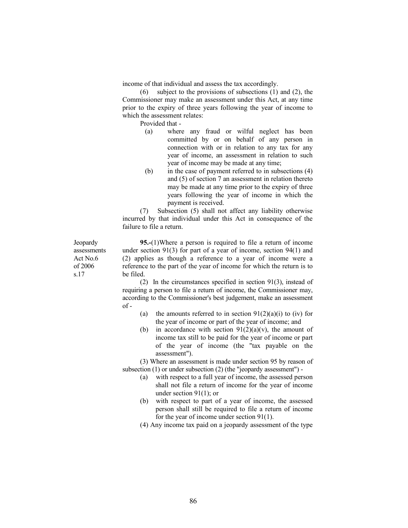income of that individual and assess the tax accordingly.

 (6) subject to the provisions of subsections (1) and (2), the Commissioner may make an assessment under this Act, at any time prior to the expiry of three years following the year of income to which the assessment relates:

Provided that -

- (a) where any fraud or wilful neglect has been committed by or on behalf of any person in connection with or in relation to any tax for any year of income, an assessment in relation to such year of income may be made at any time;
- (b) in the case of payment referred to in subsections (4) and (5) of section 7 an assessment in relation thereto may be made at any time prior to the expiry of three years following the year of income in which the payment is received.

 (7) Subsection (5) shall not affect any liability otherwise incurred by that individual under this Act in consequence of the failure to file a return.

95.-(1)Where a person is required to file a return of income under section 91(3) for part of a year of income, section 94(1) and (2) applies as though a reference to a year of income were a reference to the part of the year of income for which the return is to be filed.

 (2) In the circumstances specified in section 91(3), instead of requiring a person to file a return of income, the Commissioner may, according to the Commissioner's best judgement, make an assessment  $of -$ 

- (a) the amounts referred to in section  $91(2)(a)(i)$  to (iv) for the year of income or part of the year of income; and
- (b) in accordance with section  $91(2)(a)(v)$ , the amount of income tax still to be paid for the year of income or part of the year of income (the "tax payable on the assessment").

 (3) Where an assessment is made under section 95 by reason of subsection (1) or under subsection (2) (the "jeopardy assessment") -

- (a) with respect to a full year of income, the assessed person shall not file a return of income for the year of income under section 91(1); or
- (b) with respect to part of a year of income, the assessed person shall still be required to file a return of income for the year of income under section 91(1).
- (4) Any income tax paid on a jeopardy assessment of the type

**Jeopardy** assessments Act No.6 of 2006 s.17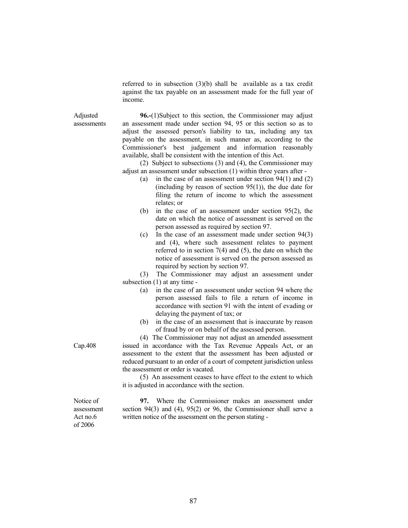referred to in subsection (3)(b) shall be available as a tax credit against the tax payable on an assessment made for the full year of income.

assessments 96.-(1)Subject to this section, the Commissioner may adjust an assessment made under section 94, 95 or this section so as to adjust the assessed person's liability to tax, including any tax payable on the assessment, in such manner as, according to the Commissioner's best judgement and information reasonably available, shall be consistent with the intention of this Act.

> (2) Subject to subsections (3) and (4), the Commissioner may adjust an assessment under subsection (1) within three years after -

- (a) in the case of an assessment under section 94(1) and (2) (including by reason of section  $95(1)$ ), the due date for filing the return of income to which the assessment relates; or
- (b) in the case of an assessment under section 95(2), the date on which the notice of assessment is served on the person assessed as required by section 97.
- (c) In the case of an assessment made under section 94(3) and (4), where such assessment relates to payment referred to in section 7(4) and (5), the date on which the notice of assessment is served on the person assessed as required by section by section 97.

 (3) The Commissioner may adjust an assessment under subsection (1) at any time -

- (a) in the case of an assessment under section 94 where the person assessed fails to file a return of income in accordance with section 91 with the intent of evading or delaying the payment of tax; or
- (b) in the case of an assessment that is inaccurate by reason of fraud by or on behalf of the assessed person.

(4) The Commissioner may not adjust an amended assessment issued in accordance with the Tax Revenue Appeals Act, or an assessment to the extent that the assessment has been adjusted or reduced pursuant to an order of a court of competent jurisdiction unless the assessment or order is vacated.

 (5) An assessment ceases to have effect to the extent to which it is adjusted in accordance with the section.

 97. Where the Commissioner makes an assessment under section 94(3) and (4), 95(2) or 96, the Commissioner shall serve a written notice of the assessment on the person stating -

Cap.408

Adjusted

Notice of assessment Act no.6 of 2006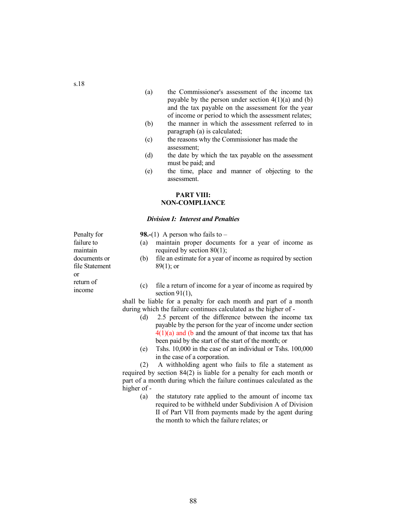- (a) the Commissioner's assessment of the income tax payable by the person under section  $4(1)(a)$  and (b) and the tax payable on the assessment for the year of income or period to which the assessment relates;
- (b) the manner in which the assessment referred to in paragraph (a) is calculated;
- (c) the reasons why the Commissioner has made the assessment;
- (d) the date by which the tax payable on the assessment must be paid; and
- (e) the time, place and manner of objecting to the assessment.

# PART VIII: NON-COMPLIANCE

## Division I: Interest and Penalties

**98.-(1)** A person who fails to  $-$ 

- (a) maintain proper documents for a year of income as required by section 80(1);
- (b) file an estimate for a year of income as required by section  $89(1)$ ; or

Feturn of  $\frac{1}{2}$  (c) file a return of income for a year of income as required by section  $91(1)$ ,

> shall be liable for a penalty for each month and part of a month during which the failure continues calculated as the higher of -

- (d) 2.5 percent of the difference between the income tax payable by the person for the year of income under section  $4(1)(a)$  and (b and the amount of that income tax that has been paid by the start of the start of the month; or
- (e) Tshs. 10,000 in the case of an individual or Tshs. 100,000 in the case of a corporation.

 (2) A withholding agent who fails to file a statement as required by section 84(2) is liable for a penalty for each month or part of a month during which the failure continues calculated as the higher of -

 (a) the statutory rate applied to the amount of income tax required to be withheld under Subdivision A of Division II of Part VII from payments made by the agent during the month to which the failure relates; or

Penalty for failure to maintain documents or file Statement or return of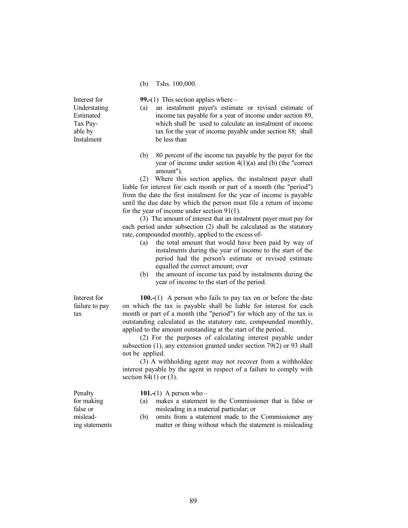(b) Tshs. 100,000.

Interest for Understating Estimated Tax Payable by Instalment

99.-(1) This section applies where  $-$ 

- (a) an instalment payer's estimate or revised estimate of income tax payable for a year of income under section 89, which shall be used to calculate an instalment of income tax for the year of income payable under section 88; shall be less than
- (b) 80 percent of the income tax payable by the payer for the year of income under section 4(1)(a) and (b) (the "correct amount").

 (2) Where this section applies, the instalment payer shall liable for interest for each month or part of a month (the "period") from the date the first instalment for the year of income is payable until the due date by which the person must file a return of income for the year of income under section 91(1).

 (3) The amount of interest that an instalment payer must pay for each period under subsection (2) shall be calculated as the statutory rate, compounded monthly, applied to the excess of-

- (a) the total amount that would have been paid by way of instalments during the year of income to the start of the period had the person's estimate or revised estimate equalled the correct amount; over
- (b) the amount of income tax paid by instalments during the year of income to the start of the period.

Interest for failure to pay tax

100.-(1) A person who fails to pay tax on or before the date on which the tax is payable shall be liable for interest for each month or part of a month (the "period") for which any of the tax is outstanding calculated as the statutory rate, compounded monthly, applied to the amount outstanding at the start of the period.

 (2) For the purposes of calculating interest payable under subsection (1), any extension granted under section 79(2) or 93 shall not be applied.

 (3) A withholding agent may not recover from a withholdee interest payable by the agent in respect of a failure to comply with section  $84(1)$  or  $(3)$ .

Penalty for making false or misleading statements 101.-(1) A person who  $-$ 

- (a) makes a statement to the Commissioner that is false or misleading in a material particular; or
- (b) omits from a statement made to the Commissioner any matter or thing without which the statement is misleading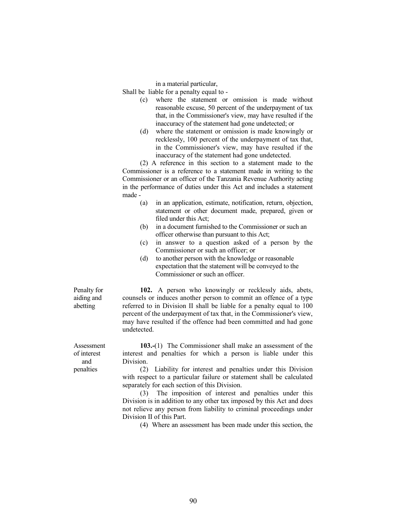in a material particular,

Shall be liable for a penalty equal to -

- (c) where the statement or omission is made without reasonable excuse, 50 percent of the underpayment of tax that, in the Commissioner's view, may have resulted if the inaccuracy of the statement had gone undetected; or
- (d) where the statement or omission is made knowingly or recklessly, 100 percent of the underpayment of tax that, in the Commissioner's view, may have resulted if the inaccuracy of the statement had gone undetected.

 (2) A reference in this section to a statement made to the Commissioner is a reference to a statement made in writing to the Commissioner or an officer of the Tanzania Revenue Authority acting in the performance of duties under this Act and includes a statement made -

- (a) in an application, estimate, notification, return, objection, statement or other document made, prepared, given or filed under this Act:
- (b) in a document furnished to the Commissioner or such an officer otherwise than pursuant to this Act;
- (c) in answer to a question asked of a person by the Commissioner or such an officer; or
- (d) to another person with the knowledge or reasonable expectation that the statement will be conveyed to the Commissioner or such an officer.

Penalty for aiding and abetting

 102. A person who knowingly or recklessly aids, abets, counsels or induces another person to commit an offence of a type referred to in Division II shall be liable for a penalty equal to 100 percent of the underpayment of tax that, in the Commissioner's view, may have resulted if the offence had been committed and had gone undetected.

 103.-(1) The Commissioner shall make an assessment of the interest and penalties for which a person is liable under this Division.

 (2) Liability for interest and penalties under this Division with respect to a particular failure or statement shall be calculated separately for each section of this Division.

 (3) The imposition of interest and penalties under this Division is in addition to any other tax imposed by this Act and does not relieve any person from liability to criminal proceedings under Division II of this Part.

(4) Where an assessment has been made under this section, the

Assessment of interest and penalties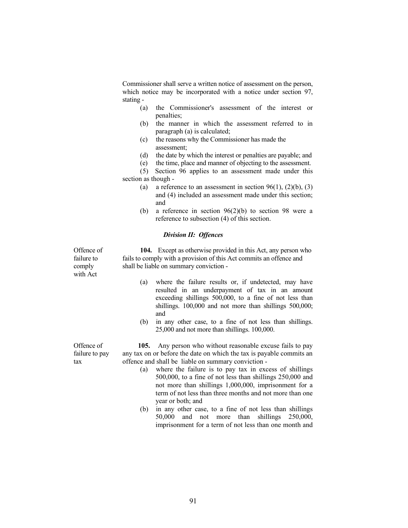Commissioner shall serve a written notice of assessment on the person, which notice may be incorporated with a notice under section 97, stating -

- (a) the Commissioner's assessment of the interest or penalties;
- (b) the manner in which the assessment referred to in paragraph (a) is calculated;
- (c) the reasons why the Commissioner has made the assessment;
- (d) the date by which the interest or penalties are payable; and
- (e) the time, place and manner of objecting to the assessment.

 (5) Section 96 applies to an assessment made under this section as though -

- (a) a reference to an assessment in section  $96(1)$ ,  $(2)(b)$ ,  $(3)$ and (4) included an assessment made under this section; and
- (b) a reference in section 96(2)(b) to section 98 were a reference to subsection (4) of this section.

# Division II: Offences

104. Except as otherwise provided in this Act, any person who fails to comply with a provision of this Act commits an offence and shall be liable on summary conviction -

- (a) where the failure results or, if undetected, may have resulted in an underpayment of tax in an amount exceeding shillings 500,000, to a fine of not less than shillings. 100,000 and not more than shillings 500,000; and
- (b) in any other case, to a fine of not less than shillings. 25,000 and not more than shillings. 100,000.

 105. Any person who without reasonable excuse fails to pay any tax on or before the date on which the tax is payable commits an offence and shall be liable on summary conviction -

- (a) where the failure is to pay tax in excess of shillings 500,000, to a fine of not less than shillings 250,000 and not more than shillings 1,000,000, imprisonment for a term of not less than three months and not more than one year or both; and
- (b) in any other case, to a fine of not less than shillings 50,000 and not more than shillings 250,000, imprisonment for a term of not less than one month and

Offence of failure to pay tax

Offence of failure to comply with Act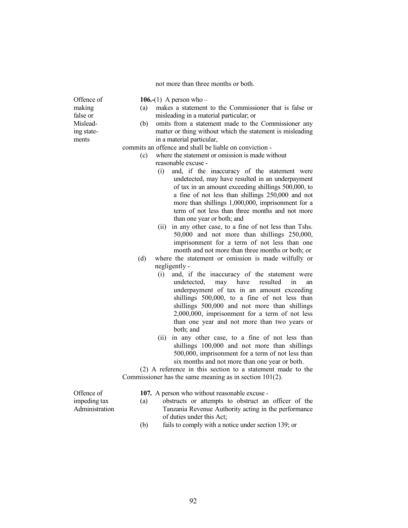not more than three months or both.

Offence of making false or Misleading statements

106.-(1) A person who  $-$ 

- (a) makes a statement to the Commissioner that is false or misleading in a material particular; or
- (b) omits from a statement made to the Commissioner any matter or thing without which the statement is misleading in a material particular,

commits an offence and shall be liable on conviction -

- (c) where the statement or omission is made without
	- reasonable excuse
		- (i) and, if the inaccuracy of the statement were undetected, may have resulted in an underpayment of tax in an amount exceeding shillings 500,000, to a fine of not less than shillings 250,000 and not more than shillings 1,000,000, imprisonment for a term of not less than three months and not more than one year or both; and
		- (ii) in any other case, to a fine of not less than Tshs. 50,000 and not more than shillings 250,000, imprisonment for a term of not less than one month and not more than three months or both; or
- (d) where the statement or omission is made wilfully or negligently -
	- (i) and, if the inaccuracy of the statement were undetected, may have resulted in an underpayment of tax in an amount exceeding shillings 500,000, to a fine of not less than shillings 500,000 and not more than shillings 2,000,000, imprisonment for a term of not less than one year and not more than two years or both; and
	- (ii) in any other case, to a fine of not less than shillings 100,000 and not more than shillings 500,000, imprisonment for a term of not less than six months and not more than one year or both.

 (2) A reference in this section to a statement made to the Commissioner has the same meaning as in section 101(2).

Offence of impeding tax Administration 107. A person who without reasonable excuse -

- (a) obstructs or attempts to obstruct an officer of the Tanzania Revenue Authority acting in the performance of duties under this Act;
- (b) fails to comply with a notice under section 139; or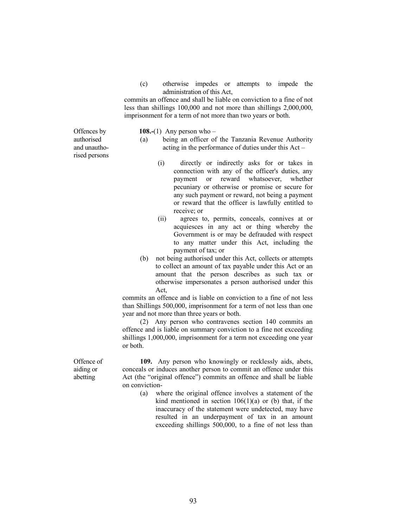(c) otherwise impedes or attempts to impede the administration of this Act,

 commits an offence and shall be liable on conviction to a fine of not less than shillings 100,000 and not more than shillings 2,000,000, imprisonment for a term of not more than two years or both.

Offences by authorised and unauthorised persons 108.-(1) Any person who  $-$ 

- (a) being an officer of the Tanzania Revenue Authority acting in the performance of duties under this Act –
	- (i) directly or indirectly asks for or takes in connection with any of the officer's duties, any payment or reward whatsoever, whether pecuniary or otherwise or promise or secure for any such payment or reward, not being a payment or reward that the officer is lawfully entitled to receive; or
	- (ii) agrees to, permits, conceals, connives at or acquiesces in any act or thing whereby the Government is or may be defrauded with respect to any matter under this Act, including the payment of tax; or
- (b) not being authorised under this Act, collects or attempts to collect an amount of tax payable under this Act or an amount that the person describes as such tax or otherwise impersonates a person authorised under this Act,

 commits an offence and is liable on conviction to a fine of not less than Shillings 500,000, imprisonment for a term of not less than one year and not more than three years or both.

 (2) Any person who contravenes section 140 commits an offence and is liable on summary conviction to a fine not exceeding shillings 1,000,000, imprisonment for a term not exceeding one year or both.

Offence of aiding or abetting

 109. Any person who knowingly or recklessly aids, abets, conceals or induces another person to commit an offence under this Act (the "original offence") commits an offence and shall be liable on conviction-

 (a) where the original offence involves a statement of the kind mentioned in section  $106(1)(a)$  or (b) that, if the inaccuracy of the statement were undetected, may have resulted in an underpayment of tax in an amount exceeding shillings 500,000, to a fine of not less than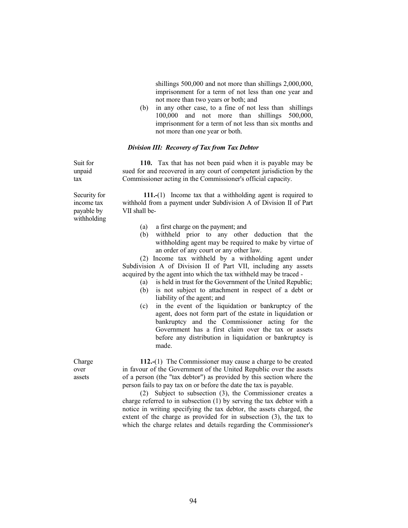shillings 500,000 and not more than shillings 2,000,000, imprisonment for a term of not less than one year and not more than two years or both; and

 (b) in any other case, to a fine of not less than shillings 100,000 and not more than shillings 500,000, imprisonment for a term of not less than six months and not more than one year or both.

#### Division III: Recovery of Tax from Tax Debtor

Suit for 110. Tax that has not been paid when it is payable may be sued for and recovered in any court of competent jurisdiction by the Commissioner acting in the Commissioner's official capacity.

Security for income tax payable by withholding

unpaid tax

> 111.-(1) Income tax that a withholding agent is required to withhold from a payment under Subdivision A of Division II of Part VII shall be-

- (a) a first charge on the payment; and
- (b) withheld prior to any other deduction that the withholding agent may be required to make by virtue of an order of any court or any other law.

 (2) Income tax withheld by a withholding agent under Subdivision A of Division II of Part VII, including any assets acquired by the agent into which the tax withheld may be traced -

- (a) is held in trust for the Government of the United Republic;
- (b) is not subject to attachment in respect of a debt or liability of the agent; and
- (c) in the event of the liquidation or bankruptcy of the agent, does not form part of the estate in liquidation or bankruptcy and the Commissioner acting for the Government has a first claim over the tax or assets before any distribution in liquidation or bankruptcy is made.

 112.-(1) The Commissioner may cause a charge to be created in favour of the Government of the United Republic over the assets of a person (the "tax debtor") as provided by this section where the person fails to pay tax on or before the date the tax is payable.

 (2) Subject to subsection (3), the Commissioner creates a charge referred to in subsection (1) by serving the tax debtor with a notice in writing specifying the tax debtor, the assets charged, the extent of the charge as provided for in subsection (3), the tax to which the charge relates and details regarding the Commissioner's

Charge over assets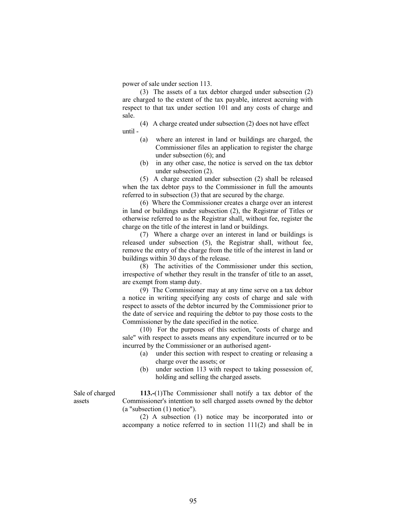power of sale under section 113.

 (3) The assets of a tax debtor charged under subsection (2) are charged to the extent of the tax payable, interest accruing with respect to that tax under section 101 and any costs of charge and sale.

 (4) A charge created under subsection (2) does not have effect until -

- (a) where an interest in land or buildings are charged, the Commissioner files an application to register the charge under subsection (6); and
- (b) in any other case, the notice is served on the tax debtor under subsection (2).

 (5) A charge created under subsection (2) shall be released when the tax debtor pays to the Commissioner in full the amounts referred to in subsection (3) that are secured by the charge.

 (6) Where the Commissioner creates a charge over an interest in land or buildings under subsection (2), the Registrar of Titles or otherwise referred to as the Registrar shall, without fee, register the charge on the title of the interest in land or buildings.

 (7) Where a charge over an interest in land or buildings is released under subsection (5), the Registrar shall, without fee, remove the entry of the charge from the title of the interest in land or buildings within 30 days of the release.

 (8) The activities of the Commissioner under this section, irrespective of whether they result in the transfer of title to an asset, are exempt from stamp duty.

 (9) The Commissioner may at any time serve on a tax debtor a notice in writing specifying any costs of charge and sale with respect to assets of the debtor incurred by the Commissioner prior to the date of service and requiring the debtor to pay those costs to the Commissioner by the date specified in the notice.

 (10) For the purposes of this section, "costs of charge and sale" with respect to assets means any expenditure incurred or to be incurred by the Commissioner or an authorised agent-

- (a) under this section with respect to creating or releasing a charge over the assets; or
- (b) under section 113 with respect to taking possession of, holding and selling the charged assets.

Sale of charged assets

 113.-(1)The Commissioner shall notify a tax debtor of the Commissioner's intention to sell charged assets owned by the debtor (a "subsection (1) notice").

 (2) A subsection (1) notice may be incorporated into or accompany a notice referred to in section 111(2) and shall be in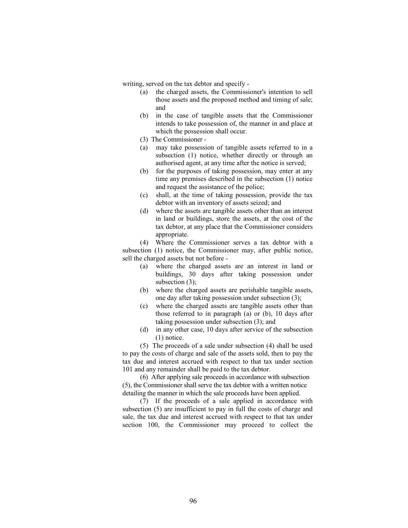writing, served on the tax debtor and specify -

- (a) the charged assets, the Commissioner's intention to sell those assets and the proposed method and timing of sale; and
- (b) in the case of tangible assets that the Commissioner intends to take possession of, the manner in and place at which the possession shall occur.
- (3) The Commissioner -
- (a) may take possession of tangible assets referred to in a subsection (1) notice, whether directly or through an authorised agent, at any time after the notice is served;
- (b) for the purposes of taking possession, may enter at any time any premises described in the subsection (1) notice and request the assistance of the police;
- (c) shall, at the time of taking possession, provide the tax debtor with an inventory of assets seized; and
- (d) where the assets are tangible assets other than an interest in land or buildings, store the assets, at the cost of the tax debtor, at any place that the Commissioner considers appropriate.

 (4) Where the Commissioner serves a tax debtor with a subsection (1) notice, the Commissioner may, after public notice, sell the charged assets but not before -

- (a) where the charged assets are an interest in land or buildings, 30 days after taking possession under subsection (3):
- (b) where the charged assets are perishable tangible assets, one day after taking possession under subsection (3);
- (c) where the charged assets are tangible assets other than those referred to in paragraph (a) or (b), 10 days after taking possession under subsection (3); and
- (d) in any other case, 10 days after service of the subsection (1) notice.

 (5) The proceeds of a sale under subsection (4) shall be used to pay the costs of charge and sale of the assets sold, then to pay the tax due and interest accrued with respect to that tax under section 101 and any remainder shall be paid to the tax debtor.

 (6) After applying sale proceeds in accordance with subsection (5), the Commissioner shall serve the tax debtor with a written notice detailing the manner in which the sale proceeds have been applied.

 (7) If the proceeds of a sale applied in accordance with subsection (5) are insufficient to pay in full the costs of charge and sale, the tax due and interest accrued with respect to that tax under section 100, the Commissioner may proceed to collect the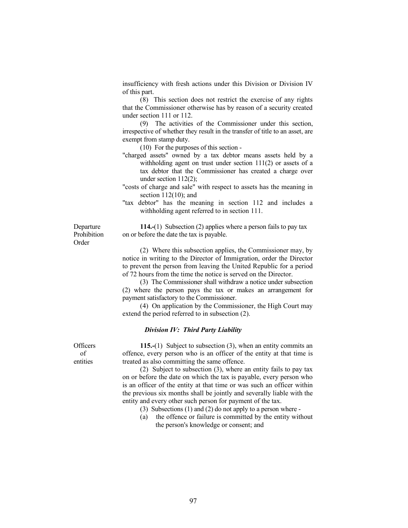insufficiency with fresh actions under this Division or Division IV of this part.

 (8) This section does not restrict the exercise of any rights that the Commissioner otherwise has by reason of a security created under section 111 or 112.

 (9) The activities of the Commissioner under this section, irrespective of whether they result in the transfer of title to an asset, are exempt from stamp duty.

(10) For the purposes of this section -

 "charged assets" owned by a tax debtor means assets held by a withholding agent on trust under section 111(2) or assets of a tax debtor that the Commissioner has created a charge over under section 112(2);

 "costs of charge and sale" with respect to assets has the meaning in section 112(10); and

 "tax debtor" has the meaning in section 112 and includes a withholding agent referred to in section 111.

Departure Prohibition Order

114.-(1) Subsection (2) applies where a person fails to pay tax on or before the date the tax is payable.

 (2) Where this subsection applies, the Commissioner may, by notice in writing to the Director of Immigration, order the Director to prevent the person from leaving the United Republic for a period of 72 hours from the time the notice is served on the Director.

 (3) The Commissioner shall withdraw a notice under subsection (2) where the person pays the tax or makes an arrangement for payment satisfactory to the Commissioner.

 (4) On application by the Commissioner, the High Court may extend the period referred to in subsection (2).

# Division IV: Third Party Liability

 115.-(1) Subject to subsection (3), when an entity commits an offence, every person who is an officer of the entity at that time is treated as also committing the same offence.

 (2) Subject to subsection (3), where an entity fails to pay tax on or before the date on which the tax is payable, every person who is an officer of the entity at that time or was such an officer within the previous six months shall be jointly and severally liable with the entity and every other such person for payment of the tax.

- (3) Subsections (1) and (2) do not apply to a person where -
- (a) the offence or failure is committed by the entity without the person's knowledge or consent; and

**Officers**  of entities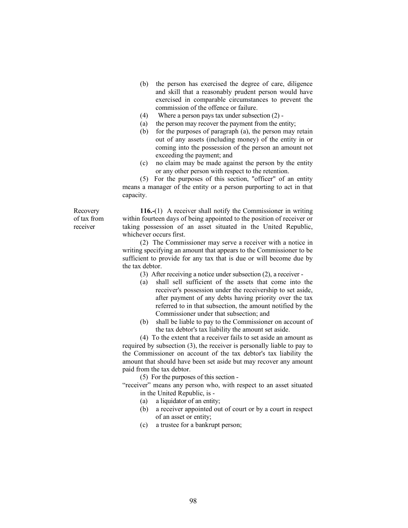- (b) the person has exercised the degree of care, diligence and skill that a reasonably prudent person would have exercised in comparable circumstances to prevent the commission of the offence or failure.
- (4) Where a person pays tax under subsection (2) -
- (a) the person may recover the payment from the entity;
- (b) for the purposes of paragraph (a), the person may retain out of any assets (including money) of the entity in or coming into the possession of the person an amount not exceeding the payment; and
- (c) no claim may be made against the person by the entity or any other person with respect to the retention.

 (5) For the purposes of this section, "officer" of an entity means a manager of the entity or a person purporting to act in that capacity.

Recovery of tax from receiver

 116.-(1) A receiver shall notify the Commissioner in writing within fourteen days of being appointed to the position of receiver or taking possession of an asset situated in the United Republic, whichever occurs first.

 (2) The Commissioner may serve a receiver with a notice in writing specifying an amount that appears to the Commissioner to be sufficient to provide for any tax that is due or will become due by the tax debtor.

- (3) After receiving a notice under subsection (2), a receiver -
- (a) shall sell sufficient of the assets that come into the receiver's possession under the receivership to set aside, after payment of any debts having priority over the tax referred to in that subsection, the amount notified by the Commissioner under that subsection; and
- (b) shall be liable to pay to the Commissioner on account of the tax debtor's tax liability the amount set aside.

 (4) To the extent that a receiver fails to set aside an amount as required by subsection (3), the receiver is personally liable to pay to the Commissioner on account of the tax debtor's tax liability the amount that should have been set aside but may recover any amount paid from the tax debtor.

(5) For the purposes of this section -

 "receiver" means any person who, with respect to an asset situated in the United Republic, is -

- (a) a liquidator of an entity;
- (b) a receiver appointed out of court or by a court in respect of an asset or entity;
- (c) a trustee for a bankrupt person;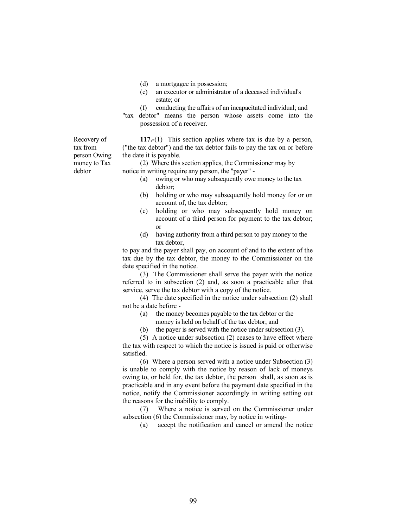- (d) a mortgagee in possession;
- (e) an executor or administrator of a deceased individual's estate; or
- (f) conducting the affairs of an incapacitated individual; and
- "tax debtor" means the person whose assets come into the possession of a receiver.

 117.-(1) This section applies where tax is due by a person, ("the tax debtor") and the tax debtor fails to pay the tax on or before the date it is payable.

 (2) Where this section applies, the Commissioner may by notice in writing require any person, the "payer" -

- (a) owing or who may subsequently owe money to the tax debtor;
- (b) holding or who may subsequently hold money for or on account of, the tax debtor;
- (c) holding or who may subsequently hold money on account of a third person for payment to the tax debtor; or
- (d) having authority from a third person to pay money to the tax debtor,

 to pay and the payer shall pay, on account of and to the extent of the tax due by the tax debtor, the money to the Commissioner on the date specified in the notice.

 (3) The Commissioner shall serve the payer with the notice referred to in subsection (2) and, as soon a practicable after that service, serve the tax debtor with a copy of the notice.

 (4) The date specified in the notice under subsection (2) shall not be a date before -

- (a) the money becomes payable to the tax debtor or the money is held on behalf of the tax debtor; and
- (b) the payer is served with the notice under subsection (3).

 (5) A notice under subsection (2) ceases to have effect where the tax with respect to which the notice is issued is paid or otherwise satisfied.

 (6) Where a person served with a notice under Subsection (3) is unable to comply with the notice by reason of lack of moneys owing to, or held for, the tax debtor, the person shall, as soon as is practicable and in any event before the payment date specified in the notice, notify the Commissioner accordingly in writing setting out the reasons for the inability to comply.

 (7) Where a notice is served on the Commissioner under subsection (6) the Commissioner may, by notice in writing-

(a) accept the notification and cancel or amend the notice

Recovery of tax from person Owing money to Tax debtor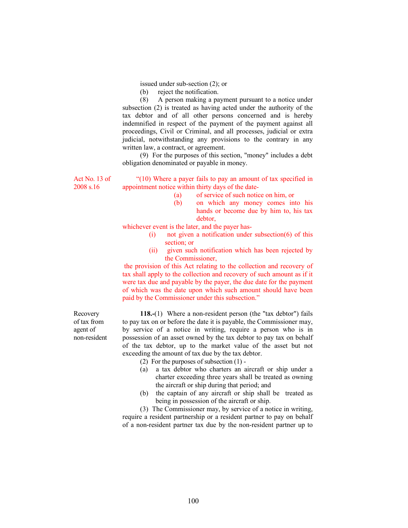issued under sub-section (2); or

(b) reject the notification.

 (8) A person making a payment pursuant to a notice under subsection (2) is treated as having acted under the authority of the tax debtor and of all other persons concerned and is hereby indemnified in respect of the payment of the payment against all proceedings, Civil or Criminal, and all processes, judicial or extra judicial, notwithstanding any provisions to the contrary in any written law, a contract, or agreement.

 (9) For the purposes of this section, "money" includes a debt obligation denominated or payable in money.

Act No. 13 of 2008 s.16

 "(10) Where a payer fails to pay an amount of tax specified in appointment notice within thirty days of the date-

- (a) of service of such notice on him, or
- (b) on which any money comes into his hands or become due by him to, his tax debtor,

whichever event is the later, and the payer has-

- (i) not given a notification under subsection(6) of this section; or
- (ii) given such notification which has been rejected by the Commissioner,

 the provision of this Act relating to the collection and recovery of tax shall apply to the collection and recovery of such amount as if it were tax due and payable by the payer, the due date for the payment of which was the date upon which such amount should have been paid by the Commissioner under this subsection."

Recovery of tax from agent of non-resident

 118.-(1) Where a non-resident person (the "tax debtor") fails to pay tax on or before the date it is payable, the Commissioner may, by service of a notice in writing, require a person who is in possession of an asset owned by the tax debtor to pay tax on behalf of the tax debtor, up to the market value of the asset but not exceeding the amount of tax due by the tax debtor.

(2) For the purposes of subsection (1) -

- (a) a tax debtor who charters an aircraft or ship under a charter exceeding three years shall be treated as owning the aircraft or ship during that period; and
- (b) the captain of any aircraft or ship shall be treated as being in possession of the aircraft or ship.

 (3) The Commissioner may, by service of a notice in writing, require a resident partnership or a resident partner to pay on behalf of a non-resident partner tax due by the non-resident partner up to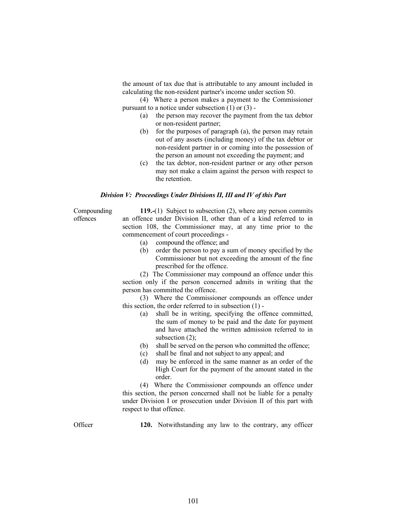the amount of tax due that is attributable to any amount included in calculating the non-resident partner's income under section 50.

 (4) Where a person makes a payment to the Commissioner pursuant to a notice under subsection (1) or (3) -

- (a) the person may recover the payment from the tax debtor or non-resident partner;
- (b) for the purposes of paragraph (a), the person may retain out of any assets (including money) of the tax debtor or non-resident partner in or coming into the possession of the person an amount not exceeding the payment; and
- (c) the tax debtor, non-resident partner or any other person may not make a claim against the person with respect to the retention.

#### Division V: Proceedings Under Divisions II, III and IV of this Part

Compounding offences

 119.-(1) Subject to subsection (2), where any person commits an offence under Division II, other than of a kind referred to in section 108, the Commissioner may, at any time prior to the commencement of court proceedings -

- (a) compound the offence; and
- (b) order the person to pay a sum of money specified by the Commissioner but not exceeding the amount of the fine prescribed for the offence.

 (2) The Commissioner may compound an offence under this section only if the person concerned admits in writing that the person has committed the offence.

 (3) Where the Commissioner compounds an offence under this section, the order referred to in subsection (1) -

- (a) shall be in writing, specifying the offence committed, the sum of money to be paid and the date for payment and have attached the written admission referred to in subsection  $(2)$ ;
- (b) shall be served on the person who committed the offence;
- (c) shall be final and not subject to any appeal; and
- (d) may be enforced in the same manner as an order of the High Court for the payment of the amount stated in the order.

 (4) Where the Commissioner compounds an offence under this section, the person concerned shall not be liable for a penalty under Division I or prosecution under Division II of this part with respect to that offence.

Officer 120. Notwithstanding any law to the contrary, any officer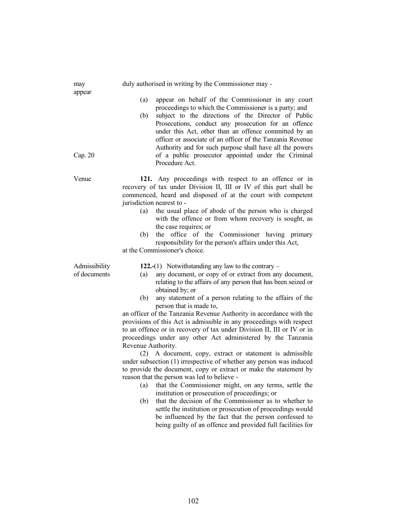| may                           | duly authorised in writing by the Commissioner may -                                                                                                                                                                                                                                                                                                                                                                                                                                                                                                                                                                                                                                                                                                                                                                                                                                                                                                                                                                                                                                                                                                                                                                                                   |
|-------------------------------|--------------------------------------------------------------------------------------------------------------------------------------------------------------------------------------------------------------------------------------------------------------------------------------------------------------------------------------------------------------------------------------------------------------------------------------------------------------------------------------------------------------------------------------------------------------------------------------------------------------------------------------------------------------------------------------------------------------------------------------------------------------------------------------------------------------------------------------------------------------------------------------------------------------------------------------------------------------------------------------------------------------------------------------------------------------------------------------------------------------------------------------------------------------------------------------------------------------------------------------------------------|
| appear<br>Cap. 20             | appear on behalf of the Commissioner in any court<br>(a)<br>proceedings to which the Commissioner is a party; and<br>subject to the directions of the Director of Public<br>(b)<br>Prosecutions, conduct any prosecution for an offence<br>under this Act, other than an offence committed by an<br>officer or associate of an officer of the Tanzania Revenue<br>Authority and for such purpose shall have all the powers<br>of a public prosecutor appointed under the Criminal<br>Procedure Act.                                                                                                                                                                                                                                                                                                                                                                                                                                                                                                                                                                                                                                                                                                                                                    |
| Venue                         | 121. Any proceedings with respect to an offence or in<br>recovery of tax under Division II, III or IV of this part shall be<br>commenced, heard and disposed of at the court with competent<br>jurisdiction nearest to -<br>the usual place of abode of the person who is charged<br>(a)<br>with the offence or from whom recovery is sought, as<br>the case requires; or<br>the office of the Commissioner having primary<br>(b)<br>responsibility for the person's affairs under this Act,<br>at the Commissioner's choice.                                                                                                                                                                                                                                                                                                                                                                                                                                                                                                                                                                                                                                                                                                                          |
| Admissibility<br>of documents | 122.-(1) Notwithstanding any law to the contrary $-$<br>any document, or copy of or extract from any document,<br>(a)<br>relating to the affairs of any person that has been seized or<br>obtained by; or<br>any statement of a person relating to the affairs of the<br>(b)<br>person that is made to,<br>an officer of the Tanzania Revenue Authority in accordance with the<br>provisions of this Act is admissible in any proceedings with respect<br>to an offence or in recovery of tax under Division II, III or IV or in<br>proceedings under any other Act administered by the Tanzania<br>Revenue Authority.<br>(2) A document, copy, extract or statement is admissible<br>under subsection (1) irrespective of whether any person was induced<br>to provide the document, copy or extract or make the statement by<br>reason that the person was led to believe -<br>that the Commissioner might, on any terms, settle the<br>(a)<br>institution or prosecution of proceedings; or<br>that the decision of the Commissioner as to whether to<br>(b)<br>settle the institution or prosecution of proceedings would<br>be influenced by the fact that the person confessed to<br>being guilty of an offence and provided full facilities for |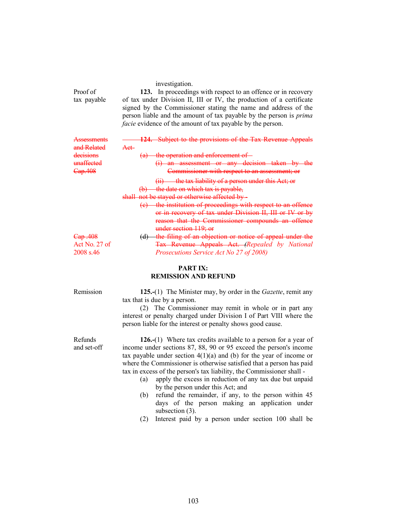|                         | investigation.                                                                                                                                                                                                                                                                                                                                            |
|-------------------------|-----------------------------------------------------------------------------------------------------------------------------------------------------------------------------------------------------------------------------------------------------------------------------------------------------------------------------------------------------------|
| Proof of<br>tax payable | 123. In proceedings with respect to an offence or in recovery<br>of tax under Division II, III or IV, the production of a certificate<br>signed by the Commissioner stating the name and address of the<br>person liable and the amount of tax payable by the person is <i>prima</i><br><i>facie</i> evidence of the amount of tax payable by the person. |
| Assessm<br>and Related  | <b>124.</b> Subject to the provisions of the Tax Revenue Appeals<br>Aet-                                                                                                                                                                                                                                                                                  |
| decisions               | (a) the operation and enforcement of -                                                                                                                                                                                                                                                                                                                    |
| <del>unaffected</del>   | $(i)$ an assessment or any decision taken by the                                                                                                                                                                                                                                                                                                          |
| Cap.408                 | Commissioner with respect to an assessment; or                                                                                                                                                                                                                                                                                                            |
|                         | $(ii)$ the tax liability of a person under this Act; or                                                                                                                                                                                                                                                                                                   |
|                         | $(b)$ the date on which tax is payable,                                                                                                                                                                                                                                                                                                                   |
|                         | shall not be stayed or otherwise affected by -                                                                                                                                                                                                                                                                                                            |
|                         | (c) the institution of proceedings with respect to an offence                                                                                                                                                                                                                                                                                             |
|                         | or in recovery of tax under Division II, III or IV or by                                                                                                                                                                                                                                                                                                  |
|                         | reason that the Commissioner compounds an offence                                                                                                                                                                                                                                                                                                         |
|                         | under section 119; or                                                                                                                                                                                                                                                                                                                                     |
| <del>Cap .408</del>     | (d) the filing of an objection or notice of appeal under the                                                                                                                                                                                                                                                                                              |
| Act No. 27 of           | <b>Tax Revenue Appeals Act. (Repealed by National</b>                                                                                                                                                                                                                                                                                                     |
| 2008 s.46               | Prosecutions Service Act No 27 of 2008)                                                                                                                                                                                                                                                                                                                   |

# PART IX: REMISSION AND REFUND

Refunds and set-off

Remission 125.-(1) The Minister may, by order in the *Gazette*, remit any tax that is due by a person.

> (2) The Commissioner may remit in whole or in part any interest or penalty charged under Division I of Part VIII where the person liable for the interest or penalty shows good cause.

> 126.-(1) Where tax credits available to a person for a year of income under sections 87, 88, 90 or 95 exceed the person's income tax payable under section  $4(1)(a)$  and (b) for the year of income or where the Commissioner is otherwise satisfied that a person has paid tax in excess of the person's tax liability, the Commissioner shall -

- (a) apply the excess in reduction of any tax due but unpaid by the person under this Act; and
- (b) refund the remainder, if any, to the person within 45 days of the person making an application under subsection (3).
- (2) Interest paid by a person under section 100 shall be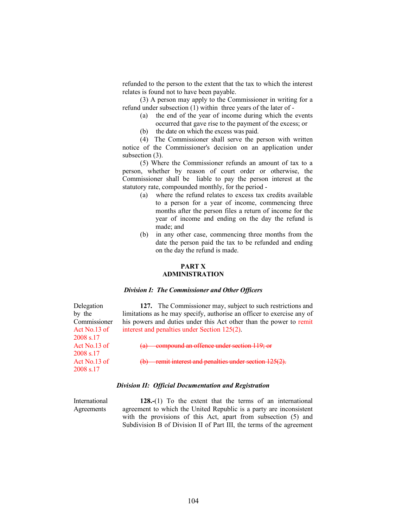refunded to the person to the extent that the tax to which the interest relates is found not to have been payable.

 (3) A person may apply to the Commissioner in writing for a refund under subsection (1) within three years of the later of -

- (a) the end of the year of income during which the events occurred that gave rise to the payment of the excess; or
- (b) the date on which the excess was paid.

 (4) The Commissioner shall serve the person with written notice of the Commissioner's decision on an application under subsection  $(3)$ .

 (5) Where the Commissioner refunds an amount of tax to a person, whether by reason of court order or otherwise, the Commissioner shall be liable to pay the person interest at the statutory rate, compounded monthly, for the period -

- (a) where the refund relates to excess tax credits available to a person for a year of income, commencing three months after the person files a return of income for the year of income and ending on the day the refund is made; and
- (b) in any other case, commencing three months from the date the person paid the tax to be refunded and ending on the day the refund is made.

#### PART X ADMINISTRATION

#### Division I: The Commissioner and Other Officers

 127. The Commissioner may, subject to such restrictions and limitations as he may specify, authorise an officer to exercise any of his powers and duties under this Act other than the power to remit interest and penalties under Section 125(2).

(a) compound an offence under section 119; or

remit interest and penalties under section 125(2).

# Division II: Official Documentation and Registration

International Agreements

Delegation by the Commissioner Act No.13 of 2008 s.17

Act No.13 of 2008 s.17

Act No.13 of 2008 s.17

> 128.-(1) To the extent that the terms of an international agreement to which the United Republic is a party are inconsistent with the provisions of this Act, apart from subsection (5) and Subdivision B of Division II of Part III, the terms of the agreement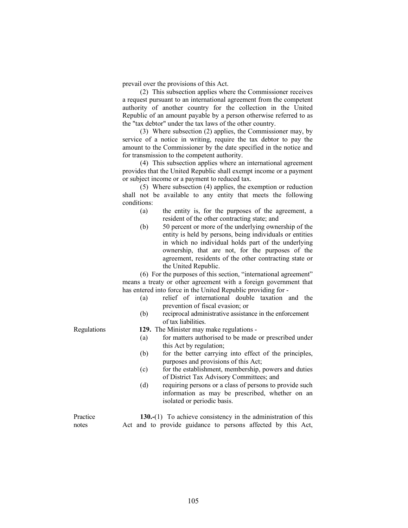prevail over the provisions of this Act.

 (2) This subsection applies where the Commissioner receives a request pursuant to an international agreement from the competent authority of another country for the collection in the United Republic of an amount payable by a person otherwise referred to as the "tax debtor" under the tax laws of the other country.

 (3) Where subsection (2) applies, the Commissioner may, by service of a notice in writing, require the tax debtor to pay the amount to the Commissioner by the date specified in the notice and for transmission to the competent authority.

 (4) This subsection applies where an international agreement provides that the United Republic shall exempt income or a payment or subject income or a payment to reduced tax.

 (5) Where subsection (4) applies, the exemption or reduction shall not be available to any entity that meets the following conditions:

- (a) the entity is, for the purposes of the agreement, a resident of the other contracting state; and
- (b) 50 percent or more of the underlying ownership of the entity is held by persons, being individuals or entities in which no individual holds part of the underlying ownership, that are not, for the purposes of the agreement, residents of the other contracting state or the United Republic.

 (6) For the purposes of this section, "international agreement" means a treaty or other agreement with a foreign government that has entered into force in the United Republic providing for -

- (a) relief of international double taxation and the prevention of fiscal evasion; or
- (b) reciprocal administrative assistance in the enforcement of tax liabilities.
- Regulations 129. The Minister may make regulations
	- (a) for matters authorised to be made or prescribed under this Act by regulation;
	- (b) for the better carrying into effect of the principles, purposes and provisions of this Act;
	- (c) for the establishment, membership, powers and duties of District Tax Advisory Committees; and
	- (d) requiring persons or a class of persons to provide such information as may be prescribed, whether on an isolated or periodic basis.

Practice

130.-(1) To achieve consistency in the administration of this Act and to provide guidance to persons affected by this Act,

notes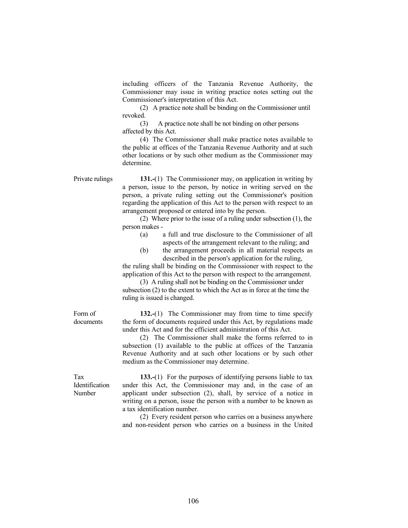including officers of the Tanzania Revenue Authority, the Commissioner may issue in writing practice notes setting out the Commissioner's interpretation of this Act.

 (2) A practice note shall be binding on the Commissioner until revoked.

 (3) A practice note shall be not binding on other persons affected by this Act.

 (4) The Commissioner shall make practice notes available to the public at offices of the Tanzania Revenue Authority and at such other locations or by such other medium as the Commissioner may determine.

Private rulings 131.-(1) The Commissioner may, on application in writing by a person, issue to the person, by notice in writing served on the person, a private ruling setting out the Commissioner's position regarding the application of this Act to the person with respect to an arrangement proposed or entered into by the person.

> (2) Where prior to the issue of a ruling under subsection (1), the person makes -

- (a) a full and true disclosure to the Commissioner of all aspects of the arrangement relevant to the ruling; and
- (b) the arrangement proceeds in all material respects as described in the person's application for the ruling,

 the ruling shall be binding on the Commissioner with respect to the application of this Act to the person with respect to the arrangement.

 (3) A ruling shall not be binding on the Commissioner under subsection (2) to the extent to which the Act as in force at the time the ruling is issued is changed.

132.-(1) The Commissioner may from time to time specify the form of documents required under this Act, by regulations made under this Act and for the efficient administration of this Act.

 (2) The Commissioner shall make the forms referred to in subsection (1) available to the public at offices of the Tanzania Revenue Authority and at such other locations or by such other medium as the Commissioner may determine.

Tax Identification Number

Form of documents

> 133.-(1) For the purposes of identifying persons liable to tax under this Act, the Commissioner may and, in the case of an applicant under subsection (2), shall, by service of a notice in writing on a person, issue the person with a number to be known as a tax identification number.

> (2) Every resident person who carries on a business anywhere and non-resident person who carries on a business in the United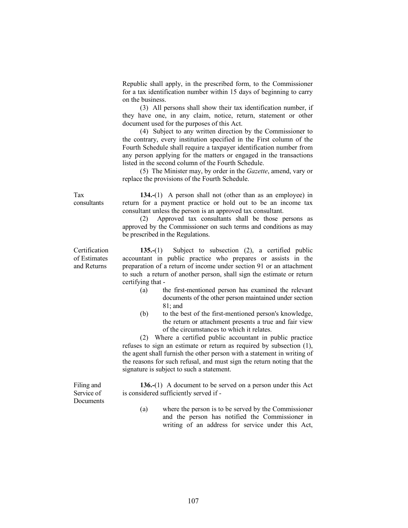Republic shall apply, in the prescribed form, to the Commissioner for a tax identification number within 15 days of beginning to carry on the business.

 (3) All persons shall show their tax identification number, if they have one, in any claim, notice, return, statement or other document used for the purposes of this Act.

 (4) Subject to any written direction by the Commissioner to the contrary, every institution specified in the First column of the Fourth Schedule shall require a taxpayer identification number from any person applying for the matters or engaged in the transactions listed in the second column of the Fourth Schedule.

 (5) The Minister may, by order in the Gazette, amend, vary or replace the provisions of the Fourth Schedule.

 134.-(1) A person shall not (other than as an employee) in return for a payment practice or hold out to be an income tax consultant unless the person is an approved tax consultant.

 (2) Approved tax consultants shall be those persons as approved by the Commissioner on such terms and conditions as may be prescribed in the Regulations.

 135.-(1) Subject to subsection (2), a certified public accountant in public practice who prepares or assists in the preparation of a return of income under section 91 or an attachment to such a return of another person, shall sign the estimate or return certifying that -

- (a) the first-mentioned person has examined the relevant documents of the other person maintained under section 81; and
- (b) to the best of the first-mentioned person's knowledge, the return or attachment presents a true and fair view of the circumstances to which it relates.

 (2) Where a certified public accountant in public practice refuses to sign an estimate or return as required by subsection (1), the agent shall furnish the other person with a statement in writing of the reasons for such refusal, and must sign the return noting that the signature is subject to such a statement.

 136.-(1) A document to be served on a person under this Act is considered sufficiently served if -

 (a) where the person is to be served by the Commissioner and the person has notified the Commissioner in writing of an address for service under this Act,

consultants

Certification of Estimates and Returns

Tax

Filing and Service of **Documents**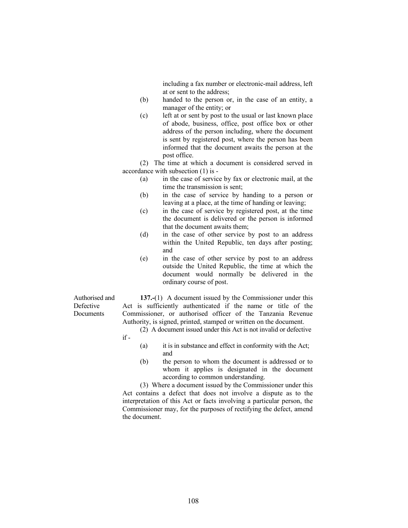including a fax number or electronic-mail address, left at or sent to the address;

- (b) handed to the person or, in the case of an entity, a manager of the entity; or
- (c) left at or sent by post to the usual or last known place of abode, business, office, post office box or other address of the person including, where the document is sent by registered post, where the person has been informed that the document awaits the person at the post office.

 (2) The time at which a document is considered served in accordance with subsection (1) is -

- (a) in the case of service by fax or electronic mail, at the time the transmission is sent;
- (b) in the case of service by handing to a person or leaving at a place, at the time of handing or leaving;
- (c) in the case of service by registered post, at the time the document is delivered or the person is informed that the document awaits them;
- (d) in the case of other service by post to an address within the United Republic, ten days after posting; and
- (e) in the case of other service by post to an address outside the United Republic, the time at which the document would normally be delivered in the ordinary course of post.

Authorised and Defective **Documents** 

 137.-(1) A document issued by the Commissioner under this Act is sufficiently authenticated if the name or title of the Commissioner, or authorised officer of the Tanzania Revenue Authority, is signed, printed, stamped or written on the document.

 (2) A document issued under this Act is not invalid or defective if -

- (a) it is in substance and effect in conformity with the Act; and
- (b) the person to whom the document is addressed or to whom it applies is designated in the document according to common understanding.

 (3) Where a document issued by the Commissioner under this Act contains a defect that does not involve a dispute as to the interpretation of this Act or facts involving a particular person, the Commissioner may, for the purposes of rectifying the defect, amend the document.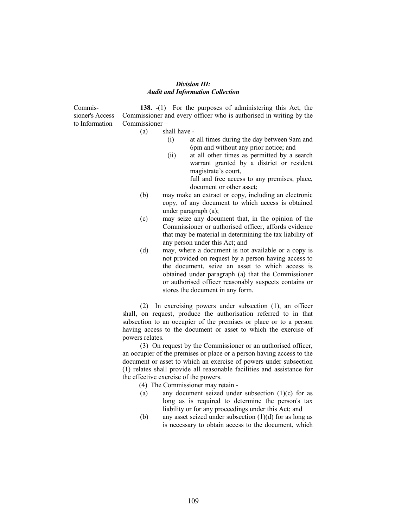### Division III: Audit and Information Collection

Commissioner's Access to Information

 138. -(1) For the purposes of administering this Act, the Commissioner and every officer who is authorised in writing by the Commissioner –

- (a) shall have
	- (i) at all times during the day between 9am and 6pm and without any prior notice; and
	- (ii) at all other times as permitted by a search warrant granted by a district or resident magistrate's court,

full and free access to any premises, place, document or other asset;

- (b) may make an extract or copy, including an electronic copy, of any document to which access is obtained under paragraph (a);
- (c) may seize any document that, in the opinion of the Commissioner or authorised officer, affords evidence that may be material in determining the tax liability of any person under this Act; and
- (d) may, where a document is not available or a copy is not provided on request by a person having access to the document, seize an asset to which access is obtained under paragraph (a) that the Commissioner or authorised officer reasonably suspects contains or stores the document in any form.

 (2) In exercising powers under subsection (1), an officer shall, on request, produce the authorisation referred to in that subsection to an occupier of the premises or place or to a person having access to the document or asset to which the exercise of powers relates.

 (3) On request by the Commissioner or an authorised officer, an occupier of the premises or place or a person having access to the document or asset to which an exercise of powers under subsection (1) relates shall provide all reasonable facilities and assistance for the effective exercise of the powers.

(4) The Commissioner may retain -

- (a) any document seized under subsection  $(1)(c)$  for as long as is required to determine the person's tax liability or for any proceedings under this Act; and
- (b) any asset seized under subsection  $(1)(d)$  for as long as is necessary to obtain access to the document, which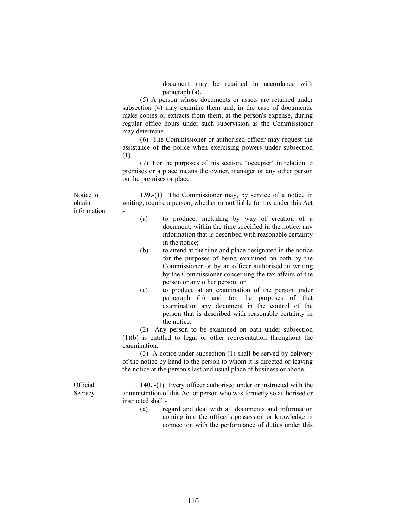document may be retained in accordance with paragraph (a).

 (5) A person whose documents or assets are retained under subsection (4) may examine them and, in the case of documents, make copies or extracts from them, at the person's expense, during regular office hours under such supervision as the Commissioner may determine.

 (6) The Commissioner or authorised officer may request the assistance of the police when exercising powers under subsection (1).

 (7) For the purposes of this section, "occupier" in relation to premises or a place means the owner, manager or any other person on the premises or place.

Notice to obtain information

 139.-(1) The Commissioner may, by service of a notice in writing, require a person, whether or not liable for tax under this Act -

- (a) to produce, including by way of creation of a document, within the time specified in the notice, any information that is described with reasonable certainty in the notice;
- (b) to attend at the time and place designated in the notice for the purposes of being examined on oath by the Commissioner or by an officer authorised in writing by the Commissioner concerning the tax affairs of the person or any other person; or
- (c) to produce at an examination of the person under paragraph (b) and for the purposes of that examination any document in the control of the person that is described with reasonable certainty in the notice.

 (2) Any person to be examined on oath under subsection (1)(b) is entitled to legal or other representation throughout the examination.

 (3) A notice under subsection (1) shall be served by delivery of the notice by hand to the person to whom it is directed or leaving the notice at the person's last and usual place of business or abode.

**Official Secrecy** 

140. -(1) Every officer authorised under or instructed with the administration of this Act or person who was formerly so authorised or instructed shall -

 (a) regard and deal with all documents and information coming into the officer's possession or knowledge in connection with the performance of duties under this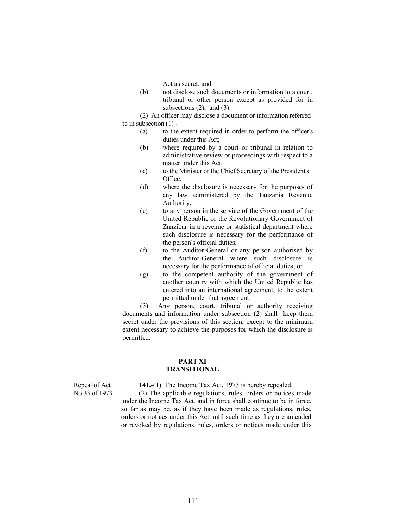Act as secret; and

 (b) not disclose such documents or information to a court, tribunal or other person except as provided for in subsections  $(2)$ , and  $(3)$ .

 (2) An officer may disclose a document or information referred to in subsection (1) -

- (a) to the extent required in order to perform the officer's duties under this Act;
- (b) where required by a court or tribunal in relation to administrative review or proceedings with respect to a matter under this Act;
- (c) to the Minister or the Chief Secretary of the President's Office;
- (d) where the disclosure is necessary for the purposes of any law administered by the Tanzania Revenue Authority;
- (e) to any person in the service of the Government of the United Republic or the Revolutionary Government of Zanzibar in a revenue or statistical department where such disclosure is necessary for the performance of the person's official duties;
- (f) to the Auditor-General or any person authorised by the Auditor-General where such disclosure is necessary for the performance of official duties; or
- (g) to the competent authority of the government of another country with which the United Republic has entered into an international agreement, to the extent permitted under that agreement.

 (3) Any person, court, tribunal or authority receiving documents and information under subsection (2) shall keep them secret under the provisions of this section, except to the minimum extent necessary to achieve the purposes for which the disclosure is permitted.

#### PART XI TRANSITIONAL

Repeal of Act 141.-(1) The Income Tax Act, 1973 is hereby repealed.<br>No.33 of 1973 (2) The applicable regulations, rules, orders or notices

(2) The applicable regulations, rules, orders or notices made under the Income Tax Act, and in force shall continue to be in force, so far as may be, as if they have been made as regulations, rules, orders or notices under this Act until such time as they are amended or revoked by regulations, rules, orders or notices made under this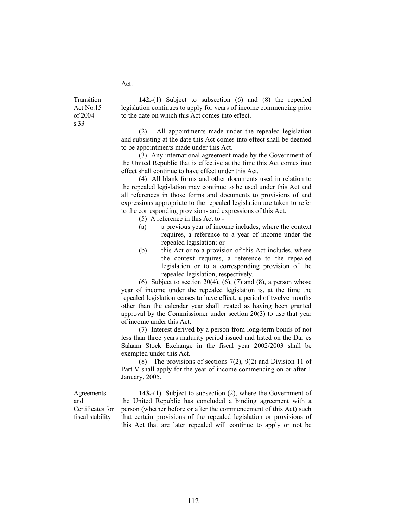Act.

Transition Act No.15 of 2004 s.33

 142.-(1) Subject to subsection (6) and (8) the repealed legislation continues to apply for years of income commencing prior to the date on which this Act comes into effect.

 (2) All appointments made under the repealed legislation and subsisting at the date this Act comes into effect shall be deemed to be appointments made under this Act.

 (3) Any international agreement made by the Government of the United Republic that is effective at the time this Act comes into effect shall continue to have effect under this Act.

 (4) All blank forms and other documents used in relation to the repealed legislation may continue to be used under this Act and all references in those forms and documents to provisions of and expressions appropriate to the repealed legislation are taken to refer to the corresponding provisions and expressions of this Act.

(5) A reference in this Act to -

- (a) a previous year of income includes, where the context requires, a reference to a year of income under the repealed legislation; or
- (b) this Act or to a provision of this Act includes, where the context requires, a reference to the repealed legislation or to a corresponding provision of the repealed legislation, respectively.

(6) Subject to section  $20(4)$ ,  $(6)$ ,  $(7)$  and  $(8)$ , a person whose year of income under the repealed legislation is, at the time the repealed legislation ceases to have effect, a period of twelve months other than the calendar year shall treated as having been granted approval by the Commissioner under section 20(3) to use that year of income under this Act.

 (7) Interest derived by a person from long-term bonds of not less than three years maturity period issued and listed on the Dar es Salaam Stock Exchange in the fiscal year 2002/2003 shall be exempted under this Act.

 (8) The provisions of sections 7(2), 9(2) and Division 11 of Part V shall apply for the year of income commencing on or after 1 January, 2005.

Agreements and Certificates for fiscal stability

 143.-(1) Subject to subsection (2), where the Government of the United Republic has concluded a binding agreement with a person (whether before or after the commencement of this Act) such that certain provisions of the repealed legislation or provisions of this Act that are later repealed will continue to apply or not be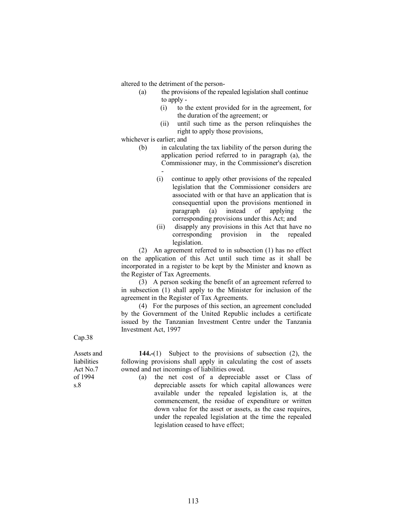altered to the detriment of the person-

- (a) the provisions of the repealed legislation shall continue to apply -
	- (i) to the extent provided for in the agreement, for the duration of the agreement; or
	- (ii) until such time as the person relinquishes the right to apply those provisions,

whichever is earlier; and

- (b) in calculating the tax liability of the person during the application period referred to in paragraph (a), the Commissioner may, in the Commissioner's discretion -
	- (i) continue to apply other provisions of the repealed legislation that the Commissioner considers are associated with or that have an application that is consequential upon the provisions mentioned in paragraph (a) instead of applying the corresponding provisions under this Act; and
	- (ii) disapply any provisions in this Act that have no corresponding provision in the repealed legislation.

 (2) An agreement referred to in subsection (1) has no effect on the application of this Act until such time as it shall be incorporated in a register to be kept by the Minister and known as the Register of Tax Agreements.

 (3) A person seeking the benefit of an agreement referred to in subsection (1) shall apply to the Minister for inclusion of the agreement in the Register of Tax Agreements.

 (4) For the purposes of this section, an agreement concluded by the Government of the United Republic includes a certificate issued by the Tanzanian Investment Centre under the Tanzania Investment Act, 1997

Cap.38

Assets and liabilities Act No.7 of 1994 s.8

 144.-(1) Subject to the provisions of subsection (2), the following provisions shall apply in calculating the cost of assets owned and net incomings of liabilities owed.

(a) the net cost of a depreciable asset or Class of depreciable assets for which capital allowances were available under the repealed legislation is, at the commencement, the residue of expenditure or written down value for the asset or assets, as the case requires, under the repealed legislation at the time the repealed legislation ceased to have effect;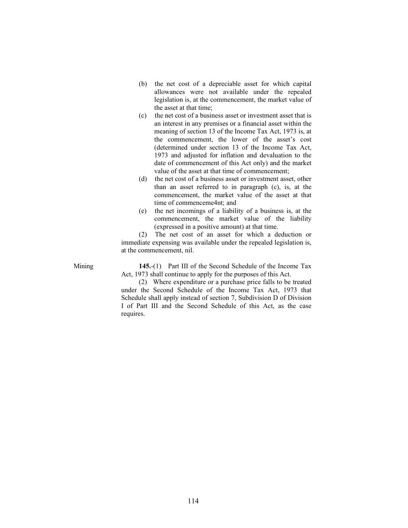- (b) the net cost of a depreciable asset for which capital allowances were not available under the repealed legislation is, at the commencement, the market value of the asset at that time;
- (c) the net cost of a business asset or investment asset that is an interest in any premises or a financial asset within the meaning of section 13 of the Income Tax Act, 1973 is, at the commencement, the lower of the asset's cost (determined under section 13 of the Income Tax Act, 1973 and adjusted for inflation and devaluation to the date of commencement of this Act only) and the market value of the asset at that time of commencement;
- (d) the net cost of a business asset or investment asset, other than an asset referred to in paragraph (c), is, at the commencement, the market value of the asset at that time of commenceme4nt; and
- (e) the net incomings of a liability of a business is, at the commencement, the market value of the liability (expressed in a positive amount) at that time.

 (2) The net cost of an asset for which a deduction or immediate expensing was available under the repealed legislation is, at the commencement, nil.

Mining 145.-(1) Part III of the Second Schedule of the Income Tax Act, 1973 shall continue to apply for the purposes of this Act.

> (2) Where expenditure or a purchase price falls to be treated under the Second Schedule of the Income Tax Act, 1973 that Schedule shall apply instead of section 7, Subdivision D of Division I of Part III and the Second Schedule of this Act, as the case requires.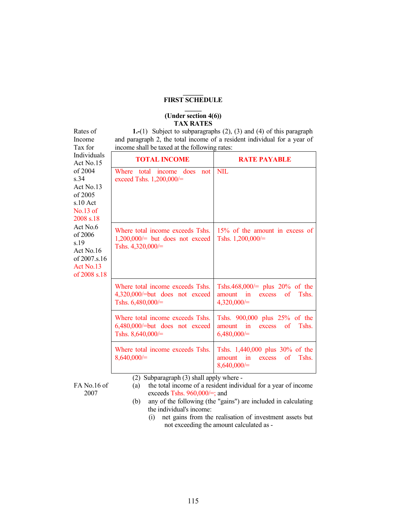### $\overline{\phantom{a}}$ FIRST SCHEDULE  $\overline{\phantom{a}}$

#### (Under section 4(6)) TAX RATES

 1.-(1) Subject to subparagraphs (2), (3) and (4) of this paragraph and paragraph 2, the total income of a resident individual for a year of income shall be taxed at the following rates:

| Individuals<br>Act No.15                                                                                                                                                      | <b>TOTAL INCOME</b>                                                                        | <b>RATE PAYABLE</b>                                                                                        |  |
|-------------------------------------------------------------------------------------------------------------------------------------------------------------------------------|--------------------------------------------------------------------------------------------|------------------------------------------------------------------------------------------------------------|--|
| of $2004$<br>s.34<br>Act $No.13$<br>of 2005<br>$s.10$ Act<br>$No.13$ of<br>2008 s.18<br>Act No.6<br>of 2006<br>s.19<br>Act No.16<br>of 2007.s.16<br>Act No.13<br>of 2008 s.18 | Where total income does<br>not<br>exceed Tshs. $1,200,000/=$                               | <b>NIL</b>                                                                                                 |  |
|                                                                                                                                                                               | Where total income exceeds Tshs.<br>$1,200,000/=$ but does not exceed<br>Tshs. 4,320,000/= | 15% of the amount in excess of<br>Tshs. $1,200,000/=$                                                      |  |
|                                                                                                                                                                               | Where total income exceeds Tshs.<br>4,320,000/=but does not exceed<br>Tshs. 6,480,000/=    | Tshs.468,000/= plus $20\%$ of the<br>of<br>Tshs.<br>amount<br>$\mathbf{in}$<br>excess<br>$4,320,000/=$     |  |
|                                                                                                                                                                               | Where total income exceeds Tshs.<br>6,480,000/=but does not exceed<br>Tshs. $8,640,000/=$  | Tshs. 900,000 plus 25% of the<br>Tshs.<br>amount<br>$\overline{\mathbf{m}}$<br>excess of<br>6,480,000/     |  |
|                                                                                                                                                                               | Where total income exceeds Tshs.<br>$8,640,000/=$                                          | Tshs. 1,440,000 plus 30% of the<br>Tshs.<br>amount<br>$\alpha$<br>$\mathbf{in}$<br>excess<br>$8,640,000/=$ |  |
|                                                                                                                                                                               | (2) Subparagraph (3) shall apply where -                                                   |                                                                                                            |  |

FA No.16 of 2007

Rates of Income Tax for

> (a) the total income of a resident individual for a year of income exceeds Tshs. 960,000/=; and

- (b) any of the following (the "gains") are included in calculating the individual's income:
	- (i) net gains from the realisation of investment assets but not exceeding the amount calculated as -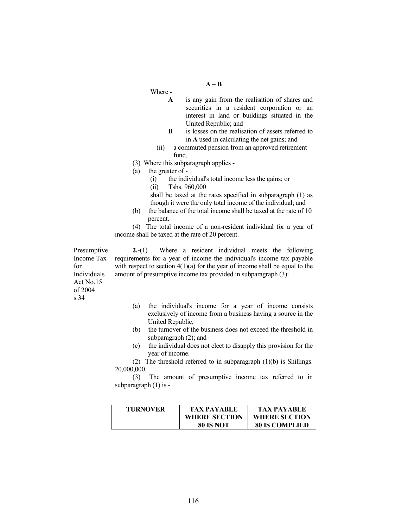## $A - B$

Where -

- A is any gain from the realisation of shares and securities in a resident corporation or an interest in land or buildings situated in the United Republic; and
- B is losses on the realisation of assets referred to in A used in calculating the net gains; and
- (ii) a commuted pension from an approved retirement fund.
- (3) Where this subparagraph applies -
- (a) the greater of
	- (i) the individual's total income less the gains; or
	- (ii) Tshs. 960,000

 shall be taxed at the rates specified in subparagraph (1) as though it were the only total income of the individual; and

 (b) the balance of the total income shall be taxed at the rate of 10 percent.

 (4) The total income of a non-resident individual for a year of income shall be taxed at the rate of 20 percent.

Presumptive Income Tax for Individuals Act No.15 of 2004 s.34

 2.-(1) Where a resident individual meets the following requirements for a year of income the individual's income tax payable with respect to section  $4(1)(a)$  for the year of income shall be equal to the amount of presumptive income tax provided in subparagraph (3):

- (a) the individual's income for a year of income consists exclusively of income from a business having a source in the United Republic;
- (b) the turnover of the business does not exceed the threshold in subparagraph (2); and
- (c) the individual does not elect to disapply this provision for the year of income.

 (2) The threshold referred to in subparagraph (1)(b) is Shillings. 20,000,000.

 (3) The amount of presumptive income tax referred to in subparagraph (1) is -

| <b>TURNOVER</b> | TAX PAYARLE          | <b>TAX PAYABLE</b>    |
|-----------------|----------------------|-----------------------|
|                 | <b>WHERE SECTION</b> | <b>WHERE SECTION</b>  |
|                 | <b>80 IS NOT</b>     | <b>80 IS COMPLIED</b> |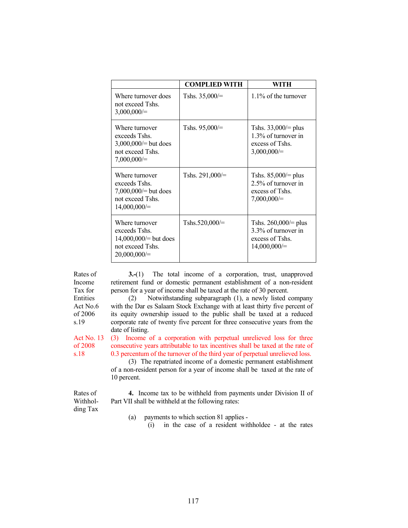|                                                                                                  | <b>COMPLIED WITH</b> | WITH                                                                               |
|--------------------------------------------------------------------------------------------------|----------------------|------------------------------------------------------------------------------------|
| Where turnover does<br>not exceed Tshs.<br>$3,000,000/=$                                         | Tshs. $35,000/$      | $1.1\%$ of the turnover                                                            |
| Where turnover<br>exceeds Tshs.<br>3,000,000/ $=$ but does<br>not exceed Tshs.<br>$7,000,000 =$  | Tshs. $95,000 =$     | Tshs. $33,000 =$ plus<br>1.3% of turnover in<br>excess of Tshs.<br>$3,000,000/=$   |
| Where turnover<br>exceeds Tshs.<br>7,000,000/= but does<br>not exceed Tshs.<br>$14,000,000/=$    | Tshs. $291,000/=$    | Tshs. $85,000/=$ plus<br>2.5% of turnover in<br>excess of Tshs.<br>$7,000,000/=$   |
| Where turnover<br>exceeds Tshs.<br>$14,000,000 =$ but does<br>not exceed Tshs.<br>$20,000,000/=$ | Tshs.520,000/ $=$    | Tshs. $260,000 =$ plus<br>3.3% of turnover in<br>excess of Tshs.<br>$14,000,000/=$ |

Rates of Income Tax for Entities Act No.6 of 2006 s.19

 3.-(1) The total income of a corporation, trust, unapproved retirement fund or domestic permanent establishment of a non-resident person for a year of income shall be taxed at the rate of 30 percent.

 (2) Notwithstanding subparagraph (1), a newly listed company with the Dar es Salaam Stock Exchange with at least thirty five percent of its equity ownership issued to the public shall be taxed at a reduced corporate rate of twenty five percent for three consecutive years from the date of listing.

Act No. 13 of 2008 s.18 (3) Income of a corporation with perpetual unrelieved loss for three consecutive years attributable to tax incentives shall be taxed at the rate of 0.3 percentum of the turnover of the third year of perpetual unrelieved loss.

 (3) The repatriated income of a domestic permanent establishment of a non-resident person for a year of income shall be taxed at the rate of 10 percent.

 4. Income tax to be withheld from payments under Division II of Part VII shall be withheld at the following rates:

Withholding Tax

Rates of

- (a) payments to which section 81 applies
	- (i) in the case of a resident withholdee at the rates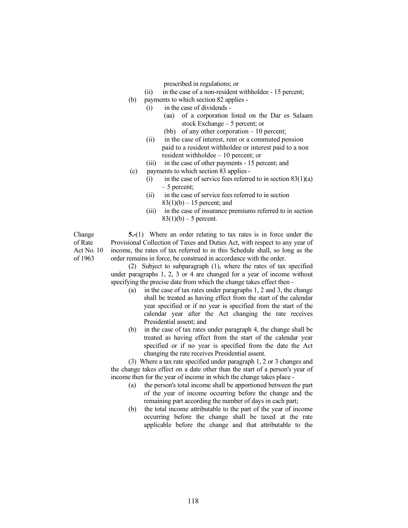prescribed in regulations; or

- (ii) in the case of a non-resident withholdee 15 percent;
- (b) payments to which section 82 applies
	- (i) in the case of dividends
		- (aa) of a corporation listed on the Dar es Salaam stock Exchange – 5 percent; or
		- (bb) of any other corporation 10 percent;
	- (ii) in the case of interest, rent or a commuted pension paid to a resident withholdee or interest paid to a non resident withholdee – 10 percent; or
	- (iii) in the case of other payments 15 percent; and
- (c) payments to which section 83 applies
	- (i) in the case of service fees referred to in section  $83(1)(a)$ – 5 percent;
	- (ii) in the case of service fees referred to in section  $83(1)(b) - 15$  percent; and
	- (iii) in the case of insurance premiums referred to in section  $83(1)(b) - 5$  percent.

Change of Rate Act No. 10 of 1963

5.-(1) Where an order relating to tax rates is in force under the Provisional Collection of Taxes and Duties Act, with respect to any year of income, the rates of tax referred to in this Schedule shall, so long as the order remains in force, be construed in accordance with the order.

 (2) Subject to subparagraph (1), where the rates of tax specified under paragraphs 1, 2, 3 or 4 are changed for a year of income without specifying the precise date from which the change takes effect then -

- (a) in the case of tax rates under paragraphs 1, 2 and 3, the change shall be treated as having effect from the start of the calendar year specified or if no year is specified from the start of the calendar year after the Act changing the rate receives Presidential assent; and
- (b) in the case of tax rates under paragraph 4, the change shall be treated as having effect from the start of the calendar year specified or if no year is specified from the date the Act changing the rate receives Presidential assent.

 (3) Where a tax rate specified under paragraph 1, 2 or 3 changes and the change takes effect on a date other than the start of a person's year of income then for the year of income in which the change takes place -

- (a) the person's total income shall be apportioned between the part of the year of income occurring before the change and the remaining part according the number of days in each part;
- (b) the total income attributable to the part of the year of income occurring before the change shall be taxed at the rate applicable before the change and that attributable to the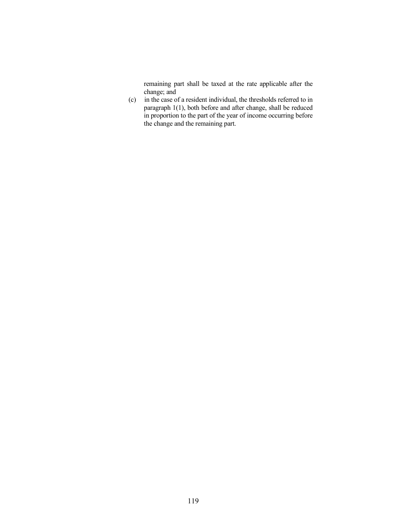remaining part shall be taxed at the rate applicable after the change; and

 (c) in the case of a resident individual, the thresholds referred to in paragraph 1(1), both before and after change, shall be reduced in proportion to the part of the year of income occurring before the change and the remaining part.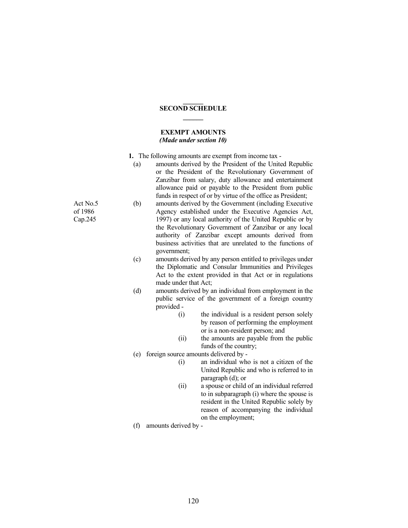### $\overline{\phantom{a}}$ SECOND SCHEDULE  $\overline{\phantom{a}}$

### EXEMPT AMOUNTS (Made under section 10)

- 1. The following amounts are exempt from income tax
	- (a) amounts derived by the President of the United Republic or the President of the Revolutionary Government of Zanzibar from salary, duty allowance and entertainment allowance paid or payable to the President from public funds in respect of or by virtue of the office as President;
- (b) amounts derived by the Government (including Executive Agency established under the Executive Agencies Act, 1997) or any local authority of the United Republic or by the Revolutionary Government of Zanzibar or any local authority of Zanzibar except amounts derived from business activities that are unrelated to the functions of government;
	- (c) amounts derived by any person entitled to privileges under the Diplomatic and Consular Immunities and Privileges Act to the extent provided in that Act or in regulations made under that Act;
	- (d) amounts derived by an individual from employment in the public service of the government of a foreign country provided -
		- (i) the individual is a resident person solely by reason of performing the employment or is a non-resident person; and
		- (ii) the amounts are payable from the public funds of the country;
	- (e) foreign source amounts delivered by
		- (i) an individual who is not a citizen of the United Republic and who is referred to in paragraph (d); or
		- (ii) a spouse or child of an individual referred to in subparagraph (i) where the spouse is resident in the United Republic solely by reason of accompanying the individual on the employment;
	- (f) amounts derived by -

Act No.5 of 1986 Cap.245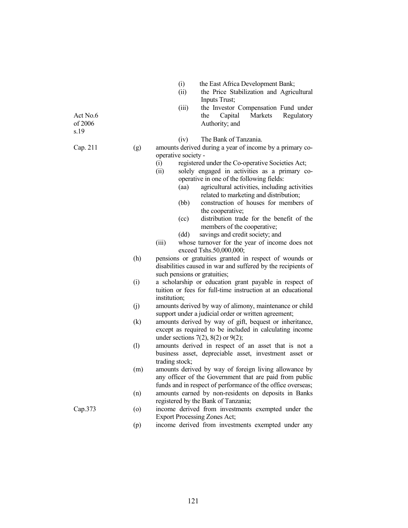|                             |         | the East Africa Development Bank;<br>(i)<br>the Price Stabilization and Agricultural<br>(ii)<br>Inputs Trust;                                                                                                                                                                                                                                                                                                                                                                                                                                 |  |  |
|-----------------------------|---------|-----------------------------------------------------------------------------------------------------------------------------------------------------------------------------------------------------------------------------------------------------------------------------------------------------------------------------------------------------------------------------------------------------------------------------------------------------------------------------------------------------------------------------------------------|--|--|
| Act No.6<br>of 2006<br>s.19 |         | (iii)<br>the Investor Compensation Fund under<br>Capital<br>Regulatory<br>the<br>Markets<br>Authority; and                                                                                                                                                                                                                                                                                                                                                                                                                                    |  |  |
| Cap. 211                    | (g)     | The Bank of Tanzania.<br>(iv)<br>amounts derived during a year of income by a primary co-<br>operative society -<br>registered under the Co-operative Societies Act;<br>(i)<br>solely engaged in activities as a primary co-<br>(ii)<br>operative in one of the following fields:<br>agricultural activities, including activities<br>(aa)<br>related to marketing and distribution;<br>(bb)<br>construction of houses for members of<br>the cooperative;<br>distribution trade for the benefit of the<br>(cc)<br>members of the cooperative; |  |  |
|                             |         | savings and credit society; and<br>(dd)<br>(iii)<br>whose turnover for the year of income does not<br>exceed Tshs.50,000,000;                                                                                                                                                                                                                                                                                                                                                                                                                 |  |  |
|                             | (h)     | pensions or gratuities granted in respect of wounds or<br>disabilities caused in war and suffered by the recipients of<br>such pensions or gratuities;                                                                                                                                                                                                                                                                                                                                                                                        |  |  |
|                             | (i)     | a scholarship or education grant payable in respect of<br>tuition or fees for full-time instruction at an educational<br>institution;                                                                                                                                                                                                                                                                                                                                                                                                         |  |  |
|                             | (j)     | amounts derived by way of alimony, maintenance or child<br>support under a judicial order or written agreement;                                                                                                                                                                                                                                                                                                                                                                                                                               |  |  |
|                             | (k)     | amounts derived by way of gift, bequest or inheritance,<br>except as required to be included in calculating income<br>under sections $7(2)$ , $8(2)$ or $9(2)$ ;                                                                                                                                                                                                                                                                                                                                                                              |  |  |
|                             | (1)     | amounts derived in respect of an asset that is not a<br>business asset, depreciable asset, investment asset or<br>trading stock;                                                                                                                                                                                                                                                                                                                                                                                                              |  |  |
|                             | (m)     | amounts derived by way of foreign living allowance by<br>any officer of the Government that are paid from public<br>funds and in respect of performance of the office overseas;                                                                                                                                                                                                                                                                                                                                                               |  |  |
|                             | (n)     | amounts earned by non-residents on deposits in Banks<br>registered by the Bank of Tanzania;                                                                                                                                                                                                                                                                                                                                                                                                                                                   |  |  |
| Cap.373                     | $\circ$ | income derived from investments exempted under the<br><b>Export Processing Zones Act;</b>                                                                                                                                                                                                                                                                                                                                                                                                                                                     |  |  |
|                             | (p)     | income derived from investments exempted under any                                                                                                                                                                                                                                                                                                                                                                                                                                                                                            |  |  |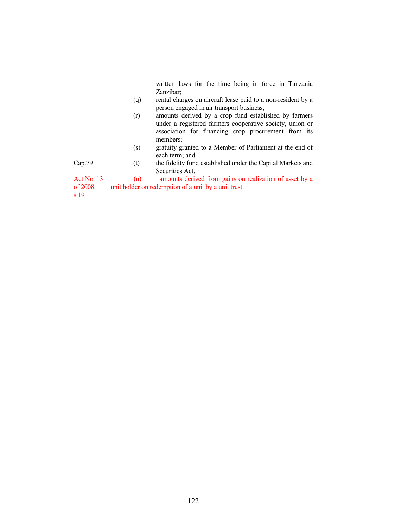written laws for the time being in force in Tanzania Zanzibar;

- (q) rental charges on aircraft lease paid to a non-resident by a person engaged in air transport business;
- (r) amounts derived by a crop fund established by farmers under a registered farmers cooperative society, union or association for financing crop procurement from its members;
- (s) gratuity granted to a Member of Parliament at the end of each term; and

Cap.79 (t) the fidelity fund established under the Capital Markets and Securities Act.

Act No. 13 of 2008 (u) amounts derived from gains on realization of asset by a unit holder on redemption of a unit by a unit trust.

s.19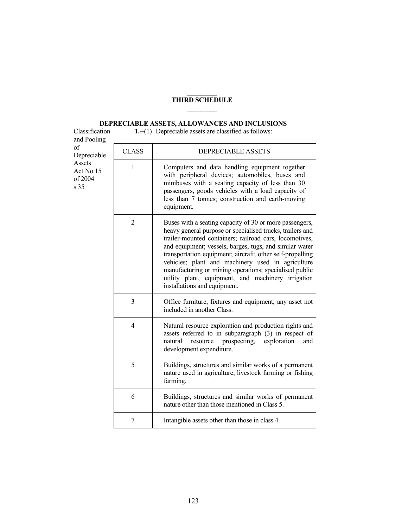### $\overline{\phantom{a}}$ THIRD SCHEDULE  $\overline{\phantom{a}}$

# DEPRECIABLE ASSETS, ALLOWANCES AND INCLUSIONS

| Classification<br>and Pooling                               | 1.-(1) Depreciable assets are classified as follows: |                                                                                                                                                                                                                                                                                                                                                                                                                                                                                                              |  |
|-------------------------------------------------------------|------------------------------------------------------|--------------------------------------------------------------------------------------------------------------------------------------------------------------------------------------------------------------------------------------------------------------------------------------------------------------------------------------------------------------------------------------------------------------------------------------------------------------------------------------------------------------|--|
| of<br>Depreciable<br>Assets<br>Act No.15<br>of 2004<br>s.35 | <b>CLASS</b>                                         | <b>DEPRECIABLE ASSETS</b>                                                                                                                                                                                                                                                                                                                                                                                                                                                                                    |  |
|                                                             | 1                                                    | Computers and data handling equipment together<br>with peripheral devices; automobiles, buses and<br>minibuses with a seating capacity of less than 30<br>passengers, goods vehicles with a load capacity of<br>less than 7 tonnes; construction and earth-moving<br>equipment.                                                                                                                                                                                                                              |  |
|                                                             | $\overline{2}$                                       | Buses with a seating capacity of 30 or more passengers,<br>heavy general purpose or specialised trucks, trailers and<br>trailer-mounted containers; railroad cars, locomotives,<br>and equipment; vessels, barges, tugs, and similar water<br>transportation equipment; aircraft; other self-propelling<br>vehicles; plant and machinery used in agriculture<br>manufacturing or mining operations; specialised public<br>utility plant, equipment, and machinery irrigation<br>installations and equipment. |  |
|                                                             | 3                                                    | Office furniture, fixtures and equipment; any asset not<br>included in another Class.                                                                                                                                                                                                                                                                                                                                                                                                                        |  |
|                                                             | $\overline{4}$                                       | Natural resource exploration and production rights and<br>assets referred to in subparagraph (3) in respect of<br>prospecting,<br>exploration<br>natural<br>resource<br>and<br>development expenditure.                                                                                                                                                                                                                                                                                                      |  |
|                                                             | 5                                                    | Buildings, structures and similar works of a permanent<br>nature used in agriculture, livestock farming or fishing<br>farming.                                                                                                                                                                                                                                                                                                                                                                               |  |
|                                                             | 6                                                    | Buildings, structures and similar works of permanent<br>nature other than those mentioned in Class 5.                                                                                                                                                                                                                                                                                                                                                                                                        |  |
|                                                             | $\overline{7}$                                       | Intangible assets other than those in class 4.                                                                                                                                                                                                                                                                                                                                                                                                                                                               |  |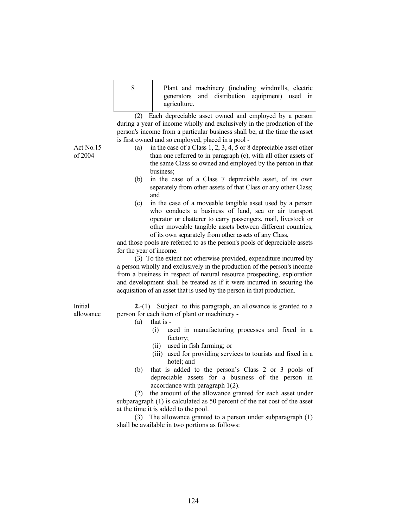| Plant and machinery (including windmills, electric |
|----------------------------------------------------|
| generators and distribution equipment) used in     |
| agriculture.                                       |

 (2) Each depreciable asset owned and employed by a person during a year of income wholly and exclusively in the production of the person's income from a particular business shall be, at the time the asset is first owned and so employed, placed in a pool -

- (a) in the case of a Class 1, 2, 3, 4, 5 or 8 depreciable asset other than one referred to in paragraph (c), with all other assets of the same Class so owned and employed by the person in that business;
- (b) in the case of a Class 7 depreciable asset, of its own separately from other assets of that Class or any other Class; and
- (c) in the case of a moveable tangible asset used by a person who conducts a business of land, sea or air transport operator or chatterer to carry passengers, mail, livestock or other moveable tangible assets between different countries, of its own separately from other assets of any Class,

 and those pools are referred to as the person's pools of depreciable assets for the year of income.

 (3) To the extent not otherwise provided, expenditure incurred by a person wholly and exclusively in the production of the person's income from a business in respect of natural resource prospecting, exploration and development shall be treated as if it were incurred in securing the acquisition of an asset that is used by the person in that production.

allowance 2.-(1) Subject to this paragraph, an allowance is granted to a person for each item of plant or machinery -

- (a) that is
	- (i) used in manufacturing processes and fixed in a factory;
	- (ii) used in fish farming; or
	- (iii) used for providing services to tourists and fixed in a hotel: and
- (b) that is added to the person's Class 2 or 3 pools of depreciable assets for a business of the person in accordance with paragraph 1(2).

 (2) the amount of the allowance granted for each asset under subparagraph (1) is calculated as 50 percent of the net cost of the asset at the time it is added to the pool.

 (3) The allowance granted to a person under subparagraph (1) shall be available in two portions as follows:

Act No.15 of 2004

Initial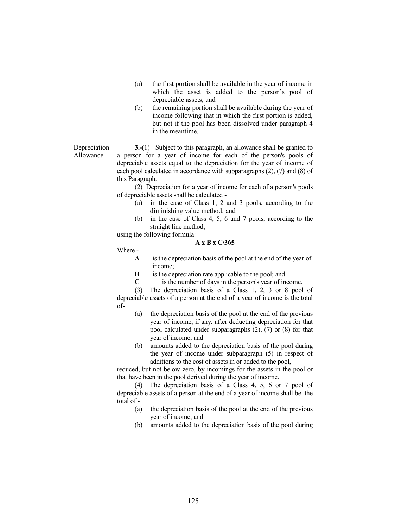- (a) the first portion shall be available in the year of income in which the asset is added to the person's pool of depreciable assets; and
- (b) the remaining portion shall be available during the year of income following that in which the first portion is added, but not if the pool has been dissolved under paragraph 4 in the meantime.

### Depreciation

Allowance

 3.-(1) Subject to this paragraph, an allowance shall be granted to a person for a year of income for each of the person's pools of depreciable assets equal to the depreciation for the year of income of each pool calculated in accordance with subparagraphs (2), (7) and (8) of this Paragraph.

 (2) Depreciation for a year of income for each of a person's pools of depreciable assets shall be calculated -

- (a) in the case of Class 1, 2 and 3 pools, according to the diminishing value method; and
- (b) in the case of Class 4, 5, 6 and 7 pools, according to the straight line method,

using the following formula:

### A x B x C/365

Where -

- A is the depreciation basis of the pool at the end of the year of income;
- B is the depreciation rate applicable to the pool; and
- C is the number of days in the person's year of income.

 (3) The depreciation basis of a Class 1, 2, 3 or 8 pool of depreciable assets of a person at the end of a year of income is the total of-

- (a) the depreciation basis of the pool at the end of the previous year of income, if any, after deducting depreciation for that pool calculated under subparagraphs (2), (7) or (8) for that year of income; and
- (b) amounts added to the depreciation basis of the pool during the year of income under subparagraph (5) in respect of additions to the cost of assets in or added to the pool,

 reduced, but not below zero, by incomings for the assets in the pool or that have been in the pool derived during the year of income.

 (4) The depreciation basis of a Class 4, 5, 6 or 7 pool of depreciable assets of a person at the end of a year of income shall be the total of -

- (a) the depreciation basis of the pool at the end of the previous year of income; and
- (b) amounts added to the depreciation basis of the pool during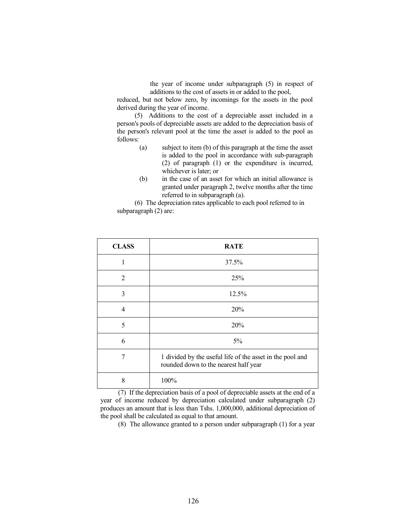the year of income under subparagraph (5) in respect of additions to the cost of assets in or added to the pool,

 reduced, but not below zero, by incomings for the assets in the pool derived during the year of income.

 (5) Additions to the cost of a depreciable asset included in a person's pools of depreciable assets are added to the depreciation basis of the person's relevant pool at the time the asset is added to the pool as follows:

- (a) subject to item (b) of this paragraph at the time the asset is added to the pool in accordance with sub-paragraph (2) of paragraph (1) or the expenditure is incurred, whichever is later; or
- (b) in the case of an asset for which an initial allowance is granted under paragraph 2, twelve months after the time referred to in subparagraph (a).

 (6) The depreciation rates applicable to each pool referred to in subparagraph (2) are:

| <b>CLASS</b>   | <b>RATE</b>                                                                                        |
|----------------|----------------------------------------------------------------------------------------------------|
| 1              | 37.5%                                                                                              |
| $\overline{2}$ | 25%                                                                                                |
| 3              | 12.5%                                                                                              |
| 4              | 20%                                                                                                |
| 5              | 20%                                                                                                |
| 6              | 5%                                                                                                 |
| 7              | 1 divided by the useful life of the asset in the pool and<br>rounded down to the nearest half year |
| 8              | 100%                                                                                               |

 (7) If the depreciation basis of a pool of depreciable assets at the end of a year of income reduced by depreciation calculated under subparagraph (2) produces an amount that is less than Tshs. 1,000,000, additional depreciation of the pool shall be calculated as equal to that amount.

(8) The allowance granted to a person under subparagraph (1) for a year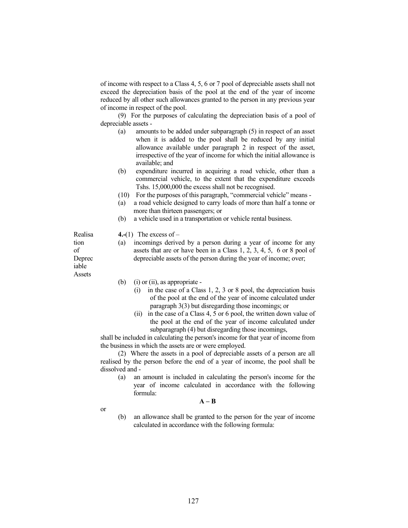of income with respect to a Class 4, 5, 6 or 7 pool of depreciable assets shall not exceed the depreciation basis of the pool at the end of the year of income reduced by all other such allowances granted to the person in any previous year of income in respect of the pool.

 (9) For the purposes of calculating the depreciation basis of a pool of depreciable assets -

- (a) amounts to be added under subparagraph (5) in respect of an asset when it is added to the pool shall be reduced by any initial allowance available under paragraph 2 in respect of the asset, irrespective of the year of income for which the initial allowance is available; and
- (b) expenditure incurred in acquiring a road vehicle, other than a commercial vehicle, to the extent that the expenditure exceeds Tshs. 15,000,000 the excess shall not be recognised.
- (10) For the purposes of this paragraph, "commercial vehicle" means -
- (a) a road vehicle designed to carry loads of more than half a tonne or more than thirteen passengers; or
- (b) a vehicle used in a transportation or vehicle rental business.

4.-(1) The excess of  $-$ 

- (a) incomings derived by a person during a year of income for any assets that are or have been in a Class 1, 2, 3, 4, 5, 6 or 8 pool of depreciable assets of the person during the year of income; over;
- iable Assets

Realisa tion of Deprec

- (b) (i) or (ii), as appropriate -
	- (i) in the case of a Class 1, 2, 3 or 8 pool, the depreciation basis of the pool at the end of the year of income calculated under paragraph 3(3) but disregarding those incomings; or
	- (ii) in the case of a Class 4, 5 or 6 pool, the written down value of the pool at the end of the year of income calculated under subparagraph (4) but disregarding those incomings,

 shall be included in calculating the person's income for that year of income from the business in which the assets are or were employed.

 (2) Where the assets in a pool of depreciable assets of a person are all realised by the person before the end of a year of income, the pool shall be dissolved and -

 (a) an amount is included in calculating the person's income for the year of income calculated in accordance with the following formula:

 $A - B$ 

or

 (b) an allowance shall be granted to the person for the year of income calculated in accordance with the following formula: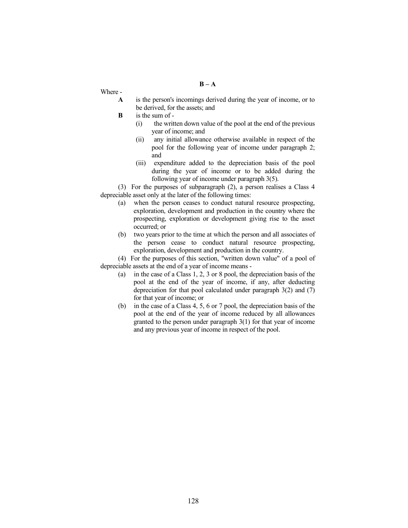$B - A$ 

Where -

- A is the person's incomings derived during the year of income, or to be derived, for the assets; and
- B is the sum of
	- (i) the written down value of the pool at the end of the previous year of income; and
	- (ii) any initial allowance otherwise available in respect of the pool for the following year of income under paragraph 2; and
	- (iii) expenditure added to the depreciation basis of the pool during the year of income or to be added during the following year of income under paragraph 3(5).

 (3) For the purposes of subparagraph (2), a person realises a Class 4 depreciable asset only at the later of the following times:

- (a) when the person ceases to conduct natural resource prospecting, exploration, development and production in the country where the prospecting, exploration or development giving rise to the asset occurred; or
- (b) two years prior to the time at which the person and all associates of the person cease to conduct natural resource prospecting, exploration, development and production in the country.

 (4) For the purposes of this section, "written down value" of a pool of depreciable assets at the end of a year of income means -

- (a) in the case of a Class 1, 2, 3 or 8 pool, the depreciation basis of the pool at the end of the year of income, if any, after deducting depreciation for that pool calculated under paragraph 3(2) and (7) for that year of income; or
- (b) in the case of a Class 4, 5, 6 or 7 pool, the depreciation basis of the pool at the end of the year of income reduced by all allowances granted to the person under paragraph 3(1) for that year of income and any previous year of income in respect of the pool.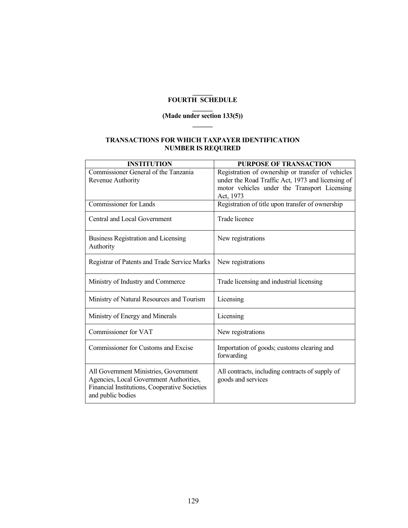#### $\overline{\phantom{a}}$ FOURTH SCHEDULE

### $\overline{\phantom{a}}$ (Made under section 133(5))  $\overline{\phantom{a}}$

### TRANSACTIONS FOR WHICH TAXPAYER IDENTIFICATION NUMBER IS REQUIRED

| <b>INSTITUTION</b>                                                                                                                                     | <b>PURPOSE OF TRANSACTION</b>                                                                                                                                       |
|--------------------------------------------------------------------------------------------------------------------------------------------------------|---------------------------------------------------------------------------------------------------------------------------------------------------------------------|
| Commissioner General of the Tanzania<br>Revenue Authority                                                                                              | Registration of ownership or transfer of vehicles<br>under the Road Traffic Act, 1973 and licensing of<br>motor vehicles under the Transport Licensing<br>Act, 1973 |
| <b>Commissioner</b> for Lands                                                                                                                          | Registration of title upon transfer of ownership                                                                                                                    |
| Central and Local Government                                                                                                                           | Trade licence                                                                                                                                                       |
| <b>Business Registration and Licensing</b><br>Authority                                                                                                | New registrations                                                                                                                                                   |
| Registrar of Patents and Trade Service Marks                                                                                                           | New registrations                                                                                                                                                   |
| Ministry of Industry and Commerce                                                                                                                      | Trade licensing and industrial licensing                                                                                                                            |
| Ministry of Natural Resources and Tourism                                                                                                              | Licensing                                                                                                                                                           |
| Ministry of Energy and Minerals                                                                                                                        | Licensing                                                                                                                                                           |
| Commissioner for VAT                                                                                                                                   | New registrations                                                                                                                                                   |
| Commissioner for Customs and Excise                                                                                                                    | Importation of goods; customs clearing and<br>forwarding                                                                                                            |
| All Government Ministries, Government<br>Agencies, Local Government Authorities,<br>Financial Institutions, Cooperative Societies<br>and public bodies | All contracts, including contracts of supply of<br>goods and services                                                                                               |